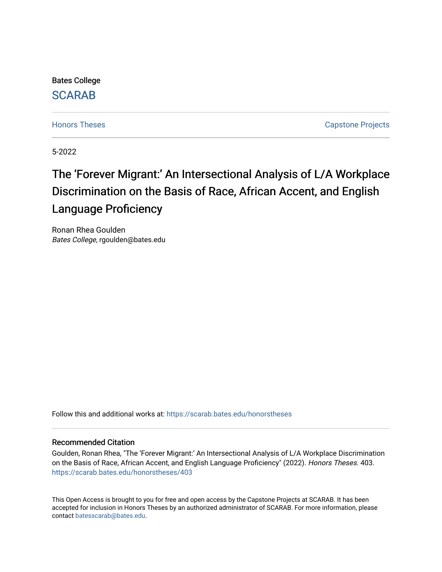Bates College [SCARAB](https://scarab.bates.edu/) 

[Honors Theses](https://scarab.bates.edu/honorstheses) **Capstone Projects** 

5-2022

# The 'Forever Migrant:' An Intersectional Analysis of L/A Workplace Discrimination on the Basis of Race, African Accent, and English Language Proficiency

Ronan Rhea Goulden Bates College, rgoulden@bates.edu

Follow this and additional works at: [https://scarab.bates.edu/honorstheses](https://scarab.bates.edu/honorstheses?utm_source=scarab.bates.edu%2Fhonorstheses%2F403&utm_medium=PDF&utm_campaign=PDFCoverPages) 

## Recommended Citation

Goulden, Ronan Rhea, "The 'Forever Migrant:' An Intersectional Analysis of L/A Workplace Discrimination on the Basis of Race, African Accent, and English Language Proficiency" (2022). Honors Theses. 403. [https://scarab.bates.edu/honorstheses/403](https://scarab.bates.edu/honorstheses/403?utm_source=scarab.bates.edu%2Fhonorstheses%2F403&utm_medium=PDF&utm_campaign=PDFCoverPages) 

This Open Access is brought to you for free and open access by the Capstone Projects at SCARAB. It has been accepted for inclusion in Honors Theses by an authorized administrator of SCARAB. For more information, please contact [batesscarab@bates.edu](mailto:batesscarab@bates.edu).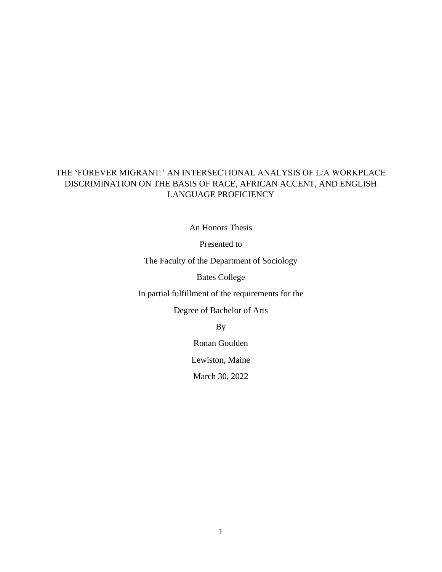## THE 'FOREVER MIGRANT:' AN INTERSECTIONAL ANALYSIS OF L/A WORKPLACE DISCRIMINATION ON THE BASIS OF RACE, AFRICAN ACCENT, AND ENGLISH LANGUAGE PROFICIENCY

An Honors Thesis

Presented to

The Faculty of the Department of Sociology

Bates College

In partial fulfillment of the requirements for the

Degree of Bachelor of Arts

By

Ronan Goulden

Lewiston, Maine

March 30, 2022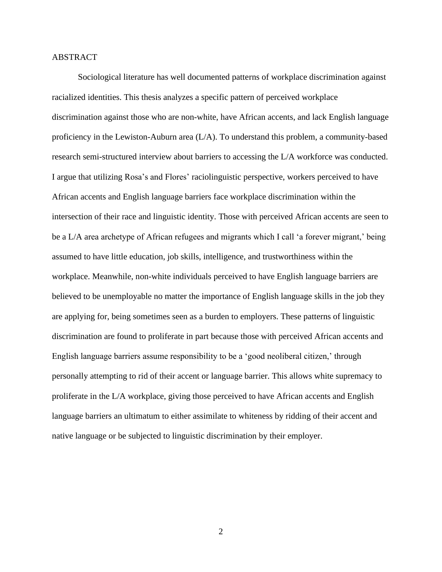## ABSTRACT

Sociological literature has well documented patterns of workplace discrimination against racialized identities. This thesis analyzes a specific pattern of perceived workplace discrimination against those who are non-white, have African accents, and lack English language proficiency in the Lewiston-Auburn area (L/A). To understand this problem, a community-based research semi-structured interview about barriers to accessing the L/A workforce was conducted. I argue that utilizing Rosa's and Flores' raciolinguistic perspective, workers perceived to have African accents and English language barriers face workplace discrimination within the intersection of their race and linguistic identity. Those with perceived African accents are seen to be a L/A area archetype of African refugees and migrants which I call 'a forever migrant,' being assumed to have little education, job skills, intelligence, and trustworthiness within the workplace. Meanwhile, non-white individuals perceived to have English language barriers are believed to be unemployable no matter the importance of English language skills in the job they are applying for, being sometimes seen as a burden to employers. These patterns of linguistic discrimination are found to proliferate in part because those with perceived African accents and English language barriers assume responsibility to be a 'good neoliberal citizen,' through personally attempting to rid of their accent or language barrier. This allows white supremacy to proliferate in the L/A workplace, giving those perceived to have African accents and English language barriers an ultimatum to either assimilate to whiteness by ridding of their accent and native language or be subjected to linguistic discrimination by their employer.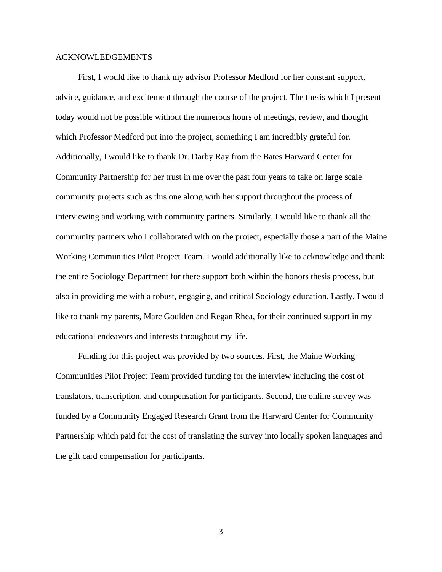## ACKNOWLEDGEMENTS

First, I would like to thank my advisor Professor Medford for her constant support, advice, guidance, and excitement through the course of the project. The thesis which I present today would not be possible without the numerous hours of meetings, review, and thought which Professor Medford put into the project, something I am incredibly grateful for. Additionally, I would like to thank Dr. Darby Ray from the Bates Harward Center for Community Partnership for her trust in me over the past four years to take on large scale community projects such as this one along with her support throughout the process of interviewing and working with community partners. Similarly, I would like to thank all the community partners who I collaborated with on the project, especially those a part of the Maine Working Communities Pilot Project Team. I would additionally like to acknowledge and thank the entire Sociology Department for there support both within the honors thesis process, but also in providing me with a robust, engaging, and critical Sociology education. Lastly, I would like to thank my parents, Marc Goulden and Regan Rhea, for their continued support in my educational endeavors and interests throughout my life.

Funding for this project was provided by two sources. First, the Maine Working Communities Pilot Project Team provided funding for the interview including the cost of translators, transcription, and compensation for participants. Second, the online survey was funded by a Community Engaged Research Grant from the Harward Center for Community Partnership which paid for the cost of translating the survey into locally spoken languages and the gift card compensation for participants.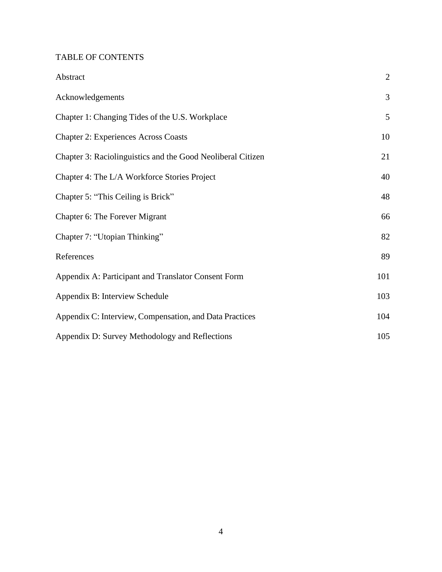# TABLE OF CONTENTS

| Abstract                                                    | $\overline{2}$ |
|-------------------------------------------------------------|----------------|
| Acknowledgements                                            | 3              |
| Chapter 1: Changing Tides of the U.S. Workplace             | 5              |
| <b>Chapter 2: Experiences Across Coasts</b>                 | 10             |
| Chapter 3: Raciolinguistics and the Good Neoliberal Citizen | 21             |
| Chapter 4: The L/A Workforce Stories Project                | 40             |
| Chapter 5: "This Ceiling is Brick"                          | 48             |
| Chapter 6: The Forever Migrant                              | 66             |
| Chapter 7: "Utopian Thinking"                               | 82             |
| References                                                  | 89             |
| Appendix A: Participant and Translator Consent Form         | 101            |
| Appendix B: Interview Schedule                              | 103            |
| Appendix C: Interview, Compensation, and Data Practices     | 104            |
| Appendix D: Survey Methodology and Reflections              | 105            |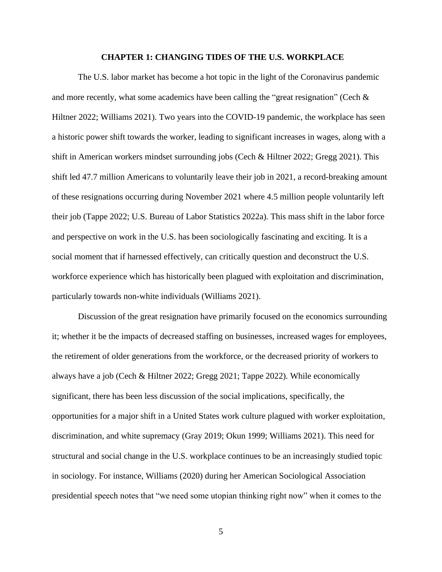#### **CHAPTER 1: CHANGING TIDES OF THE U.S. WORKPLACE**

The U.S. labor market has become a hot topic in the light of the Coronavirus pandemic and more recently, what some academics have been calling the "great resignation" (Cech  $\&$ Hiltner 2022; Williams 2021). Two years into the COVID-19 pandemic, the workplace has seen a historic power shift towards the worker, leading to significant increases in wages, along with a shift in American workers mindset surrounding jobs (Cech & Hiltner 2022; Gregg 2021). This shift led 47.7 million Americans to voluntarily leave their job in 2021, a record-breaking amount of these resignations occurring during November 2021 where 4.5 million people voluntarily left their job (Tappe 2022; U.S. Bureau of Labor Statistics 2022a). This mass shift in the labor force and perspective on work in the U.S. has been sociologically fascinating and exciting. It is a social moment that if harnessed effectively, can critically question and deconstruct the U.S. workforce experience which has historically been plagued with exploitation and discrimination, particularly towards non-white individuals (Williams 2021).

Discussion of the great resignation have primarily focused on the economics surrounding it; whether it be the impacts of decreased staffing on businesses, increased wages for employees, the retirement of older generations from the workforce, or the decreased priority of workers to always have a job (Cech & Hiltner 2022; Gregg 2021; Tappe 2022). While economically significant, there has been less discussion of the social implications, specifically, the opportunities for a major shift in a United States work culture plagued with worker exploitation, discrimination, and white supremacy (Gray 2019; Okun 1999; Williams 2021). This need for structural and social change in the U.S. workplace continues to be an increasingly studied topic in sociology. For instance, Williams (2020) during her American Sociological Association presidential speech notes that "we need some utopian thinking right now" when it comes to the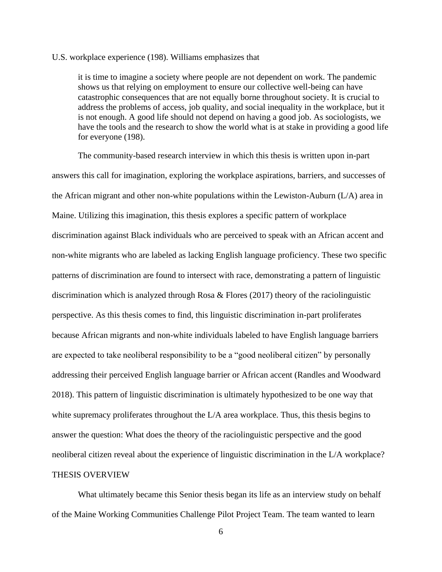## U.S. workplace experience (198). Williams emphasizes that

it is time to imagine a society where people are not dependent on work. The pandemic shows us that relying on employment to ensure our collective well-being can have catastrophic consequences that are not equally borne throughout society. It is crucial to address the problems of access, job quality, and social inequality in the workplace, but it is not enough. A good life should not depend on having a good job. As sociologists, we have the tools and the research to show the world what is at stake in providing a good life for everyone (198).

The community-based research interview in which this thesis is written upon in-part answers this call for imagination, exploring the workplace aspirations, barriers, and successes of the African migrant and other non-white populations within the Lewiston-Auburn (L/A) area in Maine. Utilizing this imagination, this thesis explores a specific pattern of workplace discrimination against Black individuals who are perceived to speak with an African accent and non-white migrants who are labeled as lacking English language proficiency. These two specific patterns of discrimination are found to intersect with race, demonstrating a pattern of linguistic discrimination which is analyzed through Rosa & Flores (2017) theory of the raciolinguistic perspective. As this thesis comes to find, this linguistic discrimination in-part proliferates because African migrants and non-white individuals labeled to have English language barriers are expected to take neoliberal responsibility to be a "good neoliberal citizen" by personally addressing their perceived English language barrier or African accent (Randles and Woodward 2018). This pattern of linguistic discrimination is ultimately hypothesized to be one way that white supremacy proliferates throughout the L/A area workplace. Thus, this thesis begins to answer the question: What does the theory of the raciolinguistic perspective and the good neoliberal citizen reveal about the experience of linguistic discrimination in the L/A workplace? THESIS OVERVIEW

What ultimately became this Senior thesis began its life as an interview study on behalf of the Maine Working Communities Challenge Pilot Project Team. The team wanted to learn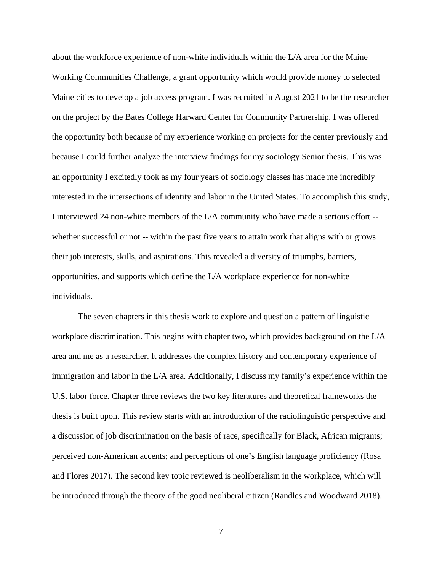about the workforce experience of non-white individuals within the L/A area for the Maine Working Communities Challenge, a grant opportunity which would provide money to selected Maine cities to develop a job access program. I was recruited in August 2021 to be the researcher on the project by the Bates College Harward Center for Community Partnership. I was offered the opportunity both because of my experience working on projects for the center previously and because I could further analyze the interview findings for my sociology Senior thesis. This was an opportunity I excitedly took as my four years of sociology classes has made me incredibly interested in the intersections of identity and labor in the United States. To accomplish this study, I interviewed 24 non-white members of the L/A community who have made a serious effort - whether successful or not -- within the past five years to attain work that aligns with or grows their job interests, skills, and aspirations. This revealed a diversity of triumphs, barriers, opportunities, and supports which define the L/A workplace experience for non-white individuals.

The seven chapters in this thesis work to explore and question a pattern of linguistic workplace discrimination. This begins with chapter two, which provides background on the L/A area and me as a researcher. It addresses the complex history and contemporary experience of immigration and labor in the L/A area. Additionally, I discuss my family's experience within the U.S. labor force. Chapter three reviews the two key literatures and theoretical frameworks the thesis is built upon. This review starts with an introduction of the raciolinguistic perspective and a discussion of job discrimination on the basis of race, specifically for Black, African migrants; perceived non-American accents; and perceptions of one's English language proficiency (Rosa and Flores 2017). The second key topic reviewed is neoliberalism in the workplace, which will be introduced through the theory of the good neoliberal citizen (Randles and Woodward 2018).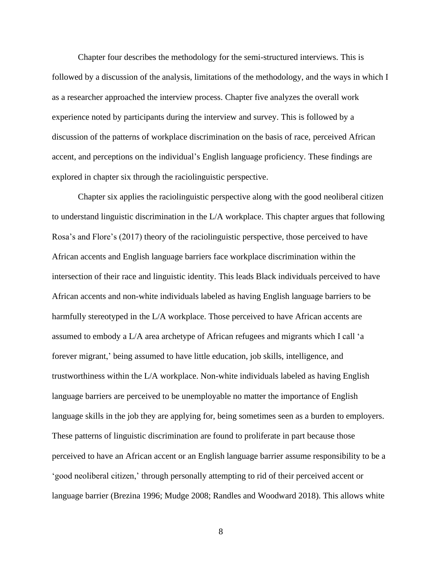Chapter four describes the methodology for the semi-structured interviews. This is followed by a discussion of the analysis, limitations of the methodology, and the ways in which I as a researcher approached the interview process. Chapter five analyzes the overall work experience noted by participants during the interview and survey. This is followed by a discussion of the patterns of workplace discrimination on the basis of race, perceived African accent, and perceptions on the individual's English language proficiency. These findings are explored in chapter six through the raciolinguistic perspective.

Chapter six applies the raciolinguistic perspective along with the good neoliberal citizen to understand linguistic discrimination in the L/A workplace. This chapter argues that following Rosa's and Flore's (2017) theory of the raciolinguistic perspective, those perceived to have African accents and English language barriers face workplace discrimination within the intersection of their race and linguistic identity. This leads Black individuals perceived to have African accents and non-white individuals labeled as having English language barriers to be harmfully stereotyped in the L/A workplace. Those perceived to have African accents are assumed to embody a L/A area archetype of African refugees and migrants which I call 'a forever migrant,' being assumed to have little education, job skills, intelligence, and trustworthiness within the L/A workplace. Non-white individuals labeled as having English language barriers are perceived to be unemployable no matter the importance of English language skills in the job they are applying for, being sometimes seen as a burden to employers. These patterns of linguistic discrimination are found to proliferate in part because those perceived to have an African accent or an English language barrier assume responsibility to be a 'good neoliberal citizen,' through personally attempting to rid of their perceived accent or language barrier (Brezina 1996; Mudge 2008; Randles and Woodward 2018). This allows white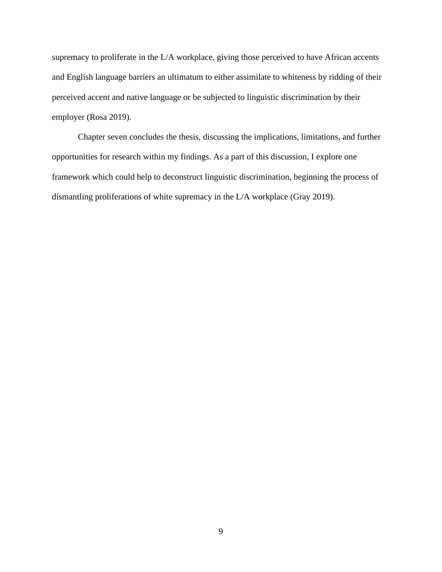supremacy to proliferate in the L/A workplace, giving those perceived to have African accents and English language barriers an ultimatum to either assimilate to whiteness by ridding of their perceived accent and native language or be subjected to linguistic discrimination by their employer (Rosa 2019).

Chapter seven concludes the thesis, discussing the implications, limitations, and further opportunities for research within my findings. As a part of this discussion, I explore one framework which could help to deconstruct linguistic discrimination, beginning the process of dismantling proliferations of white supremacy in the L/A workplace (Gray 2019).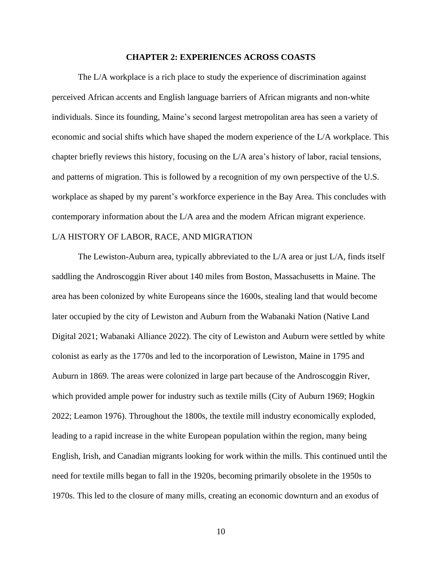#### **CHAPTER 2: EXPERIENCES ACROSS COASTS**

The L/A workplace is a rich place to study the experience of discrimination against perceived African accents and English language barriers of African migrants and non-white individuals. Since its founding, Maine's second largest metropolitan area has seen a variety of economic and social shifts which have shaped the modern experience of the L/A workplace. This chapter briefly reviews this history, focusing on the L/A area's history of labor, racial tensions, and patterns of migration. This is followed by a recognition of my own perspective of the U.S. workplace as shaped by my parent's workforce experience in the Bay Area. This concludes with contemporary information about the L/A area and the modern African migrant experience.

## L/A HISTORY OF LABOR, RACE, AND MIGRATION

The Lewiston-Auburn area, typically abbreviated to the L/A area or just L/A, finds itself saddling the Androscoggin River about 140 miles from Boston, Massachusetts in Maine. The area has been colonized by white Europeans since the 1600s, stealing land that would become later occupied by the city of Lewiston and Auburn from the Wabanaki Nation (Native Land Digital 2021; Wabanaki Alliance 2022). The city of Lewiston and Auburn were settled by white colonist as early as the 1770s and led to the incorporation of Lewiston, Maine in 1795 and Auburn in 1869. The areas were colonized in large part because of the Androscoggin River, which provided ample power for industry such as textile mills (City of Auburn 1969; Hogkin 2022; Leamon 1976). Throughout the 1800s, the textile mill industry economically exploded, leading to a rapid increase in the white European population within the region, many being English, Irish, and Canadian migrants looking for work within the mills. This continued until the need for textile mills began to fall in the 1920s, becoming primarily obsolete in the 1950s to 1970s. This led to the closure of many mills, creating an economic downturn and an exodus of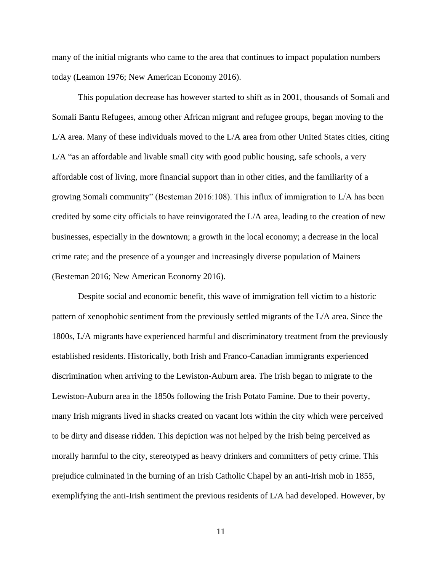many of the initial migrants who came to the area that continues to impact population numbers today (Leamon 1976; New American Economy 2016).

This population decrease has however started to shift as in 2001, thousands of Somali and Somali Bantu Refugees, among other African migrant and refugee groups, began moving to the L/A area. Many of these individuals moved to the L/A area from other United States cities, citing L/A "as an affordable and livable small city with good public housing, safe schools, a very affordable cost of living, more financial support than in other cities, and the familiarity of a growing Somali community" (Besteman 2016:108). This influx of immigration to L/A has been credited by some city officials to have reinvigorated the L/A area, leading to the creation of new businesses, especially in the downtown; a growth in the local economy; a decrease in the local crime rate; and the presence of a younger and increasingly diverse population of Mainers (Besteman 2016; New American Economy 2016).

Despite social and economic benefit, this wave of immigration fell victim to a historic pattern of xenophobic sentiment from the previously settled migrants of the L/A area. Since the 1800s, L/A migrants have experienced harmful and discriminatory treatment from the previously established residents. Historically, both Irish and Franco-Canadian immigrants experienced discrimination when arriving to the Lewiston-Auburn area. The Irish began to migrate to the Lewiston-Auburn area in the 1850s following the Irish Potato Famine. Due to their poverty, many Irish migrants lived in shacks created on vacant lots within the city which were perceived to be dirty and disease ridden. This depiction was not helped by the Irish being perceived as morally harmful to the city, stereotyped as heavy drinkers and committers of petty crime. This prejudice culminated in the burning of an Irish Catholic Chapel by an anti-Irish mob in 1855, exemplifying the anti-Irish sentiment the previous residents of L/A had developed. However, by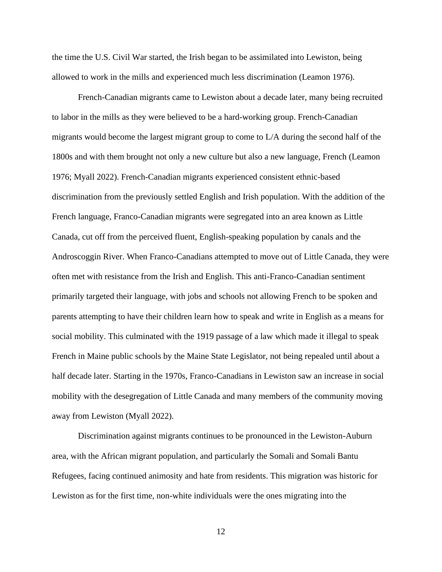the time the U.S. Civil War started, the Irish began to be assimilated into Lewiston, being allowed to work in the mills and experienced much less discrimination (Leamon 1976).

French-Canadian migrants came to Lewiston about a decade later, many being recruited to labor in the mills as they were believed to be a hard-working group. French-Canadian migrants would become the largest migrant group to come to L/A during the second half of the 1800s and with them brought not only a new culture but also a new language, French (Leamon 1976; Myall 2022). French-Canadian migrants experienced consistent ethnic-based discrimination from the previously settled English and Irish population. With the addition of the French language, Franco-Canadian migrants were segregated into an area known as Little Canada, cut off from the perceived fluent, English-speaking population by canals and the Androscoggin River. When Franco-Canadians attempted to move out of Little Canada, they were often met with resistance from the Irish and English. This anti-Franco-Canadian sentiment primarily targeted their language, with jobs and schools not allowing French to be spoken and parents attempting to have their children learn how to speak and write in English as a means for social mobility. This culminated with the 1919 passage of a law which made it illegal to speak French in Maine public schools by the Maine State Legislator, not being repealed until about a half decade later. Starting in the 1970s, Franco-Canadians in Lewiston saw an increase in social mobility with the desegregation of Little Canada and many members of the community moving away from Lewiston (Myall 2022).

Discrimination against migrants continues to be pronounced in the Lewiston-Auburn area, with the African migrant population, and particularly the Somali and Somali Bantu Refugees, facing continued animosity and hate from residents. This migration was historic for Lewiston as for the first time, non-white individuals were the ones migrating into the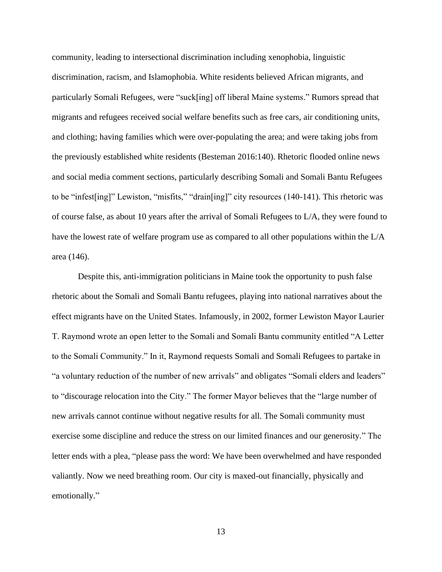community, leading to intersectional discrimination including xenophobia, linguistic discrimination, racism, and Islamophobia. White residents believed African migrants, and particularly Somali Refugees, were "suck[ing] off liberal Maine systems." Rumors spread that migrants and refugees received social welfare benefits such as free cars, air conditioning units, and clothing; having families which were over-populating the area; and were taking jobs from the previously established white residents (Besteman 2016:140). Rhetoric flooded online news and social media comment sections, particularly describing Somali and Somali Bantu Refugees to be "infest[ing]" Lewiston, "misfits," "drain[ing]" city resources (140-141). This rhetoric was of course false, as about 10 years after the arrival of Somali Refugees to L/A, they were found to have the lowest rate of welfare program use as compared to all other populations within the L/A area (146).

Despite this, anti-immigration politicians in Maine took the opportunity to push false rhetoric about the Somali and Somali Bantu refugees, playing into national narratives about the effect migrants have on the United States. Infamously, in 2002, former Lewiston Mayor Laurier T. Raymond wrote an open letter to the Somali and Somali Bantu community entitled "A Letter to the Somali Community." In it, Raymond requests Somali and Somali Refugees to partake in "a voluntary reduction of the number of new arrivals" and obligates "Somali elders and leaders" to "discourage relocation into the City." The former Mayor believes that the "large number of new arrivals cannot continue without negative results for all. The Somali community must exercise some discipline and reduce the stress on our limited finances and our generosity." The letter ends with a plea, "please pass the word: We have been overwhelmed and have responded valiantly. Now we need breathing room. Our city is maxed-out financially, physically and emotionally."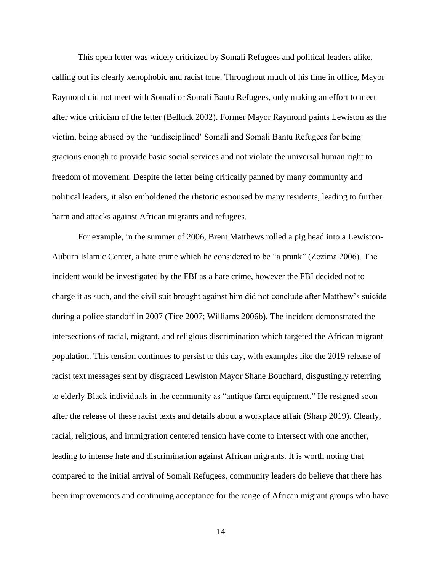This open letter was widely criticized by Somali Refugees and political leaders alike, calling out its clearly xenophobic and racist tone. Throughout much of his time in office, Mayor Raymond did not meet with Somali or Somali Bantu Refugees, only making an effort to meet after wide criticism of the letter (Belluck 2002). Former Mayor Raymond paints Lewiston as the victim, being abused by the 'undisciplined' Somali and Somali Bantu Refugees for being gracious enough to provide basic social services and not violate the universal human right to freedom of movement. Despite the letter being critically panned by many community and political leaders, it also emboldened the rhetoric espoused by many residents, leading to further harm and attacks against African migrants and refugees.

For example, in the summer of 2006, Brent Matthews rolled a pig head into a Lewiston-Auburn Islamic Center, a hate crime which he considered to be "a prank" (Zezima 2006). The incident would be investigated by the FBI as a hate crime, however the FBI decided not to charge it as such, and the civil suit brought against him did not conclude after Matthew's suicide during a police standoff in 2007 (Tice 2007; Williams 2006b). The incident demonstrated the intersections of racial, migrant, and religious discrimination which targeted the African migrant population. This tension continues to persist to this day, with examples like the 2019 release of racist text messages sent by disgraced Lewiston Mayor Shane Bouchard, disgustingly referring to elderly Black individuals in the community as "antique farm equipment." He resigned soon after the release of these racist texts and details about a workplace affair (Sharp 2019). Clearly, racial, religious, and immigration centered tension have come to intersect with one another, leading to intense hate and discrimination against African migrants. It is worth noting that compared to the initial arrival of Somali Refugees, community leaders do believe that there has been improvements and continuing acceptance for the range of African migrant groups who have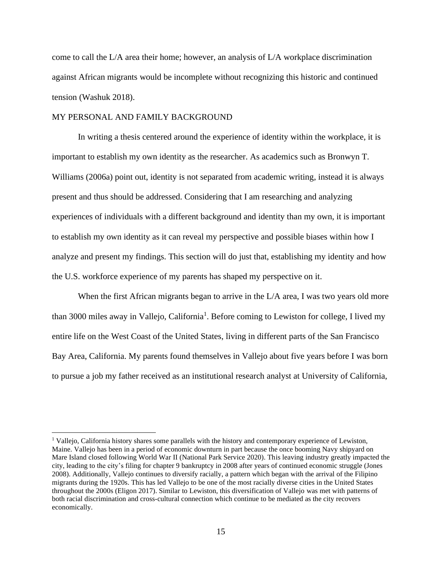come to call the L/A area their home; however, an analysis of L/A workplace discrimination against African migrants would be incomplete without recognizing this historic and continued tension (Washuk 2018).

## MY PERSONAL AND FAMILY BACKGROUND

In writing a thesis centered around the experience of identity within the workplace, it is important to establish my own identity as the researcher. As academics such as Bronwyn T. Williams (2006a) point out, identity is not separated from academic writing, instead it is always present and thus should be addressed. Considering that I am researching and analyzing experiences of individuals with a different background and identity than my own, it is important to establish my own identity as it can reveal my perspective and possible biases within how I analyze and present my findings. This section will do just that, establishing my identity and how the U.S. workforce experience of my parents has shaped my perspective on it.

When the first African migrants began to arrive in the L/A area, I was two years old more than 3000 miles away in Vallejo, California<sup>1</sup>. Before coming to Lewiston for college, I lived my entire life on the West Coast of the United States, living in different parts of the San Francisco Bay Area, California. My parents found themselves in Vallejo about five years before I was born to pursue a job my father received as an institutional research analyst at University of California,

<sup>&</sup>lt;sup>1</sup> Vallejo, California history shares some parallels with the history and contemporary experience of Lewiston, Maine. Vallejo has been in a period of economic downturn in part because the once booming Navy shipyard on Mare Island closed following World War II (National Park Service 2020). This leaving industry greatly impacted the city, leading to the city's filing for chapter 9 bankruptcy in 2008 after years of continued economic struggle (Jones 2008). Additionally, Vallejo continues to diversify racially, a pattern which began with the arrival of the Filipino migrants during the 1920s. This has led Vallejo to be one of the most racially diverse cities in the United States throughout the 2000s (Eligon 2017). Similar to Lewiston, this diversification of Vallejo was met with patterns of both racial discrimination and cross-cultural connection which continue to be mediated as the city recovers economically.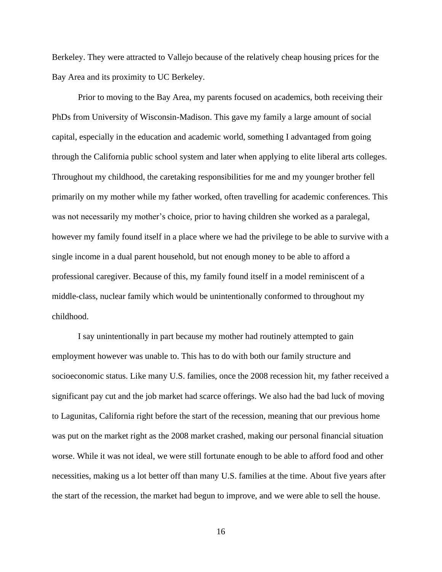Berkeley. They were attracted to Vallejo because of the relatively cheap housing prices for the Bay Area and its proximity to UC Berkeley.

Prior to moving to the Bay Area, my parents focused on academics, both receiving their PhDs from University of Wisconsin-Madison. This gave my family a large amount of social capital, especially in the education and academic world, something I advantaged from going through the California public school system and later when applying to elite liberal arts colleges. Throughout my childhood, the caretaking responsibilities for me and my younger brother fell primarily on my mother while my father worked, often travelling for academic conferences. This was not necessarily my mother's choice, prior to having children she worked as a paralegal, however my family found itself in a place where we had the privilege to be able to survive with a single income in a dual parent household, but not enough money to be able to afford a professional caregiver. Because of this, my family found itself in a model reminiscent of a middle-class, nuclear family which would be unintentionally conformed to throughout my childhood.

I say unintentionally in part because my mother had routinely attempted to gain employment however was unable to. This has to do with both our family structure and socioeconomic status. Like many U.S. families, once the 2008 recession hit, my father received a significant pay cut and the job market had scarce offerings. We also had the bad luck of moving to Lagunitas, California right before the start of the recession, meaning that our previous home was put on the market right as the 2008 market crashed, making our personal financial situation worse. While it was not ideal, we were still fortunate enough to be able to afford food and other necessities, making us a lot better off than many U.S. families at the time. About five years after the start of the recession, the market had begun to improve, and we were able to sell the house.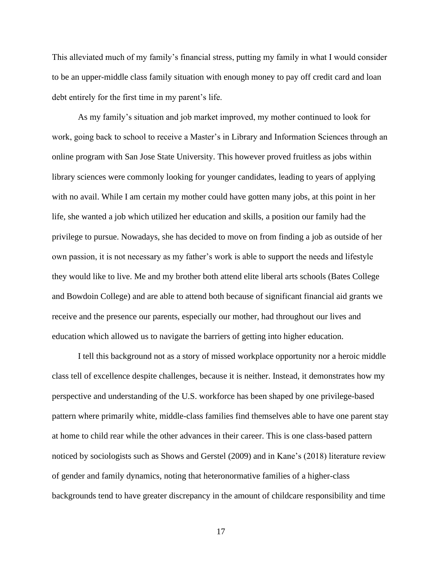This alleviated much of my family's financial stress, putting my family in what I would consider to be an upper-middle class family situation with enough money to pay off credit card and loan debt entirely for the first time in my parent's life.

As my family's situation and job market improved, my mother continued to look for work, going back to school to receive a Master's in Library and Information Sciences through an online program with San Jose State University. This however proved fruitless as jobs within library sciences were commonly looking for younger candidates, leading to years of applying with no avail. While I am certain my mother could have gotten many jobs, at this point in her life, she wanted a job which utilized her education and skills, a position our family had the privilege to pursue. Nowadays, she has decided to move on from finding a job as outside of her own passion, it is not necessary as my father's work is able to support the needs and lifestyle they would like to live. Me and my brother both attend elite liberal arts schools (Bates College and Bowdoin College) and are able to attend both because of significant financial aid grants we receive and the presence our parents, especially our mother, had throughout our lives and education which allowed us to navigate the barriers of getting into higher education.

I tell this background not as a story of missed workplace opportunity nor a heroic middle class tell of excellence despite challenges, because it is neither. Instead, it demonstrates how my perspective and understanding of the U.S. workforce has been shaped by one privilege-based pattern where primarily white, middle-class families find themselves able to have one parent stay at home to child rear while the other advances in their career. This is one class-based pattern noticed by sociologists such as Shows and Gerstel (2009) and in Kane's (2018) literature review of gender and family dynamics, noting that heteronormative families of a higher-class backgrounds tend to have greater discrepancy in the amount of childcare responsibility and time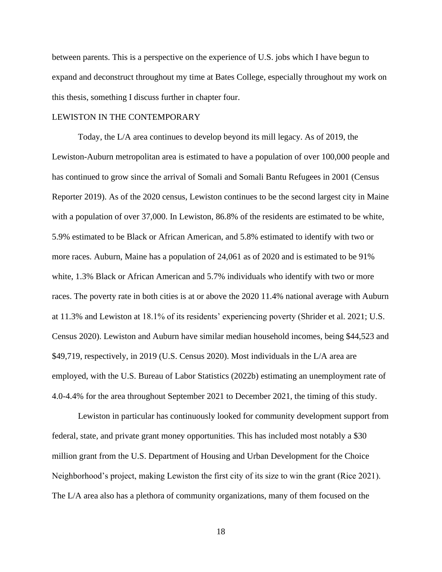between parents. This is a perspective on the experience of U.S. jobs which I have begun to expand and deconstruct throughout my time at Bates College, especially throughout my work on this thesis, something I discuss further in chapter four.

## LEWISTON IN THE CONTEMPORARY

Today, the L/A area continues to develop beyond its mill legacy. As of 2019, the Lewiston-Auburn metropolitan area is estimated to have a population of over 100,000 people and has continued to grow since the arrival of Somali and Somali Bantu Refugees in 2001 (Census Reporter 2019). As of the 2020 census, Lewiston continues to be the second largest city in Maine with a population of over 37,000. In Lewiston, 86.8% of the residents are estimated to be white, 5.9% estimated to be Black or African American, and 5.8% estimated to identify with two or more races. Auburn, Maine has a population of 24,061 as of 2020 and is estimated to be 91% white, 1.3% Black or African American and 5.7% individuals who identify with two or more races. The poverty rate in both cities is at or above the 2020 11.4% national average with Auburn at 11.3% and Lewiston at 18.1% of its residents' experiencing poverty (Shrider et al. 2021; U.S. Census 2020). Lewiston and Auburn have similar median household incomes, being \$44,523 and \$49,719, respectively, in 2019 (U.S. Census 2020). Most individuals in the L/A area are employed, with the U.S. Bureau of Labor Statistics (2022b) estimating an unemployment rate of 4.0-4.4% for the area throughout September 2021 to December 2021, the timing of this study.

Lewiston in particular has continuously looked for community development support from federal, state, and private grant money opportunities. This has included most notably a \$30 million grant from the U.S. Department of Housing and Urban Development for the Choice Neighborhood's project, making Lewiston the first city of its size to win the grant (Rice 2021). The L/A area also has a plethora of community organizations, many of them focused on the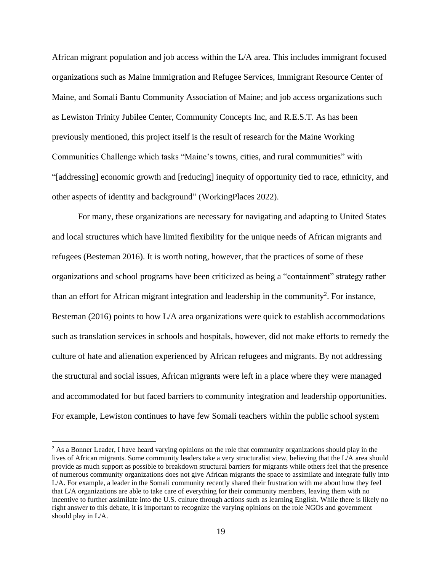African migrant population and job access within the L/A area. This includes immigrant focused organizations such as Maine Immigration and Refugee Services, Immigrant Resource Center of Maine, and Somali Bantu Community Association of Maine; and job access organizations such as Lewiston Trinity Jubilee Center, Community Concepts Inc, and R.E.S.T. As has been previously mentioned, this project itself is the result of research for the Maine Working Communities Challenge which tasks "Maine's towns, cities, and rural communities" with "[addressing] economic growth and [reducing] inequity of opportunity tied to race, ethnicity, and other aspects of identity and background" (WorkingPlaces 2022).

For many, these organizations are necessary for navigating and adapting to United States and local structures which have limited flexibility for the unique needs of African migrants and refugees (Besteman 2016). It is worth noting, however, that the practices of some of these organizations and school programs have been criticized as being a "containment" strategy rather than an effort for African migrant integration and leadership in the community<sup>2</sup>. For instance, Besteman (2016) points to how L/A area organizations were quick to establish accommodations such as translation services in schools and hospitals, however, did not make efforts to remedy the culture of hate and alienation experienced by African refugees and migrants. By not addressing the structural and social issues, African migrants were left in a place where they were managed and accommodated for but faced barriers to community integration and leadership opportunities. For example, Lewiston continues to have few Somali teachers within the public school system

<sup>&</sup>lt;sup>2</sup> As a Bonner Leader, I have heard varying opinions on the role that community organizations should play in the lives of African migrants. Some community leaders take a very structuralist view, believing that the L/A area should provide as much support as possible to breakdown structural barriers for migrants while others feel that the presence of numerous community organizations does not give African migrants the space to assimilate and integrate fully into L/A. For example, a leader in the Somali community recently shared their frustration with me about how they feel that L/A organizations are able to take care of everything for their community members, leaving them with no incentive to further assimilate into the U.S. culture through actions such as learning English. While there is likely no right answer to this debate, it is important to recognize the varying opinions on the role NGOs and government should play in L/A.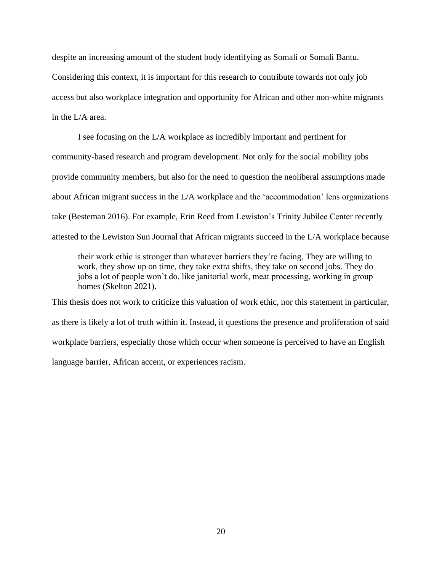despite an increasing amount of the student body identifying as Somali or Somali Bantu. Considering this context, it is important for this research to contribute towards not only job access but also workplace integration and opportunity for African and other non-white migrants in the L/A area.

I see focusing on the L/A workplace as incredibly important and pertinent for community-based research and program development. Not only for the social mobility jobs provide community members, but also for the need to question the neoliberal assumptions made about African migrant success in the L/A workplace and the 'accommodation' lens organizations take (Besteman 2016). For example, Erin Reed from Lewiston's Trinity Jubilee Center recently attested to the Lewiston Sun Journal that African migrants succeed in the L/A workplace because

their work ethic is stronger than whatever barriers they're facing. They are willing to work, they show up on time, they take extra shifts, they take on second jobs. They do jobs a lot of people won't do, like janitorial work, meat processing, working in group homes (Skelton 2021).

This thesis does not work to criticize this valuation of work ethic, nor this statement in particular, as there is likely a lot of truth within it. Instead, it questions the presence and proliferation of said workplace barriers, especially those which occur when someone is perceived to have an English language barrier, African accent, or experiences racism.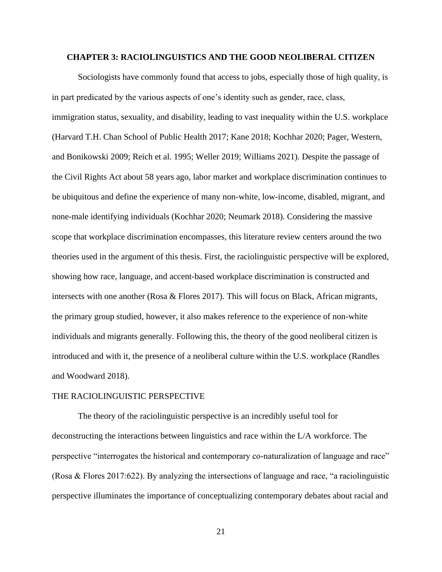## **CHAPTER 3: RACIOLINGUISTICS AND THE GOOD NEOLIBERAL CITIZEN**

Sociologists have commonly found that access to jobs, especially those of high quality, is in part predicated by the various aspects of one's identity such as gender, race, class, immigration status, sexuality, and disability, leading to vast inequality within the U.S. workplace (Harvard T.H. Chan School of Public Health 2017; Kane 2018; Kochhar 2020; Pager, Western, and Bonikowski 2009; Reich et al. 1995; Weller 2019; Williams 2021). Despite the passage of the Civil Rights Act about 58 years ago, labor market and workplace discrimination continues to be ubiquitous and define the experience of many non-white, low-income, disabled, migrant, and none-male identifying individuals (Kochhar 2020; Neumark 2018). Considering the massive scope that workplace discrimination encompasses, this literature review centers around the two theories used in the argument of this thesis. First, the raciolinguistic perspective will be explored, showing how race, language, and accent-based workplace discrimination is constructed and intersects with one another (Rosa & Flores 2017). This will focus on Black, African migrants, the primary group studied, however, it also makes reference to the experience of non-white individuals and migrants generally. Following this, the theory of the good neoliberal citizen is introduced and with it, the presence of a neoliberal culture within the U.S. workplace (Randles and Woodward 2018).

#### THE RACIOLINGUISTIC PERSPECTIVE

The theory of the raciolinguistic perspective is an incredibly useful tool for deconstructing the interactions between linguistics and race within the L/A workforce. The perspective "interrogates the historical and contemporary co-naturalization of language and race" (Rosa & Flores 2017:622). By analyzing the intersections of language and race, "a raciolinguistic perspective illuminates the importance of conceptualizing contemporary debates about racial and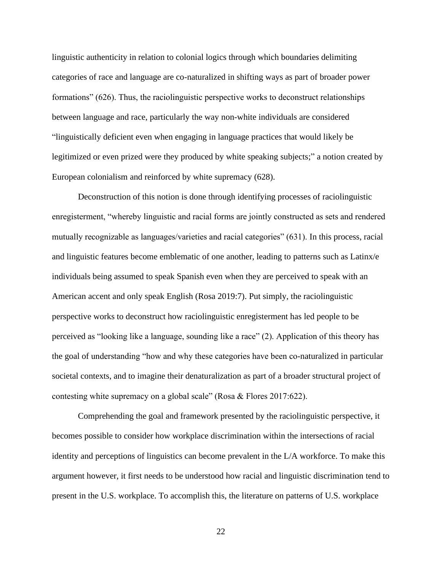linguistic authenticity in relation to colonial logics through which boundaries delimiting categories of race and language are co-naturalized in shifting ways as part of broader power formations" (626). Thus, the raciolinguistic perspective works to deconstruct relationships between language and race, particularly the way non-white individuals are considered "linguistically deficient even when engaging in language practices that would likely be legitimized or even prized were they produced by white speaking subjects;" a notion created by European colonialism and reinforced by white supremacy (628).

Deconstruction of this notion is done through identifying processes of raciolinguistic enregisterment, "whereby linguistic and racial forms are jointly constructed as sets and rendered mutually recognizable as languages/varieties and racial categories" (631). In this process, racial and linguistic features become emblematic of one another, leading to patterns such as Latinx/e individuals being assumed to speak Spanish even when they are perceived to speak with an American accent and only speak English (Rosa 2019:7). Put simply, the raciolinguistic perspective works to deconstruct how raciolinguistic enregisterment has led people to be perceived as "looking like a language, sounding like a race" (2). Application of this theory has the goal of understanding "how and why these categories have been co-naturalized in particular societal contexts, and to imagine their denaturalization as part of a broader structural project of contesting white supremacy on a global scale" (Rosa & Flores 2017:622).

Comprehending the goal and framework presented by the raciolinguistic perspective, it becomes possible to consider how workplace discrimination within the intersections of racial identity and perceptions of linguistics can become prevalent in the L/A workforce. To make this argument however, it first needs to be understood how racial and linguistic discrimination tend to present in the U.S. workplace. To accomplish this, the literature on patterns of U.S. workplace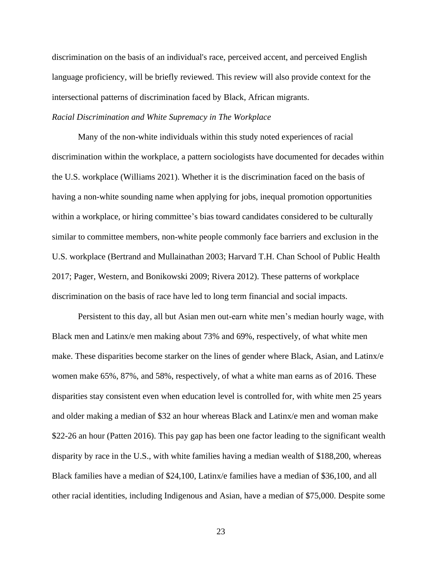discrimination on the basis of an individual's race, perceived accent, and perceived English language proficiency, will be briefly reviewed. This review will also provide context for the intersectional patterns of discrimination faced by Black, African migrants.

## *Racial Discrimination and White Supremacy in The Workplace*

Many of the non-white individuals within this study noted experiences of racial discrimination within the workplace, a pattern sociologists have documented for decades within the U.S. workplace (Williams 2021). Whether it is the discrimination faced on the basis of having a non-white sounding name when applying for jobs, inequal promotion opportunities within a workplace, or hiring committee's bias toward candidates considered to be culturally similar to committee members, non-white people commonly face barriers and exclusion in the U.S. workplace (Bertrand and Mullainathan 2003; Harvard T.H. Chan School of Public Health 2017; Pager, Western, and Bonikowski 2009; Rivera 2012). These patterns of workplace discrimination on the basis of race have led to long term financial and social impacts.

Persistent to this day, all but Asian men out-earn white men's median hourly wage, with Black men and Latinx/e men making about 73% and 69%, respectively, of what white men make. These disparities become starker on the lines of gender where Black, Asian, and Latinx/e women make 65%, 87%, and 58%, respectively, of what a white man earns as of 2016. These disparities stay consistent even when education level is controlled for, with white men 25 years and older making a median of \$32 an hour whereas Black and Latinx/e men and woman make \$22-26 an hour (Patten 2016). This pay gap has been one factor leading to the significant wealth disparity by race in the U.S., with white families having a median wealth of \$188,200, whereas Black families have a median of \$24,100, Latinx/e families have a median of \$36,100, and all other racial identities, including Indigenous and Asian, have a median of \$75,000. Despite some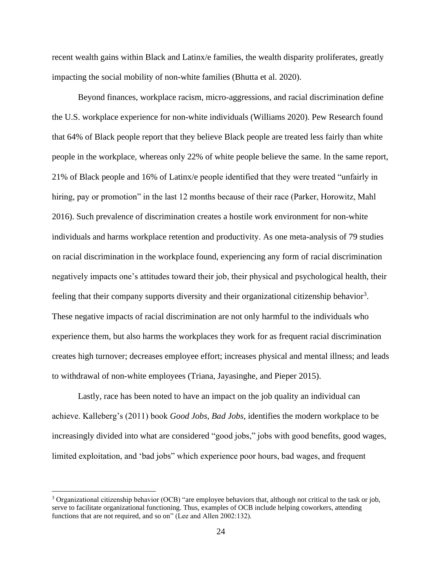recent wealth gains within Black and Latinx/e families, the wealth disparity proliferates, greatly impacting the social mobility of non-white families (Bhutta et al. 2020).

Beyond finances, workplace racism, micro-aggressions, and racial discrimination define the U.S. workplace experience for non-white individuals (Williams 2020). Pew Research found that 64% of Black people report that they believe Black people are treated less fairly than white people in the workplace, whereas only 22% of white people believe the same. In the same report, 21% of Black people and 16% of Latinx/e people identified that they were treated "unfairly in hiring, pay or promotion" in the last 12 months because of their race (Parker, Horowitz, Mahl 2016). Such prevalence of discrimination creates a hostile work environment for non-white individuals and harms workplace retention and productivity. As one meta-analysis of 79 studies on racial discrimination in the workplace found, experiencing any form of racial discrimination negatively impacts one's attitudes toward their job, their physical and psychological health, their feeling that their company supports diversity and their organizational citizenship behavior<sup>3</sup>. These negative impacts of racial discrimination are not only harmful to the individuals who experience them, but also harms the workplaces they work for as frequent racial discrimination creates high turnover; decreases employee effort; increases physical and mental illness; and leads to withdrawal of non-white employees (Triana, Jayasinghe, and Pieper 2015).

Lastly, race has been noted to have an impact on the job quality an individual can achieve. Kalleberg's (2011) book *Good Jobs, Bad Jobs,* identifies the modern workplace to be increasingly divided into what are considered "good jobs," jobs with good benefits, good wages, limited exploitation, and 'bad jobs" which experience poor hours, bad wages, and frequent

<sup>3</sup> Organizational citizenship behavior (OCB) "are employee behaviors that, although not critical to the task or job, serve to facilitate organizational functioning. Thus, examples of OCB include helping coworkers, attending functions that are not required, and so on" (Lee and Allen 2002:132).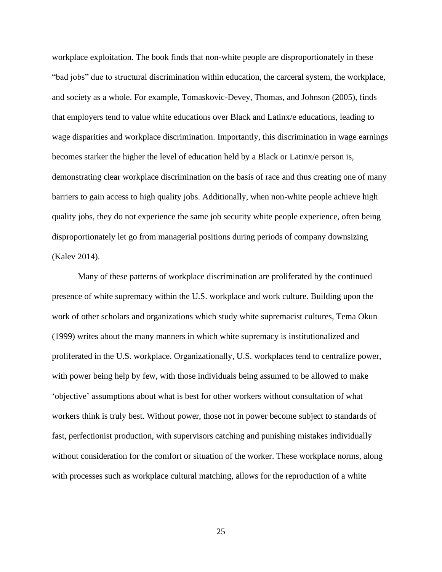workplace exploitation. The book finds that non-white people are disproportionately in these "bad jobs" due to structural discrimination within education, the carceral system, the workplace, and society as a whole. For example, Tomaskovic-Devey, Thomas, and Johnson (2005), finds that employers tend to value white educations over Black and Latinx/e educations, leading to wage disparities and workplace discrimination. Importantly, this discrimination in wage earnings becomes starker the higher the level of education held by a Black or Latinx/e person is, demonstrating clear workplace discrimination on the basis of race and thus creating one of many barriers to gain access to high quality jobs. Additionally, when non-white people achieve high quality jobs, they do not experience the same job security white people experience, often being disproportionately let go from managerial positions during periods of company downsizing (Kalev 2014).

Many of these patterns of workplace discrimination are proliferated by the continued presence of white supremacy within the U.S. workplace and work culture. Building upon the work of other scholars and organizations which study white supremacist cultures, Tema Okun (1999) writes about the many manners in which white supremacy is institutionalized and proliferated in the U.S. workplace. Organizationally, U.S. workplaces tend to centralize power, with power being help by few, with those individuals being assumed to be allowed to make 'objective' assumptions about what is best for other workers without consultation of what workers think is truly best. Without power, those not in power become subject to standards of fast, perfectionist production, with supervisors catching and punishing mistakes individually without consideration for the comfort or situation of the worker. These workplace norms, along with processes such as workplace cultural matching, allows for the reproduction of a white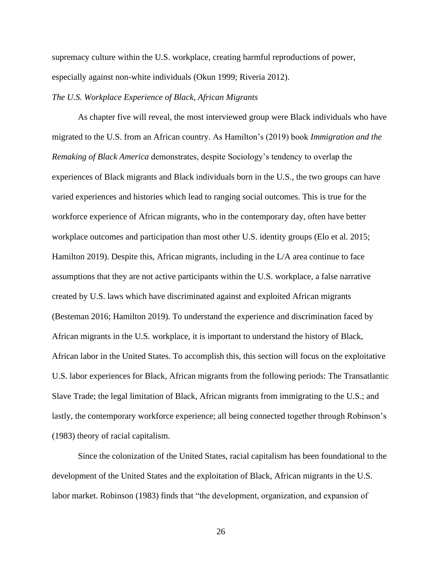supremacy culture within the U.S. workplace, creating harmful reproductions of power, especially against non-white individuals (Okun 1999; Riveria 2012).

## *The U.S. Workplace Experience of Black, African Migrants*

As chapter five will reveal, the most interviewed group were Black individuals who have migrated to the U.S. from an African country. As Hamilton's (2019) book *Immigration and the Remaking of Black America* demonstrates, despite Sociology's tendency to overlap the experiences of Black migrants and Black individuals born in the U.S., the two groups can have varied experiences and histories which lead to ranging social outcomes. This is true for the workforce experience of African migrants, who in the contemporary day, often have better workplace outcomes and participation than most other U.S. identity groups (Elo et al. 2015; Hamilton 2019). Despite this, African migrants, including in the L/A area continue to face assumptions that they are not active participants within the U.S. workplace, a false narrative created by U.S. laws which have discriminated against and exploited African migrants (Besteman 2016; Hamilton 2019). To understand the experience and discrimination faced by African migrants in the U.S. workplace, it is important to understand the history of Black, African labor in the United States. To accomplish this, this section will focus on the exploitative U.S. labor experiences for Black, African migrants from the following periods: The Transatlantic Slave Trade; the legal limitation of Black, African migrants from immigrating to the U.S.; and lastly, the contemporary workforce experience; all being connected together through Robinson's (1983) theory of racial capitalism.

Since the colonization of the United States, racial capitalism has been foundational to the development of the United States and the exploitation of Black, African migrants in the U.S. labor market. Robinson (1983) finds that "the development, organization, and expansion of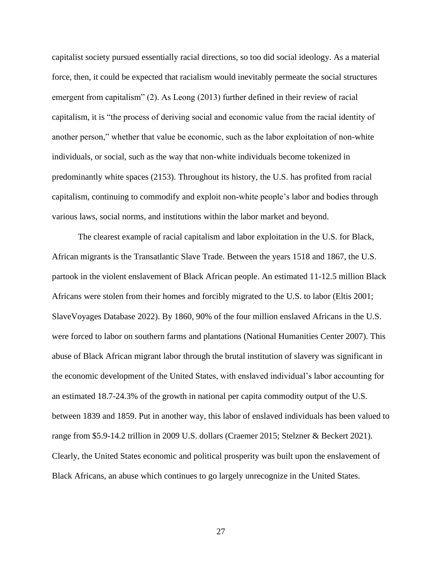capitalist society pursued essentially racial directions, so too did social ideology. As a material force, then, it could be expected that racialism would inevitably permeate the social structures emergent from capitalism" (2). As Leong (2013) further defined in their review of racial capitalism, it is "the process of deriving social and economic value from the racial identity of another person," whether that value be economic, such as the labor exploitation of non-white individuals, or social, such as the way that non-white individuals become tokenized in predominantly white spaces (2153). Throughout its history, the U.S. has profited from racial capitalism, continuing to commodify and exploit non-white people's labor and bodies through various laws, social norms, and institutions within the labor market and beyond.

The clearest example of racial capitalism and labor exploitation in the U.S. for Black, African migrants is the Transatlantic Slave Trade. Between the years 1518 and 1867, the U.S. partook in the violent enslavement of Black African people. An estimated 11-12.5 million Black Africans were stolen from their homes and forcibly migrated to the U.S. to labor (Eltis 2001; SlaveVoyages Database 2022). By 1860, 90% of the four million enslaved Africans in the U.S. were forced to labor on southern farms and plantations (National Humanities Center 2007). This abuse of Black African migrant labor through the brutal institution of slavery was significant in the economic development of the United States, with enslaved individual's labor accounting for an estimated 18.7-24.3% of the growth in national per capita commodity output of the U.S. between 1839 and 1859. Put in another way, this labor of enslaved individuals has been valued to range from \$5.9-14.2 trillion in 2009 U.S. dollars (Craemer 2015; Stelzner & Beckert 2021). Clearly, the United States economic and political prosperity was built upon the enslavement of Black Africans, an abuse which continues to go largely unrecognize in the United States.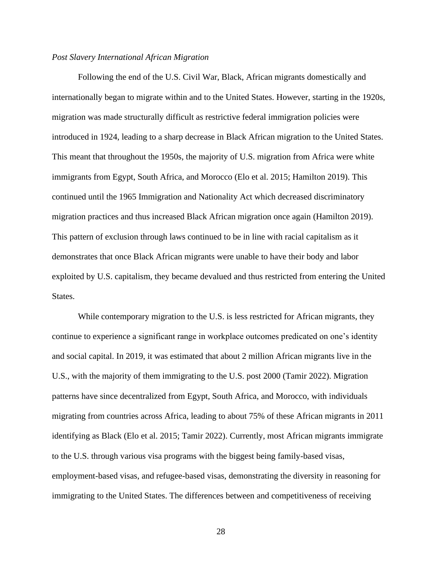#### *Post Slavery International African Migration*

Following the end of the U.S. Civil War, Black, African migrants domestically and internationally began to migrate within and to the United States. However, starting in the 1920s, migration was made structurally difficult as restrictive federal immigration policies were introduced in 1924, leading to a sharp decrease in Black African migration to the United States. This meant that throughout the 1950s, the majority of U.S. migration from Africa were white immigrants from Egypt, South Africa, and Morocco (Elo et al. 2015; Hamilton 2019). This continued until the 1965 Immigration and Nationality Act which decreased discriminatory migration practices and thus increased Black African migration once again (Hamilton 2019). This pattern of exclusion through laws continued to be in line with racial capitalism as it demonstrates that once Black African migrants were unable to have their body and labor exploited by U.S. capitalism, they became devalued and thus restricted from entering the United States.

While contemporary migration to the U.S. is less restricted for African migrants, they continue to experience a significant range in workplace outcomes predicated on one's identity and social capital. In 2019, it was estimated that about 2 million African migrants live in the U.S., with the majority of them immigrating to the U.S. post 2000 (Tamir 2022). Migration patterns have since decentralized from Egypt, South Africa, and Morocco, with individuals migrating from countries across Africa, leading to about 75% of these African migrants in 2011 identifying as Black (Elo et al. 2015; Tamir 2022). Currently, most African migrants immigrate to the U.S. through various visa programs with the biggest being family-based visas, employment-based visas, and refugee-based visas, demonstrating the diversity in reasoning for immigrating to the United States. The differences between and competitiveness of receiving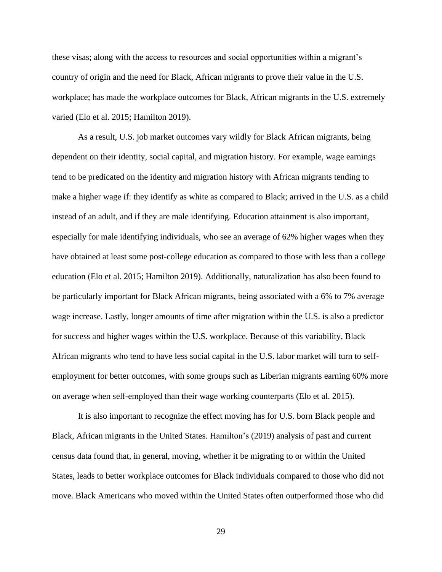these visas; along with the access to resources and social opportunities within a migrant's country of origin and the need for Black, African migrants to prove their value in the U.S. workplace; has made the workplace outcomes for Black, African migrants in the U.S. extremely varied (Elo et al. 2015; Hamilton 2019).

As a result, U.S. job market outcomes vary wildly for Black African migrants, being dependent on their identity, social capital, and migration history. For example, wage earnings tend to be predicated on the identity and migration history with African migrants tending to make a higher wage if: they identify as white as compared to Black; arrived in the U.S. as a child instead of an adult, and if they are male identifying. Education attainment is also important, especially for male identifying individuals, who see an average of 62% higher wages when they have obtained at least some post-college education as compared to those with less than a college education (Elo et al. 2015; Hamilton 2019). Additionally, naturalization has also been found to be particularly important for Black African migrants, being associated with a 6% to 7% average wage increase. Lastly, longer amounts of time after migration within the U.S. is also a predictor for success and higher wages within the U.S. workplace. Because of this variability, Black African migrants who tend to have less social capital in the U.S. labor market will turn to selfemployment for better outcomes, with some groups such as Liberian migrants earning 60% more on average when self-employed than their wage working counterparts (Elo et al. 2015).

It is also important to recognize the effect moving has for U.S. born Black people and Black, African migrants in the United States. Hamilton's (2019) analysis of past and current census data found that, in general, moving, whether it be migrating to or within the United States, leads to better workplace outcomes for Black individuals compared to those who did not move. Black Americans who moved within the United States often outperformed those who did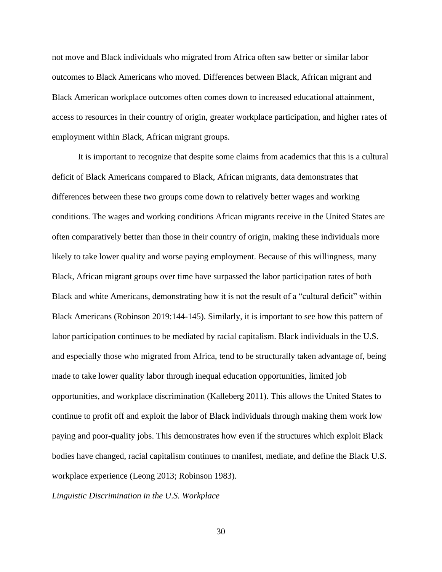not move and Black individuals who migrated from Africa often saw better or similar labor outcomes to Black Americans who moved. Differences between Black, African migrant and Black American workplace outcomes often comes down to increased educational attainment, access to resources in their country of origin, greater workplace participation, and higher rates of employment within Black, African migrant groups.

It is important to recognize that despite some claims from academics that this is a cultural deficit of Black Americans compared to Black, African migrants, data demonstrates that differences between these two groups come down to relatively better wages and working conditions. The wages and working conditions African migrants receive in the United States are often comparatively better than those in their country of origin, making these individuals more likely to take lower quality and worse paying employment. Because of this willingness, many Black, African migrant groups over time have surpassed the labor participation rates of both Black and white Americans, demonstrating how it is not the result of a "cultural deficit" within Black Americans (Robinson 2019:144-145). Similarly, it is important to see how this pattern of labor participation continues to be mediated by racial capitalism. Black individuals in the U.S. and especially those who migrated from Africa, tend to be structurally taken advantage of, being made to take lower quality labor through inequal education opportunities, limited job opportunities, and workplace discrimination (Kalleberg 2011). This allows the United States to continue to profit off and exploit the labor of Black individuals through making them work low paying and poor-quality jobs. This demonstrates how even if the structures which exploit Black bodies have changed, racial capitalism continues to manifest, mediate, and define the Black U.S. workplace experience (Leong 2013; Robinson 1983).

*Linguistic Discrimination in the U.S. Workplace*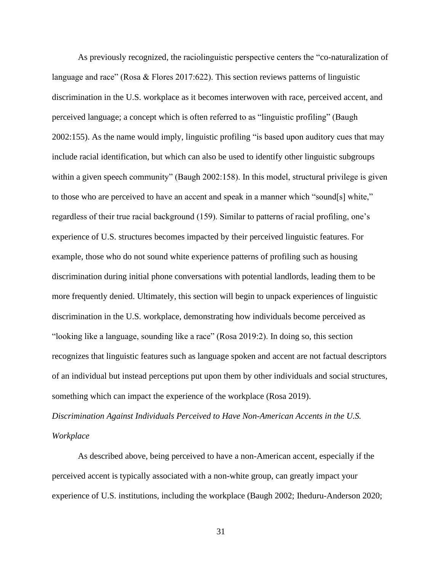As previously recognized, the raciolinguistic perspective centers the "co-naturalization of language and race" (Rosa & Flores 2017:622). This section reviews patterns of linguistic discrimination in the U.S. workplace as it becomes interwoven with race, perceived accent, and perceived language; a concept which is often referred to as "linguistic profiling" (Baugh 2002:155). As the name would imply, linguistic profiling "is based upon auditory cues that may include racial identification, but which can also be used to identify other linguistic subgroups within a given speech community" (Baugh 2002:158). In this model, structural privilege is given to those who are perceived to have an accent and speak in a manner which "sound[s] white," regardless of their true racial background (159). Similar to patterns of racial profiling, one's experience of U.S. structures becomes impacted by their perceived linguistic features. For example, those who do not sound white experience patterns of profiling such as housing discrimination during initial phone conversations with potential landlords, leading them to be more frequently denied. Ultimately, this section will begin to unpack experiences of linguistic discrimination in the U.S. workplace, demonstrating how individuals become perceived as "looking like a language, sounding like a race" (Rosa 2019:2). In doing so, this section recognizes that linguistic features such as language spoken and accent are not factual descriptors of an individual but instead perceptions put upon them by other individuals and social structures, something which can impact the experience of the workplace (Rosa 2019). *Discrimination Against Individuals Perceived to Have Non-American Accents in the U.S.* 

*Workplace*

As described above, being perceived to have a non-American accent, especially if the perceived accent is typically associated with a non-white group, can greatly impact your experience of U.S. institutions, including the workplace (Baugh 2002; Iheduru-Anderson 2020;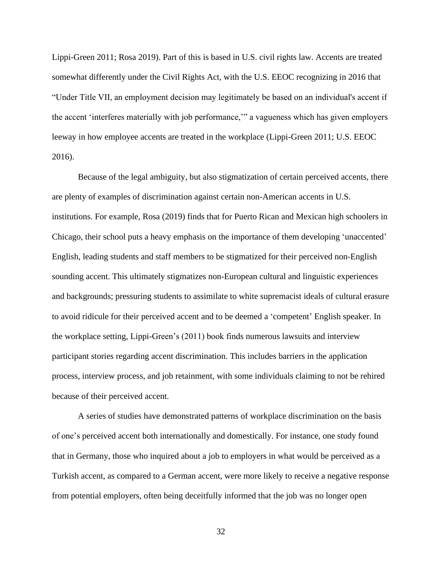Lippi-Green 2011; Rosa 2019). Part of this is based in U.S. civil rights law. Accents are treated somewhat differently under the Civil Rights Act, with the U.S. EEOC recognizing in 2016 that "Under Title VII, an employment decision may legitimately be based on an individual's accent if the accent 'interferes materially with job performance,'" a vagueness which has given employers leeway in how employee accents are treated in the workplace (Lippi-Green 2011; U.S. EEOC 2016).

Because of the legal ambiguity, but also stigmatization of certain perceived accents, there are plenty of examples of discrimination against certain non-American accents in U.S. institutions. For example, Rosa (2019) finds that for Puerto Rican and Mexican high schoolers in Chicago, their school puts a heavy emphasis on the importance of them developing 'unaccented' English, leading students and staff members to be stigmatized for their perceived non-English sounding accent. This ultimately stigmatizes non-European cultural and linguistic experiences and backgrounds; pressuring students to assimilate to white supremacist ideals of cultural erasure to avoid ridicule for their perceived accent and to be deemed a 'competent' English speaker. In the workplace setting, Lippi-Green's (2011) book finds numerous lawsuits and interview participant stories regarding accent discrimination. This includes barriers in the application process, interview process, and job retainment, with some individuals claiming to not be rehired because of their perceived accent.

A series of studies have demonstrated patterns of workplace discrimination on the basis of one's perceived accent both internationally and domestically. For instance, one study found that in Germany, those who inquired about a job to employers in what would be perceived as a Turkish accent, as compared to a German accent, were more likely to receive a negative response from potential employers, often being deceitfully informed that the job was no longer open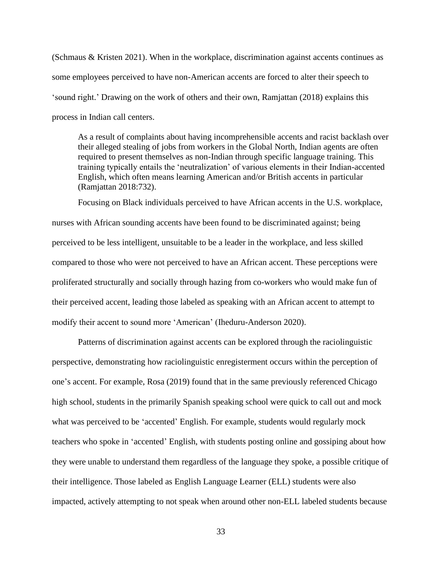(Schmaus & Kristen 2021). When in the workplace, discrimination against accents continues as some employees perceived to have non-American accents are forced to alter their speech to 'sound right.' Drawing on the work of others and their own, Ramjattan (2018) explains this process in Indian call centers.

As a result of complaints about having incomprehensible accents and racist backlash over their alleged stealing of jobs from workers in the Global North, Indian agents are often required to present themselves as non-Indian through specific language training. This training typically entails the 'neutralization' of various elements in their Indian-accented English, which often means learning American and/or British accents in particular (Ramjattan 2018:732).

Focusing on Black individuals perceived to have African accents in the U.S. workplace, nurses with African sounding accents have been found to be discriminated against; being perceived to be less intelligent, unsuitable to be a leader in the workplace, and less skilled compared to those who were not perceived to have an African accent. These perceptions were proliferated structurally and socially through hazing from co-workers who would make fun of their perceived accent, leading those labeled as speaking with an African accent to attempt to modify their accent to sound more 'American' (Iheduru-Anderson 2020).

Patterns of discrimination against accents can be explored through the raciolinguistic perspective, demonstrating how raciolinguistic enregisterment occurs within the perception of one's accent. For example, Rosa (2019) found that in the same previously referenced Chicago high school, students in the primarily Spanish speaking school were quick to call out and mock what was perceived to be 'accented' English. For example, students would regularly mock teachers who spoke in 'accented' English, with students posting online and gossiping about how they were unable to understand them regardless of the language they spoke, a possible critique of their intelligence. Those labeled as English Language Learner (ELL) students were also impacted, actively attempting to not speak when around other non-ELL labeled students because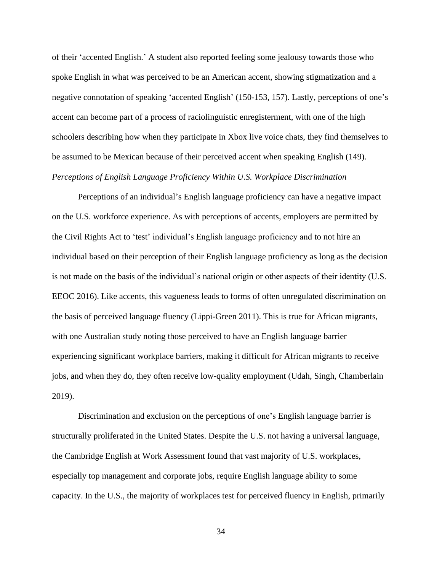of their 'accented English.' A student also reported feeling some jealousy towards those who spoke English in what was perceived to be an American accent, showing stigmatization and a negative connotation of speaking 'accented English' (150-153, 157). Lastly, perceptions of one's accent can become part of a process of raciolinguistic enregisterment, with one of the high schoolers describing how when they participate in Xbox live voice chats, they find themselves to be assumed to be Mexican because of their perceived accent when speaking English (149). *Perceptions of English Language Proficiency Within U.S. Workplace Discrimination*

Perceptions of an individual's English language proficiency can have a negative impact on the U.S. workforce experience. As with perceptions of accents, employers are permitted by the Civil Rights Act to 'test' individual's English language proficiency and to not hire an individual based on their perception of their English language proficiency as long as the decision is not made on the basis of the individual's national origin or other aspects of their identity (U.S. EEOC 2016). Like accents, this vagueness leads to forms of often unregulated discrimination on the basis of perceived language fluency (Lippi-Green 2011). This is true for African migrants, with one Australian study noting those perceived to have an English language barrier experiencing significant workplace barriers, making it difficult for African migrants to receive jobs, and when they do, they often receive low-quality employment (Udah, Singh, Chamberlain 2019).

Discrimination and exclusion on the perceptions of one's English language barrier is structurally proliferated in the United States. Despite the U.S. not having a universal language, the Cambridge English at Work Assessment found that vast majority of U.S. workplaces, especially top management and corporate jobs, require English language ability to some capacity. In the U.S., the majority of workplaces test for perceived fluency in English, primarily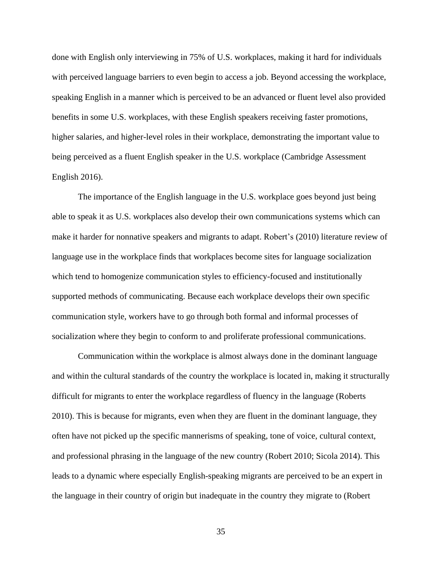done with English only interviewing in 75% of U.S. workplaces, making it hard for individuals with perceived language barriers to even begin to access a job. Beyond accessing the workplace, speaking English in a manner which is perceived to be an advanced or fluent level also provided benefits in some U.S. workplaces, with these English speakers receiving faster promotions, higher salaries, and higher-level roles in their workplace, demonstrating the important value to being perceived as a fluent English speaker in the U.S. workplace (Cambridge Assessment English 2016).

The importance of the English language in the U.S. workplace goes beyond just being able to speak it as U.S. workplaces also develop their own communications systems which can make it harder for nonnative speakers and migrants to adapt. Robert's (2010) literature review of language use in the workplace finds that workplaces become sites for language socialization which tend to homogenize communication styles to efficiency-focused and institutionally supported methods of communicating. Because each workplace develops their own specific communication style, workers have to go through both formal and informal processes of socialization where they begin to conform to and proliferate professional communications.

Communication within the workplace is almost always done in the dominant language and within the cultural standards of the country the workplace is located in, making it structurally difficult for migrants to enter the workplace regardless of fluency in the language (Roberts 2010). This is because for migrants, even when they are fluent in the dominant language, they often have not picked up the specific mannerisms of speaking, tone of voice, cultural context, and professional phrasing in the language of the new country (Robert 2010; Sicola 2014). This leads to a dynamic where especially English-speaking migrants are perceived to be an expert in the language in their country of origin but inadequate in the country they migrate to (Robert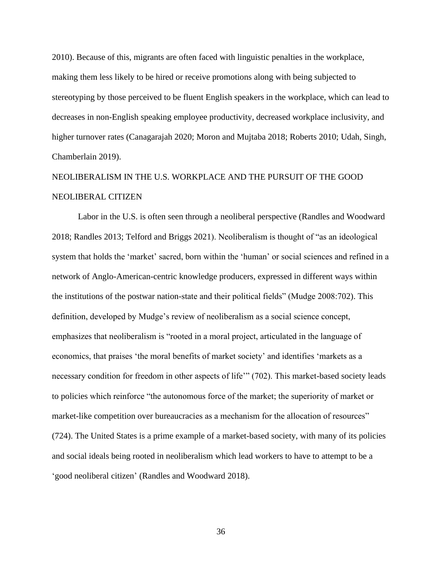2010). Because of this, migrants are often faced with linguistic penalties in the workplace, making them less likely to be hired or receive promotions along with being subjected to stereotyping by those perceived to be fluent English speakers in the workplace, which can lead to decreases in non-English speaking employee productivity, decreased workplace inclusivity, and higher turnover rates (Canagarajah 2020; Moron and Mujtaba 2018; Roberts 2010; Udah, Singh, Chamberlain 2019).

# NEOLIBERALISM IN THE U.S. WORKPLACE AND THE PURSUIT OF THE GOOD NEOLIBERAL CITIZEN

Labor in the U.S. is often seen through a neoliberal perspective (Randles and Woodward 2018; Randles 2013; Telford and Briggs 2021). Neoliberalism is thought of "as an ideological system that holds the 'market' sacred, born within the 'human' or social sciences and refined in a network of Anglo-American-centric knowledge producers, expressed in different ways within the institutions of the postwar nation-state and their political fields" (Mudge 2008:702). This definition, developed by Mudge's review of neoliberalism as a social science concept, emphasizes that neoliberalism is "rooted in a moral project, articulated in the language of economics, that praises 'the moral benefits of market society' and identifies 'markets as a necessary condition for freedom in other aspects of life'" (702). This market-based society leads to policies which reinforce "the autonomous force of the market; the superiority of market or market-like competition over bureaucracies as a mechanism for the allocation of resources" (724). The United States is a prime example of a market-based society, with many of its policies and social ideals being rooted in neoliberalism which lead workers to have to attempt to be a 'good neoliberal citizen' (Randles and Woodward 2018).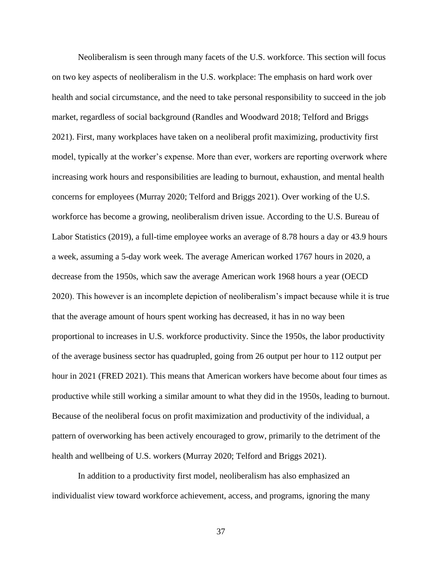Neoliberalism is seen through many facets of the U.S. workforce. This section will focus on two key aspects of neoliberalism in the U.S. workplace: The emphasis on hard work over health and social circumstance, and the need to take personal responsibility to succeed in the job market, regardless of social background (Randles and Woodward 2018; Telford and Briggs 2021). First, many workplaces have taken on a neoliberal profit maximizing, productivity first model, typically at the worker's expense. More than ever, workers are reporting overwork where increasing work hours and responsibilities are leading to burnout, exhaustion, and mental health concerns for employees (Murray 2020; Telford and Briggs 2021). Over working of the U.S. workforce has become a growing, neoliberalism driven issue. According to the U.S. Bureau of Labor Statistics (2019), a full-time employee works an average of 8.78 hours a day or 43.9 hours a week, assuming a 5-day work week. The average American worked 1767 hours in 2020, a decrease from the 1950s, which saw the average American work 1968 hours a year (OECD 2020). This however is an incomplete depiction of neoliberalism's impact because while it is true that the average amount of hours spent working has decreased, it has in no way been proportional to increases in U.S. workforce productivity. Since the 1950s, the labor productivity of the average business sector has quadrupled, going from 26 output per hour to 112 output per hour in 2021 (FRED 2021). This means that American workers have become about four times as productive while still working a similar amount to what they did in the 1950s, leading to burnout. Because of the neoliberal focus on profit maximization and productivity of the individual, a pattern of overworking has been actively encouraged to grow, primarily to the detriment of the health and wellbeing of U.S. workers (Murray 2020; Telford and Briggs 2021).

In addition to a productivity first model, neoliberalism has also emphasized an individualist view toward workforce achievement, access, and programs, ignoring the many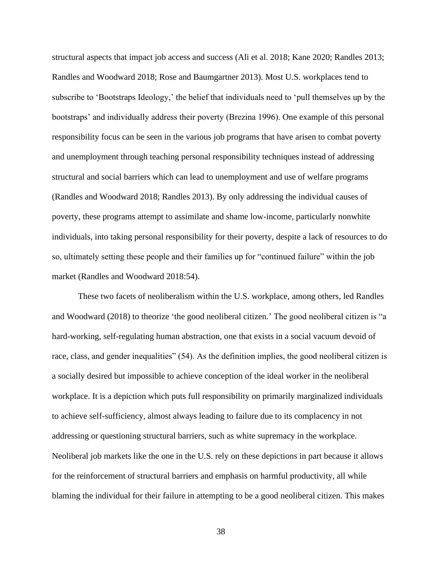structural aspects that impact job access and success (Ali et al. 2018; Kane 2020; Randles 2013; Randles and Woodward 2018; Rose and Baumgartner 2013). Most U.S. workplaces tend to subscribe to 'Bootstraps Ideology,' the belief that individuals need to 'pull themselves up by the bootstraps' and individually address their poverty (Brezina 1996). One example of this personal responsibility focus can be seen in the various job programs that have arisen to combat poverty and unemployment through teaching personal responsibility techniques instead of addressing structural and social barriers which can lead to unemployment and use of welfare programs (Randles and Woodward 2018; Randles 2013). By only addressing the individual causes of poverty, these programs attempt to assimilate and shame low-income, particularly nonwhite individuals, into taking personal responsibility for their poverty, despite a lack of resources to do so, ultimately setting these people and their families up for "continued failure" within the job market (Randles and Woodward 2018:54).

These two facets of neoliberalism within the U.S. workplace, among others, led Randles and Woodward (2018) to theorize 'the good neoliberal citizen.' The good neoliberal citizen is "a hard-working, self-regulating human abstraction, one that exists in a social vacuum devoid of race, class, and gender inequalities" (54). As the definition implies, the good neoliberal citizen is a socially desired but impossible to achieve conception of the ideal worker in the neoliberal workplace. It is a depiction which puts full responsibility on primarily marginalized individuals to achieve self-sufficiency, almost always leading to failure due to its complacency in not addressing or questioning structural barriers, such as white supremacy in the workplace. Neoliberal job markets like the one in the U.S. rely on these depictions in part because it allows for the reinforcement of structural barriers and emphasis on harmful productivity, all while blaming the individual for their failure in attempting to be a good neoliberal citizen. This makes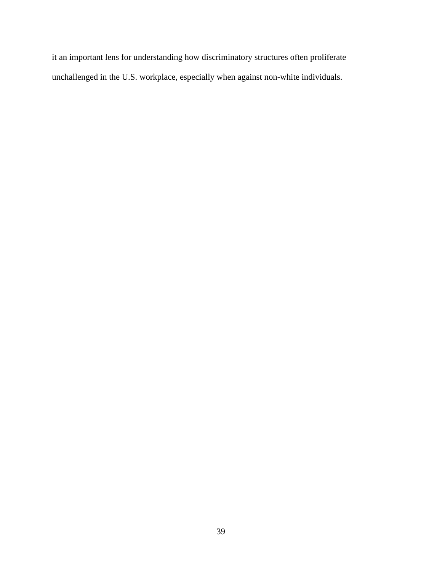it an important lens for understanding how discriminatory structures often proliferate unchallenged in the U.S. workplace, especially when against non-white individuals.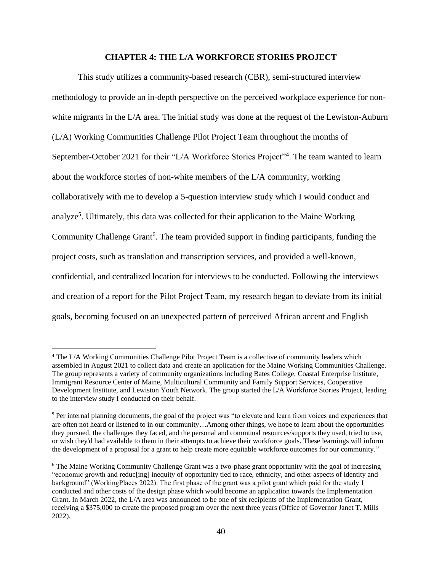## **CHAPTER 4: THE L/A WORKFORCE STORIES PROJECT**

This study utilizes a community-based research (CBR), semi-structured interview methodology to provide an in-depth perspective on the perceived workplace experience for nonwhite migrants in the L/A area. The initial study was done at the request of the Lewiston-Auburn (L/A) Working Communities Challenge Pilot Project Team throughout the months of September-October 2021 for their "L/A Workforce Stories Project"<sup>4</sup>. The team wanted to learn about the workforce stories of non-white members of the L/A community, working collaboratively with me to develop a 5-question interview study which I would conduct and analyze<sup>5</sup>. Ultimately, this data was collected for their application to the Maine Working Community Challenge Grant<sup>6</sup>. The team provided support in finding participants, funding the project costs, such as translation and transcription services, and provided a well-known, confidential, and centralized location for interviews to be conducted. Following the interviews and creation of a report for the Pilot Project Team, my research began to deviate from its initial goals, becoming focused on an unexpected pattern of perceived African accent and English

<sup>4</sup> The L/A Working Communities Challenge Pilot Project Team is a collective of community leaders which assembled in August 2021 to collect data and create an application for the Maine Working Communities Challenge. The group represents a variety of community organizations including Bates College, Coastal Enterprise Institute, Immigrant Resource Center of Maine, Multicultural Community and Family Support Services, Cooperative Development Institute, and Lewiston Youth Network. The group started the L/A Workforce Stories Project, leading to the interview study I conducted on their behalf.

<sup>5</sup> Per internal planning documents, the goal of the project was "to elevate and learn from voices and experiences that are often not heard or listened to in our community…Among other things, we hope to learn about the opportunities they pursued, the challenges they faced, and the personal and communal resources/supports they used, tried to use, or wish they'd had available to them in their attempts to achieve their workforce goals. These learnings will inform the development of a proposal for a grant to help create more equitable workforce outcomes for our community."

<sup>&</sup>lt;sup>6</sup> The Maine Working Community Challenge Grant was a two-phase grant opportunity with the goal of increasing "economic growth and reduc[ing] inequity of opportunity tied to race, ethnicity, and other aspects of identity and background" (WorkingPlaces 2022). The first phase of the grant was a pilot grant which paid for the study I conducted and other costs of the design phase which would become an application towards the Implementation Grant. In March 2022, the L/A area was announced to be one of six recipients of the Implementation Grant, receiving a \$375,000 to create the proposed program over the next three years (Office of Governor Janet T. Mills 2022).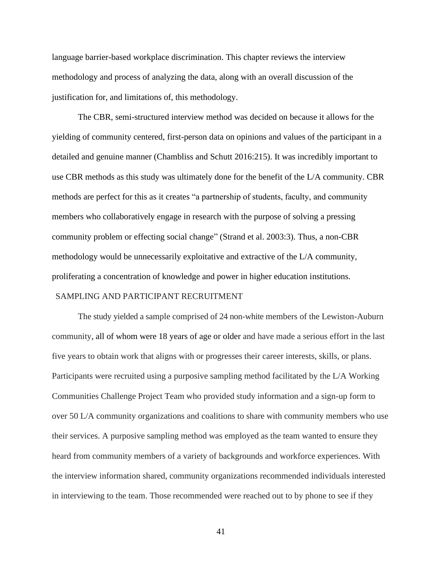language barrier-based workplace discrimination. This chapter reviews the interview methodology and process of analyzing the data, along with an overall discussion of the justification for, and limitations of, this methodology.

The CBR, semi-structured interview method was decided on because it allows for the yielding of community centered, first-person data on opinions and values of the participant in a detailed and genuine manner (Chambliss and Schutt 2016:215). It was incredibly important to use CBR methods as this study was ultimately done for the benefit of the L/A community. CBR methods are perfect for this as it creates "a partnership of students, faculty, and community members who collaboratively engage in research with the purpose of solving a pressing community problem or effecting social change" (Strand et al. 2003:3). Thus, a non-CBR methodology would be unnecessarily exploitative and extractive of the L/A community, proliferating a concentration of knowledge and power in higher education institutions.

## SAMPLING AND PARTICIPANT RECRUITMENT

The study yielded a sample comprised of 24 non-white members of the Lewiston-Auburn community, all of whom were 18 years of age or older and have made a serious effort in the last five years to obtain work that aligns with or progresses their career interests, skills, or plans. Participants were recruited using a purposive sampling method facilitated by the L/A Working Communities Challenge Project Team who provided study information and a sign-up form to over 50 L/A community organizations and coalitions to share with community members who use their services. A purposive sampling method was employed as the team wanted to ensure they heard from community members of a variety of backgrounds and workforce experiences. With the interview information shared, community organizations recommended individuals interested in interviewing to the team. Those recommended were reached out to by phone to see if they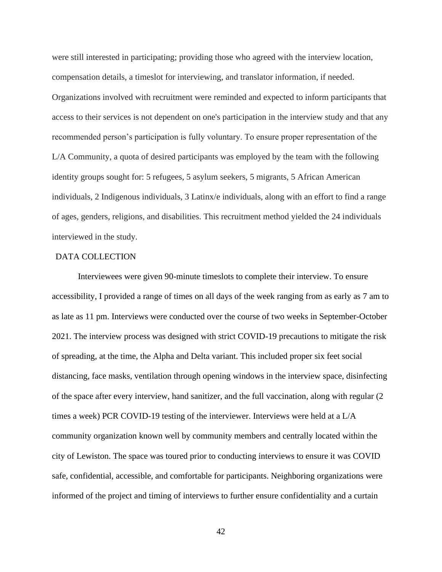were still interested in participating; providing those who agreed with the interview location, compensation details, a timeslot for interviewing, and translator information, if needed. Organizations involved with recruitment were reminded and expected to inform participants that access to their services is not dependent on one's participation in the interview study and that any recommended person's participation is fully voluntary. To ensure proper representation of the L/A Community, a quota of desired participants was employed by the team with the following identity groups sought for: 5 refugees, 5 asylum seekers, 5 migrants, 5 African American individuals, 2 Indigenous individuals, 3 Latinx/e individuals, along with an effort to find a range of ages, genders, religions, and disabilities. This recruitment method yielded the 24 individuals interviewed in the study.

# DATA COLLECTION

Interviewees were given 90-minute timeslots to complete their interview. To ensure accessibility, I provided a range of times on all days of the week ranging from as early as 7 am to as late as 11 pm. Interviews were conducted over the course of two weeks in September-October 2021. The interview process was designed with strict COVID-19 precautions to mitigate the risk of spreading, at the time, the Alpha and Delta variant. This included proper six feet social distancing, face masks, ventilation through opening windows in the interview space, disinfecting of the space after every interview, hand sanitizer, and the full vaccination, along with regular (2 times a week) PCR COVID-19 testing of the interviewer. Interviews were held at a L/A community organization known well by community members and centrally located within the city of Lewiston. The space was toured prior to conducting interviews to ensure it was COVID safe, confidential, accessible, and comfortable for participants. Neighboring organizations were informed of the project and timing of interviews to further ensure confidentiality and a curtain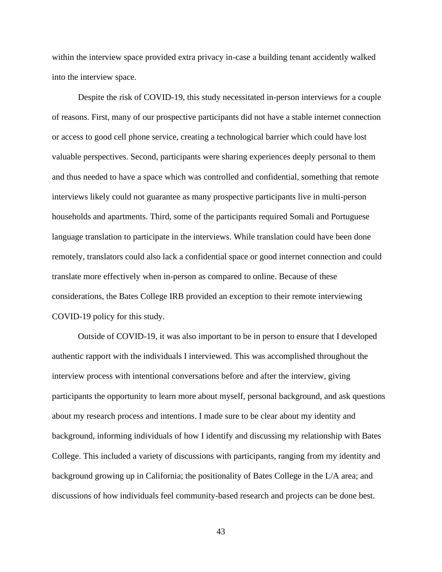within the interview space provided extra privacy in-case a building tenant accidently walked into the interview space.

Despite the risk of COVID-19, this study necessitated in-person interviews for a couple of reasons. First, many of our prospective participants did not have a stable internet connection or access to good cell phone service, creating a technological barrier which could have lost valuable perspectives. Second, participants were sharing experiences deeply personal to them and thus needed to have a space which was controlled and confidential, something that remote interviews likely could not guarantee as many prospective participants live in multi-person households and apartments. Third, some of the participants required Somali and Portuguese language translation to participate in the interviews. While translation could have been done remotely, translators could also lack a confidential space or good internet connection and could translate more effectively when in-person as compared to online. Because of these considerations, the Bates College IRB provided an exception to their remote interviewing COVID-19 policy for this study.

Outside of COVID-19, it was also important to be in person to ensure that I developed authentic rapport with the individuals I interviewed. This was accomplished throughout the interview process with intentional conversations before and after the interview, giving participants the opportunity to learn more about myself, personal background, and ask questions about my research process and intentions. I made sure to be clear about my identity and background, informing individuals of how I identify and discussing my relationship with Bates College. This included a variety of discussions with participants, ranging from my identity and background growing up in California; the positionality of Bates College in the L/A area; and discussions of how individuals feel community-based research and projects can be done best.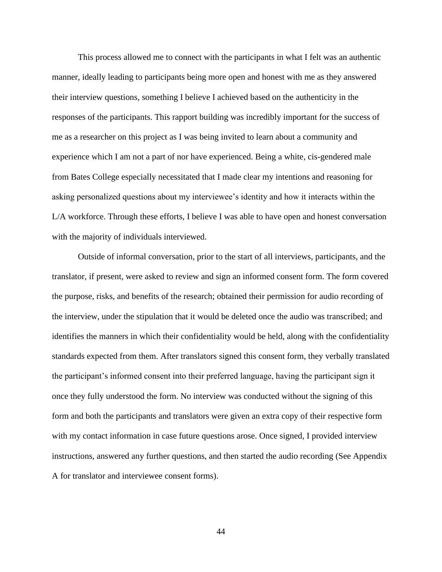This process allowed me to connect with the participants in what I felt was an authentic manner, ideally leading to participants being more open and honest with me as they answered their interview questions, something I believe I achieved based on the authenticity in the responses of the participants. This rapport building was incredibly important for the success of me as a researcher on this project as I was being invited to learn about a community and experience which I am not a part of nor have experienced. Being a white, cis-gendered male from Bates College especially necessitated that I made clear my intentions and reasoning for asking personalized questions about my interviewee's identity and how it interacts within the L/A workforce. Through these efforts, I believe I was able to have open and honest conversation with the majority of individuals interviewed.

Outside of informal conversation, prior to the start of all interviews, participants, and the translator, if present, were asked to review and sign an informed consent form. The form covered the purpose, risks, and benefits of the research; obtained their permission for audio recording of the interview, under the stipulation that it would be deleted once the audio was transcribed; and identifies the manners in which their confidentiality would be held, along with the confidentiality standards expected from them. After translators signed this consent form, they verbally translated the participant's informed consent into their preferred language, having the participant sign it once they fully understood the form. No interview was conducted without the signing of this form and both the participants and translators were given an extra copy of their respective form with my contact information in case future questions arose. Once signed, I provided interview instructions, answered any further questions, and then started the audio recording (See Appendix A for translator and interviewee consent forms).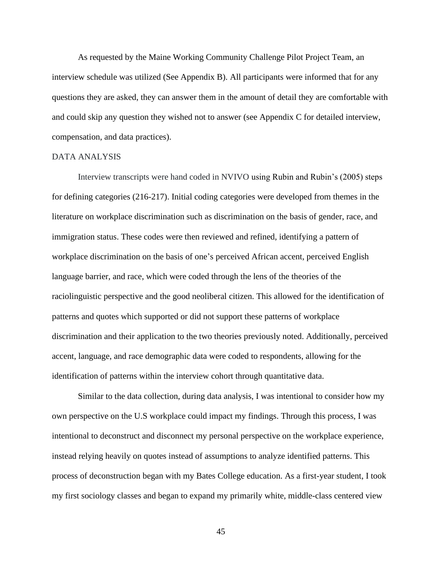As requested by the Maine Working Community Challenge Pilot Project Team, an interview schedule was utilized (See Appendix B). All participants were informed that for any questions they are asked, they can answer them in the amount of detail they are comfortable with and could skip any question they wished not to answer (see Appendix C for detailed interview, compensation, and data practices).

# DATA ANALYSIS

Interview transcripts were hand coded in NVIVO using Rubin and Rubin's (2005) steps for defining categories (216-217). Initial coding categories were developed from themes in the literature on workplace discrimination such as discrimination on the basis of gender, race, and immigration status. These codes were then reviewed and refined, identifying a pattern of workplace discrimination on the basis of one's perceived African accent, perceived English language barrier, and race, which were coded through the lens of the theories of the raciolinguistic perspective and the good neoliberal citizen. This allowed for the identification of patterns and quotes which supported or did not support these patterns of workplace discrimination and their application to the two theories previously noted. Additionally, perceived accent, language, and race demographic data were coded to respondents, allowing for the identification of patterns within the interview cohort through quantitative data.

Similar to the data collection, during data analysis, I was intentional to consider how my own perspective on the U.S workplace could impact my findings. Through this process, I was intentional to deconstruct and disconnect my personal perspective on the workplace experience, instead relying heavily on quotes instead of assumptions to analyze identified patterns. This process of deconstruction began with my Bates College education. As a first-year student, I took my first sociology classes and began to expand my primarily white, middle-class centered view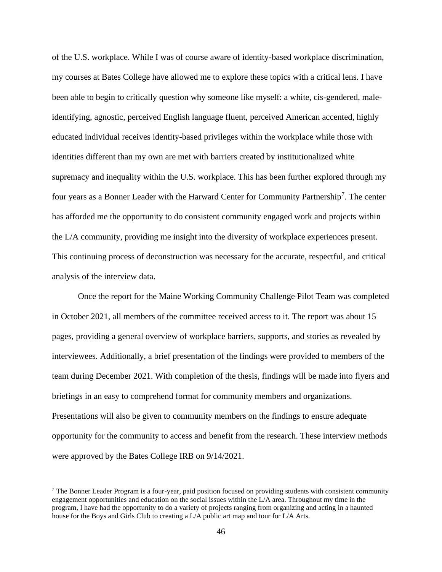of the U.S. workplace. While I was of course aware of identity-based workplace discrimination, my courses at Bates College have allowed me to explore these topics with a critical lens. I have been able to begin to critically question why someone like myself: a white, cis-gendered, maleidentifying, agnostic, perceived English language fluent, perceived American accented, highly educated individual receives identity-based privileges within the workplace while those with identities different than my own are met with barriers created by institutionalized white supremacy and inequality within the U.S. workplace. This has been further explored through my four years as a Bonner Leader with the Harward Center for Community Partnership<sup>7</sup>. The center has afforded me the opportunity to do consistent community engaged work and projects within the L/A community, providing me insight into the diversity of workplace experiences present. This continuing process of deconstruction was necessary for the accurate, respectful, and critical analysis of the interview data.

Once the report for the Maine Working Community Challenge Pilot Team was completed in October 2021, all members of the committee received access to it. The report was about 15 pages, providing a general overview of workplace barriers, supports, and stories as revealed by interviewees. Additionally, a brief presentation of the findings were provided to members of the team during December 2021. With completion of the thesis, findings will be made into flyers and briefings in an easy to comprehend format for community members and organizations. Presentations will also be given to community members on the findings to ensure adequate opportunity for the community to access and benefit from the research. These interview methods were approved by the Bates College IRB on 9/14/2021.

 $<sup>7</sup>$  The Bonner Leader Program is a four-year, paid position focused on providing students with consistent community</sup> engagement opportunities and education on the social issues within the L/A area. Throughout my time in the program, I have had the opportunity to do a variety of projects ranging from organizing and acting in a haunted house for the Boys and Girls Club to creating a L/A public art map and tour for L/A Arts.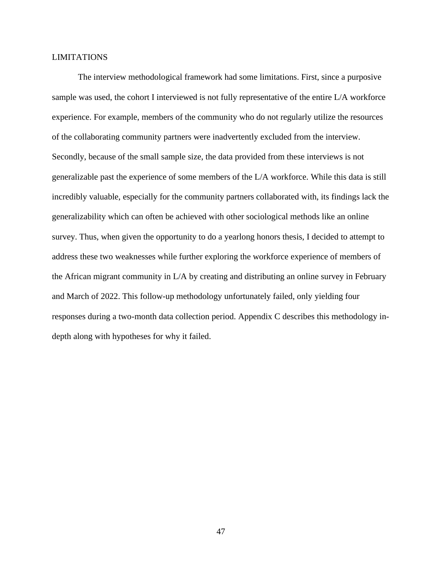# LIMITATIONS

The interview methodological framework had some limitations. First, since a purposive sample was used, the cohort I interviewed is not fully representative of the entire L/A workforce experience. For example, members of the community who do not regularly utilize the resources of the collaborating community partners were inadvertently excluded from the interview. Secondly, because of the small sample size, the data provided from these interviews is not generalizable past the experience of some members of the L/A workforce. While this data is still incredibly valuable, especially for the community partners collaborated with, its findings lack the generalizability which can often be achieved with other sociological methods like an online survey. Thus, when given the opportunity to do a yearlong honors thesis, I decided to attempt to address these two weaknesses while further exploring the workforce experience of members of the African migrant community in L/A by creating and distributing an online survey in February and March of 2022. This follow-up methodology unfortunately failed, only yielding four responses during a two-month data collection period. Appendix C describes this methodology indepth along with hypotheses for why it failed.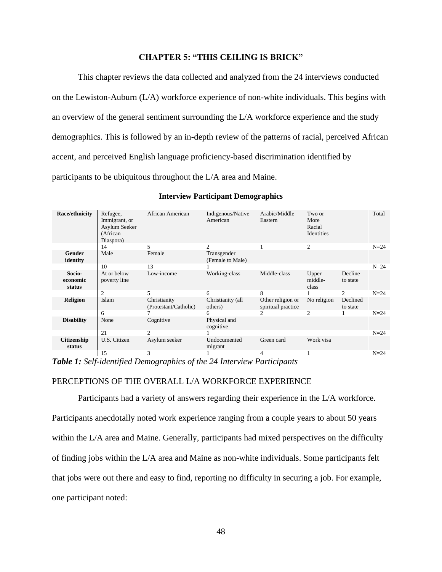# **CHAPTER 5: "THIS CEILING IS BRICK"**

This chapter reviews the data collected and analyzed from the 24 interviews conducted on the Lewiston-Auburn (L/A) workforce experience of non-white individuals. This begins with an overview of the general sentiment surrounding the L/A workforce experience and the study demographics. This is followed by an in-depth review of the patterns of racial, perceived African accent, and perceived English language proficiency-based discrimination identified by participants to be ubiquitous throughout the L/A area and Maine.

| Race/ethnicity               | Refugee,<br>Immigrant, or<br>Asylum Seeker<br>(African<br>Diaspora) | African American                      | Indigenous/Native<br>American   | Arabic/Middle<br>Eastern                | Two or<br>More<br>Racial<br>Identities |                      | Total  |
|------------------------------|---------------------------------------------------------------------|---------------------------------------|---------------------------------|-----------------------------------------|----------------------------------------|----------------------|--------|
|                              | 14                                                                  | 5                                     | $\mathcal{D}_{\mathcal{L}}$     |                                         | $\overline{c}$                         |                      | $N=24$ |
| Gender<br>identity           | Male                                                                | Female                                | Transgender<br>(Female to Male) |                                         |                                        |                      |        |
|                              | 10                                                                  | 13                                    |                                 |                                         |                                        |                      | $N=24$ |
| Socio-<br>economic<br>status | At or below<br>poverty line                                         | Low-income                            | Working-class                   | Middle-class                            | Upper<br>middle-<br>class              | Decline<br>to state  |        |
|                              | $\overline{c}$                                                      | 5                                     | 6                               | 8                                       |                                        | 2                    | $N=24$ |
| <b>Religion</b>              | Islam                                                               | Christianity<br>(Protestant/Catholic) | Christianity (all<br>others)    | Other religion or<br>spiritual practice | No religion                            | Declined<br>to state |        |
|                              | 6                                                                   |                                       | 6                               | $\mathcal{D}_{\mathcal{L}}$             | $\mathfrak{D}$                         |                      | $N=24$ |
| <b>Disability</b>            | None                                                                | Cognitive                             | Physical and<br>cognitive       |                                         |                                        |                      |        |
|                              | 21                                                                  | $\mathcal{D}_{\mathcal{L}}$           |                                 |                                         |                                        |                      | $N=24$ |
| <b>Citizenship</b><br>status | U.S. Citizen                                                        | Asylum seeker                         | Undocumented<br>migrant         | Green card                              | Work visa                              |                      |        |
|                              | 15                                                                  | 3                                     |                                 | $\overline{4}$                          |                                        |                      | $N=24$ |

## **Interview Participant Demographics**

*Table 1: Self-identified Demographics of the 24 Interview Participants*

# PERCEPTIONS OF THE OVERALL L/A WORKFORCE EXPERIENCE

Participants had a variety of answers regarding their experience in the L/A workforce. Participants anecdotally noted work experience ranging from a couple years to about 50 years within the L/A area and Maine. Generally, participants had mixed perspectives on the difficulty of finding jobs within the L/A area and Maine as non-white individuals. Some participants felt that jobs were out there and easy to find, reporting no difficulty in securing a job. For example, one participant noted: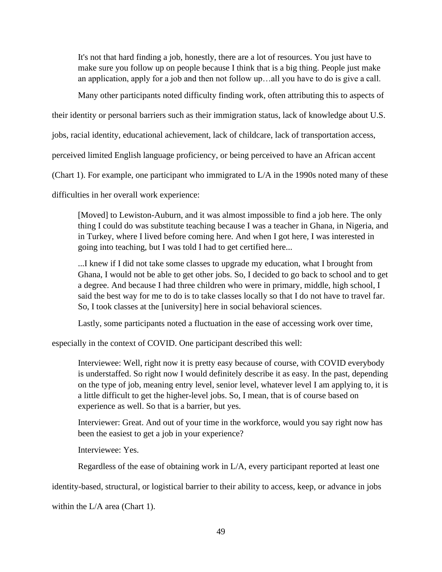It's not that hard finding a job, honestly, there are a lot of resources. You just have to make sure you follow up on people because I think that is a big thing. People just make an application, apply for a job and then not follow up…all you have to do is give a call.

Many other participants noted difficulty finding work, often attributing this to aspects of

their identity or personal barriers such as their immigration status, lack of knowledge about U.S.

jobs, racial identity, educational achievement, lack of childcare, lack of transportation access,

perceived limited English language proficiency, or being perceived to have an African accent

(Chart 1). For example, one participant who immigrated to L/A in the 1990s noted many of these

difficulties in her overall work experience:

[Moved] to Lewiston-Auburn, and it was almost impossible to find a job here. The only thing I could do was substitute teaching because I was a teacher in Ghana, in Nigeria, and in Turkey, where I lived before coming here. And when I got here, I was interested in going into teaching, but I was told I had to get certified here...

...I knew if I did not take some classes to upgrade my education, what I brought from Ghana, I would not be able to get other jobs. So, I decided to go back to school and to get a degree. And because I had three children who were in primary, middle, high school, I said the best way for me to do is to take classes locally so that I do not have to travel far. So, I took classes at the [university] here in social behavioral sciences.

Lastly, some participants noted a fluctuation in the ease of accessing work over time,

especially in the context of COVID. One participant described this well:

Interviewee: Well, right now it is pretty easy because of course, with COVID everybody is understaffed. So right now I would definitely describe it as easy. In the past, depending on the type of job, meaning entry level, senior level, whatever level I am applying to, it is a little difficult to get the higher-level jobs. So, I mean, that is of course based on experience as well. So that is a barrier, but yes.

Interviewer: Great. And out of your time in the workforce, would you say right now has been the easiest to get a job in your experience?

Interviewee: Yes.

Regardless of the ease of obtaining work in L/A, every participant reported at least one

identity-based, structural, or logistical barrier to their ability to access, keep, or advance in jobs

within the L/A area (Chart 1).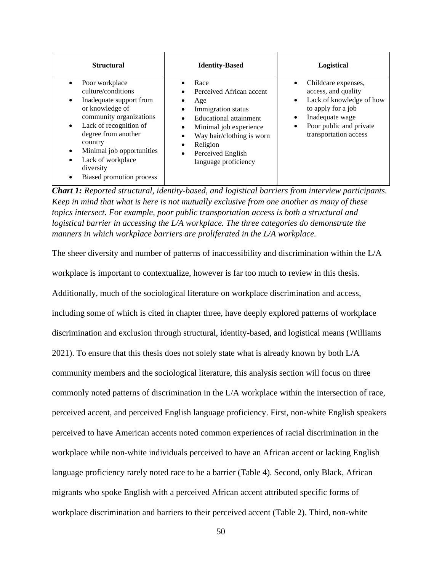| <b>Structural</b>                                                                                                                                                                                                                                                                      | <b>Identity-Based</b>                                                                                                                                                                                                     | Logistical                                                                                                                                                                       |
|----------------------------------------------------------------------------------------------------------------------------------------------------------------------------------------------------------------------------------------------------------------------------------------|---------------------------------------------------------------------------------------------------------------------------------------------------------------------------------------------------------------------------|----------------------------------------------------------------------------------------------------------------------------------------------------------------------------------|
| Poor workplace<br>culture/conditions<br>Inadequate support from<br>٠<br>or knowledge of<br>community organizations<br>Lack of recognition of<br>$\bullet$<br>degree from another<br>country<br>Minimal job opportunities<br>Lack of workplace<br>diversity<br>Biased promotion process | Race<br>Perceived African accent<br>Age<br>Immigration status<br>Educational attainment<br>Minimal job experience<br>Way hair/clothing is worn<br>Religion<br>٠<br>Perceived English<br>$\bullet$<br>language proficiency | Childcare expenses,<br>access, and quality<br>Lack of knowledge of how<br>$\bullet$<br>to apply for a job<br>Inadequate wage<br>Poor public and private<br>transportation access |

*Chart 1: Reported structural, identity-based, and logistical barriers from interview participants. Keep in mind that what is here is not mutually exclusive from one another as many of these topics intersect. For example, poor public transportation access is both a structural and logistical barrier in accessing the L/A workplace. The three categories do demonstrate the manners in which workplace barriers are proliferated in the L/A workplace.*

The sheer diversity and number of patterns of inaccessibility and discrimination within the L/A workplace is important to contextualize, however is far too much to review in this thesis. Additionally, much of the sociological literature on workplace discrimination and access, including some of which is cited in chapter three, have deeply explored patterns of workplace discrimination and exclusion through structural, identity-based, and logistical means (Williams 2021). To ensure that this thesis does not solely state what is already known by both L/A community members and the sociological literature, this analysis section will focus on three commonly noted patterns of discrimination in the L/A workplace within the intersection of race, perceived accent, and perceived English language proficiency. First, non-white English speakers perceived to have American accents noted common experiences of racial discrimination in the workplace while non-white individuals perceived to have an African accent or lacking English language proficiency rarely noted race to be a barrier (Table 4). Second, only Black, African migrants who spoke English with a perceived African accent attributed specific forms of workplace discrimination and barriers to their perceived accent (Table 2). Third, non-white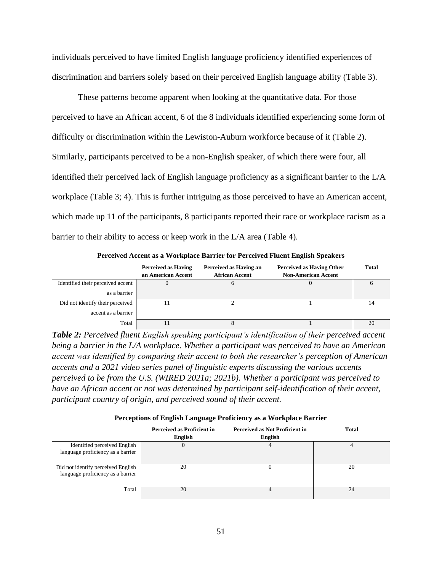individuals perceived to have limited English language proficiency identified experiences of discrimination and barriers solely based on their perceived English language ability (Table 3).

These patterns become apparent when looking at the quantitative data. For those perceived to have an African accent, 6 of the 8 individuals identified experiencing some form of difficulty or discrimination within the Lewiston-Auburn workforce because of it (Table 2). Similarly, participants perceived to be a non-English speaker, of which there were four, all identified their perceived lack of English language proficiency as a significant barrier to the L/A workplace (Table 3; 4). This is further intriguing as those perceived to have an American accent, which made up 11 of the participants, 8 participants reported their race or workplace racism as a barrier to their ability to access or keep work in the L/A area (Table 4).

**Perceived Accent as a Workplace Barrier for Perceived Fluent English Speakers**

|                                   | <b>Perceived as Having</b><br>an American Accent | Perceived as Having an<br><b>African Accent</b> | <b>Perceived as Having Other</b><br><b>Non-American Accent</b> | <b>Total</b> |
|-----------------------------------|--------------------------------------------------|-------------------------------------------------|----------------------------------------------------------------|--------------|
| Identified their perceived accent |                                                  |                                                 |                                                                | $\mathbf b$  |
| as a barrier                      |                                                  |                                                 |                                                                |              |
| Did not identify their perceived  |                                                  |                                                 |                                                                | 14           |
| accent as a barrier               |                                                  |                                                 |                                                                |              |
| Total                             |                                                  |                                                 |                                                                | 20           |

*Table 2: Perceived fluent English speaking participant's identification of their perceived accent being a barrier in the L/A workplace. Whether a participant was perceived to have an American accent was identified by comparing their accent to both the researcher's perception of American accents and a 2021 video series panel of linguistic experts discussing the various accents perceived to be from the U.S. (WIRED 2021a; 2021b). Whether a participant was perceived to have an African accent or not was determined by participant self-identification of their accent, participant country of origin, and perceived sound of their accent.*

|                                                                         | Perceived as Proficient in<br>English | <b>Perceived as Not Proficient in</b><br>English | <b>Total</b> |
|-------------------------------------------------------------------------|---------------------------------------|--------------------------------------------------|--------------|
| Identified perceived English<br>language proficiency as a barrier       |                                       | 4                                                |              |
| Did not identify perceived English<br>language proficiency as a barrier | 20                                    |                                                  | 20           |
| Total                                                                   | 20                                    |                                                  | 24           |

**Perceptions of English Language Proficiency as a Workplace Barrier**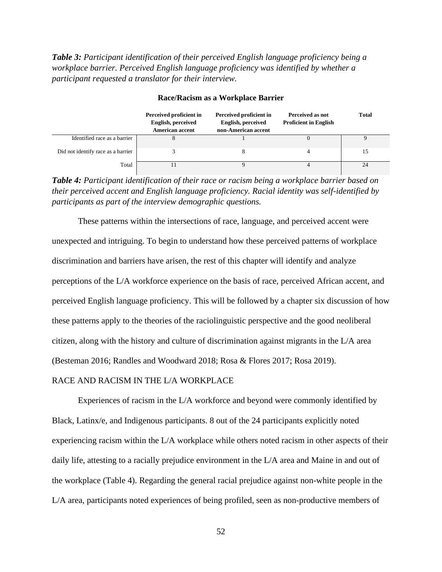*Table 3: Participant identification of their perceived English language proficiency being a workplace barrier. Perceived English language proficiency was identified by whether a participant requested a translator for their interview.*

|                                    | Perceived proficient in<br><b>English, perceived</b><br><b>American accent</b> | Perceived proficient in<br><b>English, perceived</b><br>non-American accent | Perceived as not<br><b>Proficient in English</b> | <b>Total</b> |
|------------------------------------|--------------------------------------------------------------------------------|-----------------------------------------------------------------------------|--------------------------------------------------|--------------|
| Identified race as a barrier       |                                                                                |                                                                             |                                                  |              |
| Did not identify race as a barrier |                                                                                |                                                                             |                                                  | 15           |
| Total                              |                                                                                |                                                                             |                                                  | 24           |

### **Race/Racism as a Workplace Barrier**

*Table 4: Participant identification of their race or racism being a workplace barrier based on their perceived accent and English language proficiency. Racial identity was self-identified by participants as part of the interview demographic questions.*

These patterns within the intersections of race, language, and perceived accent were unexpected and intriguing. To begin to understand how these perceived patterns of workplace discrimination and barriers have arisen, the rest of this chapter will identify and analyze perceptions of the L/A workforce experience on the basis of race, perceived African accent, and perceived English language proficiency. This will be followed by a chapter six discussion of how these patterns apply to the theories of the raciolinguistic perspective and the good neoliberal citizen, along with the history and culture of discrimination against migrants in the L/A area (Besteman 2016; Randles and Woodward 2018; Rosa & Flores 2017; Rosa 2019).

# RACE AND RACISM IN THE L/A WORKPLACE

Experiences of racism in the L/A workforce and beyond were commonly identified by Black, Latinx/e, and Indigenous participants. 8 out of the 24 participants explicitly noted experiencing racism within the L/A workplace while others noted racism in other aspects of their daily life, attesting to a racially prejudice environment in the L/A area and Maine in and out of the workplace (Table 4). Regarding the general racial prejudice against non-white people in the L/A area, participants noted experiences of being profiled, seen as non-productive members of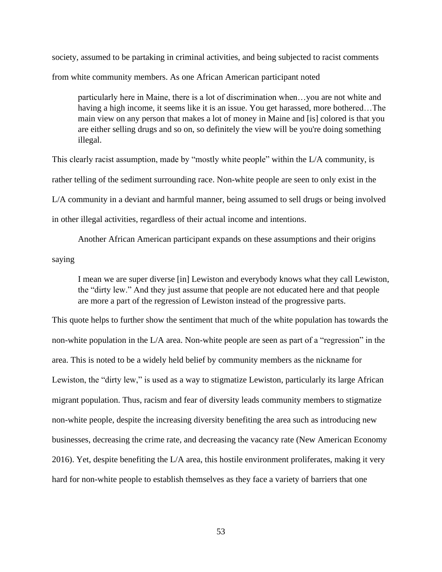society, assumed to be partaking in criminal activities, and being subjected to racist comments from white community members. As one African American participant noted

particularly here in Maine, there is a lot of discrimination when…you are not white and having a high income, it seems like it is an issue. You get harassed, more bothered...The main view on any person that makes a lot of money in Maine and [is] colored is that you are either selling drugs and so on, so definitely the view will be you're doing something illegal.

This clearly racist assumption, made by "mostly white people" within the L/A community, is rather telling of the sediment surrounding race. Non-white people are seen to only exist in the L/A community in a deviant and harmful manner, being assumed to sell drugs or being involved in other illegal activities, regardless of their actual income and intentions.

Another African American participant expands on these assumptions and their origins saying

I mean we are super diverse [in] Lewiston and everybody knows what they call Lewiston, the "dirty lew." And they just assume that people are not educated here and that people are more a part of the regression of Lewiston instead of the progressive parts.

This quote helps to further show the sentiment that much of the white population has towards the non-white population in the L/A area. Non-white people are seen as part of a "regression" in the area. This is noted to be a widely held belief by community members as the nickname for Lewiston, the "dirty lew," is used as a way to stigmatize Lewiston, particularly its large African migrant population. Thus, racism and fear of diversity leads community members to stigmatize non-white people, despite the increasing diversity benefiting the area such as introducing new businesses, decreasing the crime rate, and decreasing the vacancy rate (New American Economy 2016). Yet, despite benefiting the L/A area, this hostile environment proliferates, making it very hard for non-white people to establish themselves as they face a variety of barriers that one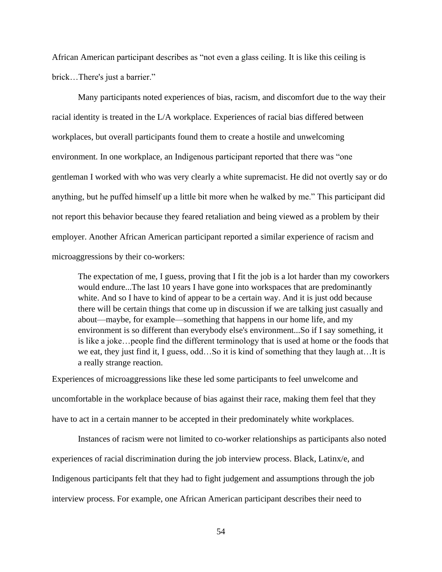African American participant describes as "not even a glass ceiling. It is like this ceiling is brick…There's just a barrier."

Many participants noted experiences of bias, racism, and discomfort due to the way their racial identity is treated in the L/A workplace. Experiences of racial bias differed between workplaces, but overall participants found them to create a hostile and unwelcoming environment. In one workplace, an Indigenous participant reported that there was "one gentleman I worked with who was very clearly a white supremacist. He did not overtly say or do anything, but he puffed himself up a little bit more when he walked by me." This participant did not report this behavior because they feared retaliation and being viewed as a problem by their employer. Another African American participant reported a similar experience of racism and microaggressions by their co-workers:

The expectation of me, I guess, proving that I fit the job is a lot harder than my coworkers would endure...The last 10 years I have gone into workspaces that are predominantly white. And so I have to kind of appear to be a certain way. And it is just odd because there will be certain things that come up in discussion if we are talking just casually and about—maybe, for example—something that happens in our home life, and my environment is so different than everybody else's environment...So if I say something, it is like a joke…people find the different terminology that is used at home or the foods that we eat, they just find it, I guess, odd…So it is kind of something that they laugh at…It is a really strange reaction.

Experiences of microaggressions like these led some participants to feel unwelcome and uncomfortable in the workplace because of bias against their race, making them feel that they have to act in a certain manner to be accepted in their predominately white workplaces.

Instances of racism were not limited to co-worker relationships as participants also noted experiences of racial discrimination during the job interview process. Black, Latinx/e, and Indigenous participants felt that they had to fight judgement and assumptions through the job interview process. For example, one African American participant describes their need to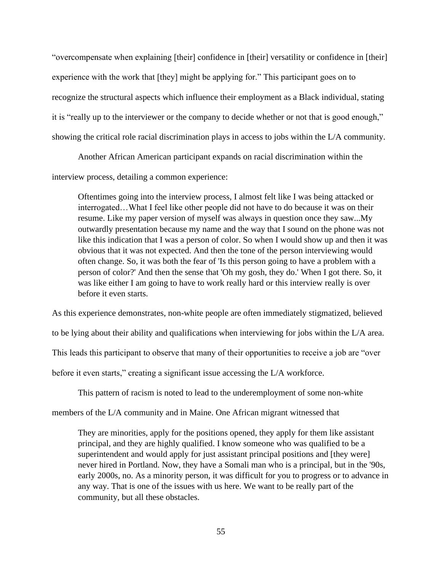"overcompensate when explaining [their] confidence in [their] versatility or confidence in [their] experience with the work that [they] might be applying for." This participant goes on to recognize the structural aspects which influence their employment as a Black individual, stating it is "really up to the interviewer or the company to decide whether or not that is good enough," showing the critical role racial discrimination plays in access to jobs within the L/A community.

Another African American participant expands on racial discrimination within the

interview process, detailing a common experience:

Oftentimes going into the interview process, I almost felt like I was being attacked or interrogated…What I feel like other people did not have to do because it was on their resume. Like my paper version of myself was always in question once they saw...My outwardly presentation because my name and the way that I sound on the phone was not like this indication that I was a person of color. So when I would show up and then it was obvious that it was not expected. And then the tone of the person interviewing would often change. So, it was both the fear of 'Is this person going to have a problem with a person of color?' And then the sense that 'Oh my gosh, they do.' When I got there. So, it was like either I am going to have to work really hard or this interview really is over before it even starts.

As this experience demonstrates, non-white people are often immediately stigmatized, believed to be lying about their ability and qualifications when interviewing for jobs within the L/A area. This leads this participant to observe that many of their opportunities to receive a job are "over before it even starts," creating a significant issue accessing the L/A workforce.

This pattern of racism is noted to lead to the underemployment of some non-white

members of the L/A community and in Maine. One African migrant witnessed that

They are minorities, apply for the positions opened, they apply for them like assistant principal, and they are highly qualified. I know someone who was qualified to be a superintendent and would apply for just assistant principal positions and [they were] never hired in Portland. Now, they have a Somali man who is a principal, but in the '90s, early 2000s, no. As a minority person, it was difficult for you to progress or to advance in any way. That is one of the issues with us here. We want to be really part of the community, but all these obstacles.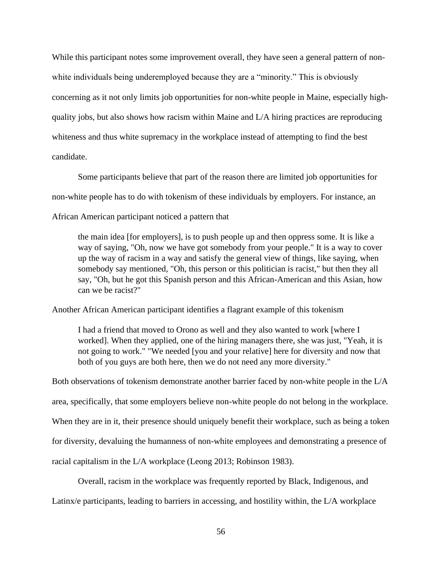While this participant notes some improvement overall, they have seen a general pattern of nonwhite individuals being underemployed because they are a "minority." This is obviously concerning as it not only limits job opportunities for non-white people in Maine, especially highquality jobs, but also shows how racism within Maine and L/A hiring practices are reproducing whiteness and thus white supremacy in the workplace instead of attempting to find the best candidate.

Some participants believe that part of the reason there are limited job opportunities for non-white people has to do with tokenism of these individuals by employers. For instance, an African American participant noticed a pattern that

the main idea [for employers], is to push people up and then oppress some. It is like a way of saying, "Oh, now we have got somebody from your people." It is a way to cover up the way of racism in a way and satisfy the general view of things, like saying, when somebody say mentioned, "Oh, this person or this politician is racist," but then they all say, "Oh, but he got this Spanish person and this African-American and this Asian, how can we be racist?"

Another African American participant identifies a flagrant example of this tokenism

I had a friend that moved to Orono as well and they also wanted to work [where I worked]. When they applied, one of the hiring managers there, she was just, "Yeah, it is not going to work." "We needed [you and your relative] here for diversity and now that both of you guys are both here, then we do not need any more diversity."

Both observations of tokenism demonstrate another barrier faced by non-white people in the L/A area, specifically, that some employers believe non-white people do not belong in the workplace. When they are in it, their presence should uniquely benefit their workplace, such as being a token for diversity, devaluing the humanness of non-white employees and demonstrating a presence of racial capitalism in the L/A workplace (Leong 2013; Robinson 1983).

Overall, racism in the workplace was frequently reported by Black, Indigenous, and Latinx/e participants, leading to barriers in accessing, and hostility within, the L/A workplace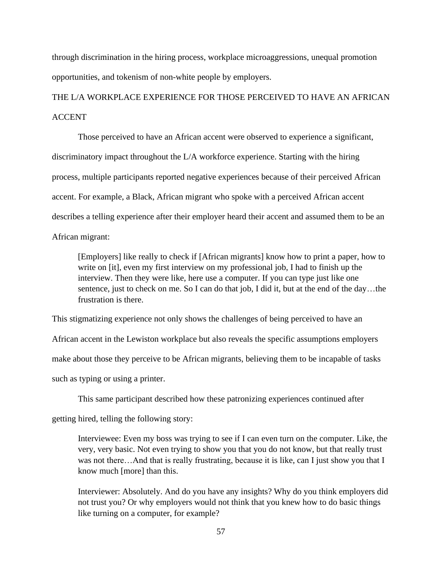through discrimination in the hiring process, workplace microaggressions, unequal promotion opportunities, and tokenism of non-white people by employers.

# THE L/A WORKPLACE EXPERIENCE FOR THOSE PERCEIVED TO HAVE AN AFRICAN ACCENT

Those perceived to have an African accent were observed to experience a significant, discriminatory impact throughout the L/A workforce experience. Starting with the hiring process, multiple participants reported negative experiences because of their perceived African accent. For example, a Black, African migrant who spoke with a perceived African accent describes a telling experience after their employer heard their accent and assumed them to be an African migrant:

[Employers] like really to check if [African migrants] know how to print a paper, how to write on [it], even my first interview on my professional job, I had to finish up the interview. Then they were like, here use a computer. If you can type just like one sentence, just to check on me. So I can do that job, I did it, but at the end of the day...the frustration is there.

This stigmatizing experience not only shows the challenges of being perceived to have an

African accent in the Lewiston workplace but also reveals the specific assumptions employers

make about those they perceive to be African migrants, believing them to be incapable of tasks

such as typing or using a printer.

This same participant described how these patronizing experiences continued after

getting hired, telling the following story:

Interviewee: Even my boss was trying to see if I can even turn on the computer. Like, the very, very basic. Not even trying to show you that you do not know, but that really trust was not there...And that is really frustrating, because it is like, can I just show you that I know much [more] than this.

Interviewer: Absolutely. And do you have any insights? Why do you think employers did not trust you? Or why employers would not think that you knew how to do basic things like turning on a computer, for example?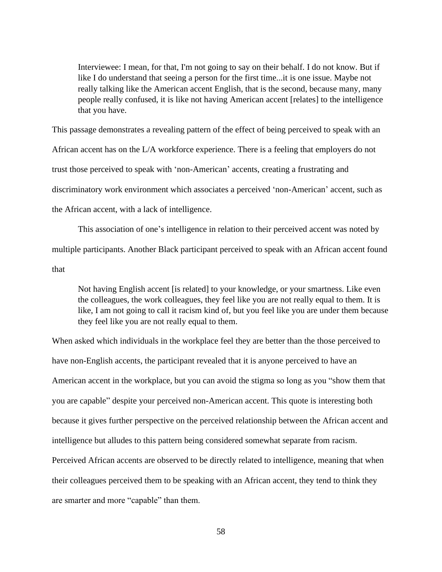Interviewee: I mean, for that, I'm not going to say on their behalf. I do not know. But if like I do understand that seeing a person for the first time...it is one issue. Maybe not really talking like the American accent English, that is the second, because many, many people really confused, it is like not having American accent [relates] to the intelligence that you have.

This passage demonstrates a revealing pattern of the effect of being perceived to speak with an African accent has on the L/A workforce experience. There is a feeling that employers do not trust those perceived to speak with 'non-American' accents, creating a frustrating and discriminatory work environment which associates a perceived 'non-American' accent, such as the African accent, with a lack of intelligence.

This association of one's intelligence in relation to their perceived accent was noted by multiple participants. Another Black participant perceived to speak with an African accent found that

Not having English accent [is related] to your knowledge, or your smartness. Like even the colleagues, the work colleagues, they feel like you are not really equal to them. It is like, I am not going to call it racism kind of, but you feel like you are under them because they feel like you are not really equal to them.

When asked which individuals in the workplace feel they are better than the those perceived to have non-English accents, the participant revealed that it is anyone perceived to have an American accent in the workplace, but you can avoid the stigma so long as you "show them that you are capable" despite your perceived non-American accent. This quote is interesting both because it gives further perspective on the perceived relationship between the African accent and intelligence but alludes to this pattern being considered somewhat separate from racism. Perceived African accents are observed to be directly related to intelligence, meaning that when their colleagues perceived them to be speaking with an African accent, they tend to think they are smarter and more "capable" than them.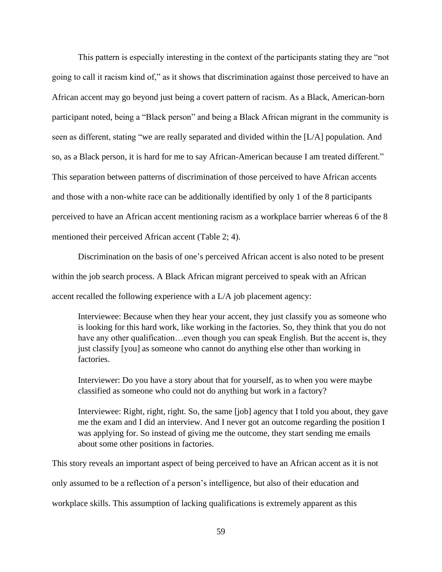This pattern is especially interesting in the context of the participants stating they are "not going to call it racism kind of," as it shows that discrimination against those perceived to have an African accent may go beyond just being a covert pattern of racism. As a Black, American-born participant noted, being a "Black person" and being a Black African migrant in the community is seen as different, stating "we are really separated and divided within the [L/A] population. And so, as a Black person, it is hard for me to say African-American because I am treated different." This separation between patterns of discrimination of those perceived to have African accents and those with a non-white race can be additionally identified by only 1 of the 8 participants perceived to have an African accent mentioning racism as a workplace barrier whereas 6 of the 8 mentioned their perceived African accent (Table 2; 4).

Discrimination on the basis of one's perceived African accent is also noted to be present within the job search process. A Black African migrant perceived to speak with an African accent recalled the following experience with a L/A job placement agency:

Interviewee: Because when they hear your accent, they just classify you as someone who is looking for this hard work, like working in the factories. So, they think that you do not have any other qualification...even though you can speak English. But the accent is, they just classify [you] as someone who cannot do anything else other than working in factories.

Interviewer: Do you have a story about that for yourself, as to when you were maybe classified as someone who could not do anything but work in a factory?

Interviewee: Right, right, right. So, the same [job] agency that I told you about, they gave me the exam and I did an interview. And I never got an outcome regarding the position I was applying for. So instead of giving me the outcome, they start sending me emails about some other positions in factories.

This story reveals an important aspect of being perceived to have an African accent as it is not only assumed to be a reflection of a person's intelligence, but also of their education and workplace skills. This assumption of lacking qualifications is extremely apparent as this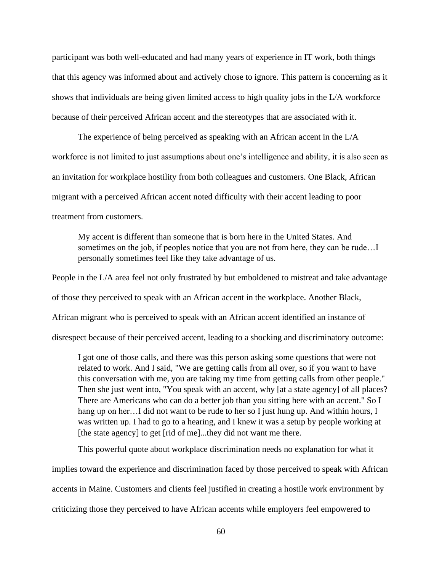participant was both well-educated and had many years of experience in IT work, both things that this agency was informed about and actively chose to ignore. This pattern is concerning as it shows that individuals are being given limited access to high quality jobs in the L/A workforce because of their perceived African accent and the stereotypes that are associated with it.

The experience of being perceived as speaking with an African accent in the L/A workforce is not limited to just assumptions about one's intelligence and ability, it is also seen as an invitation for workplace hostility from both colleagues and customers. One Black, African migrant with a perceived African accent noted difficulty with their accent leading to poor treatment from customers.

My accent is different than someone that is born here in the United States. And sometimes on the job, if peoples notice that you are not from here, they can be rude…I personally sometimes feel like they take advantage of us.

People in the L/A area feel not only frustrated by but emboldened to mistreat and take advantage of those they perceived to speak with an African accent in the workplace. Another Black, African migrant who is perceived to speak with an African accent identified an instance of disrespect because of their perceived accent, leading to a shocking and discriminatory outcome:

I got one of those calls, and there was this person asking some questions that were not related to work. And I said, "We are getting calls from all over, so if you want to have this conversation with me, you are taking my time from getting calls from other people." Then she just went into, "You speak with an accent, why [at a state agency] of all places? There are Americans who can do a better job than you sitting here with an accent." So I hang up on her... I did not want to be rude to her so I just hung up. And within hours, I was written up. I had to go to a hearing, and I knew it was a setup by people working at [the state agency] to get [rid of me]...they did not want me there.

This powerful quote about workplace discrimination needs no explanation for what it

implies toward the experience and discrimination faced by those perceived to speak with African accents in Maine. Customers and clients feel justified in creating a hostile work environment by criticizing those they perceived to have African accents while employers feel empowered to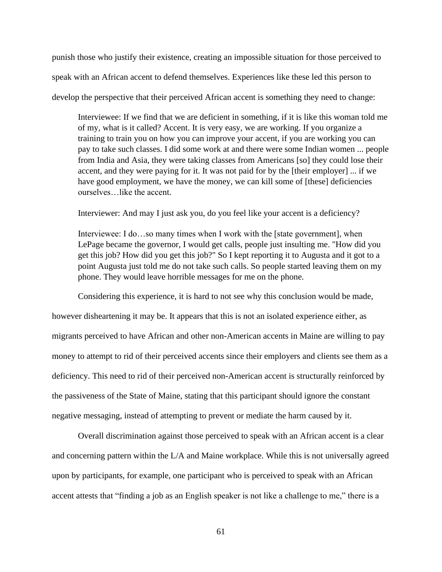punish those who justify their existence, creating an impossible situation for those perceived to speak with an African accent to defend themselves. Experiences like these led this person to develop the perspective that their perceived African accent is something they need to change:

Interviewee: If we find that we are deficient in something, if it is like this woman told me of my, what is it called? Accent. It is very easy, we are working. If you organize a training to train you on how you can improve your accent, if you are working you can pay to take such classes. I did some work at and there were some Indian women ... people from India and Asia, they were taking classes from Americans [so] they could lose their accent, and they were paying for it. It was not paid for by the [their employer] ... if we have good employment, we have the money, we can kill some of [these] deficiencies ourselves…like the accent.

Interviewer: And may I just ask you, do you feel like your accent is a deficiency?

Interviewee: I do...so many times when I work with the [state government], when LePage became the governor, I would get calls, people just insulting me. "How did you get this job? How did you get this job?" So I kept reporting it to Augusta and it got to a point Augusta just told me do not take such calls. So people started leaving them on my phone. They would leave horrible messages for me on the phone.

Considering this experience, it is hard to not see why this conclusion would be made,

however disheartening it may be. It appears that this is not an isolated experience either, as migrants perceived to have African and other non-American accents in Maine are willing to pay money to attempt to rid of their perceived accents since their employers and clients see them as a deficiency. This need to rid of their perceived non-American accent is structurally reinforced by the passiveness of the State of Maine, stating that this participant should ignore the constant negative messaging, instead of attempting to prevent or mediate the harm caused by it.

Overall discrimination against those perceived to speak with an African accent is a clear and concerning pattern within the L/A and Maine workplace. While this is not universally agreed upon by participants, for example, one participant who is perceived to speak with an African accent attests that "finding a job as an English speaker is not like a challenge to me," there is a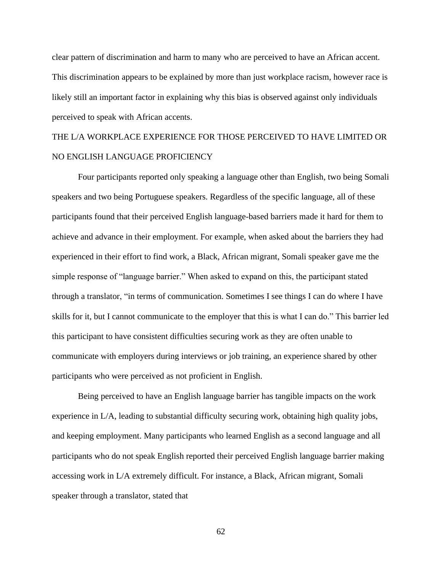clear pattern of discrimination and harm to many who are perceived to have an African accent. This discrimination appears to be explained by more than just workplace racism, however race is likely still an important factor in explaining why this bias is observed against only individuals perceived to speak with African accents.

# THE L/A WORKPLACE EXPERIENCE FOR THOSE PERCEIVED TO HAVE LIMITED OR NO ENGLISH LANGUAGE PROFICIENCY

Four participants reported only speaking a language other than English, two being Somali speakers and two being Portuguese speakers. Regardless of the specific language, all of these participants found that their perceived English language-based barriers made it hard for them to achieve and advance in their employment. For example, when asked about the barriers they had experienced in their effort to find work, a Black, African migrant, Somali speaker gave me the simple response of "language barrier." When asked to expand on this, the participant stated through a translator, "in terms of communication. Sometimes I see things I can do where I have skills for it, but I cannot communicate to the employer that this is what I can do." This barrier led this participant to have consistent difficulties securing work as they are often unable to communicate with employers during interviews or job training, an experience shared by other participants who were perceived as not proficient in English.

Being perceived to have an English language barrier has tangible impacts on the work experience in L/A, leading to substantial difficulty securing work, obtaining high quality jobs, and keeping employment. Many participants who learned English as a second language and all participants who do not speak English reported their perceived English language barrier making accessing work in L/A extremely difficult. For instance, a Black, African migrant, Somali speaker through a translator, stated that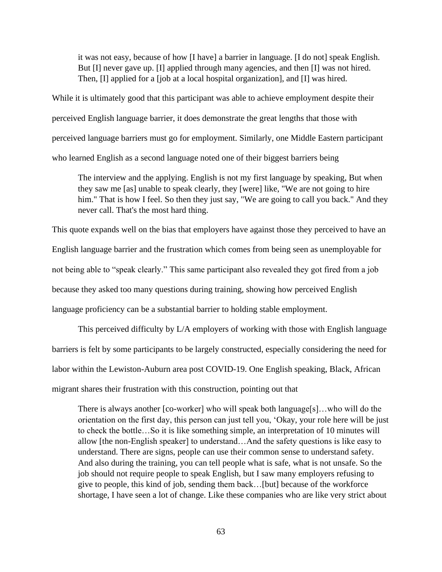it was not easy, because of how [I have] a barrier in language. [I do not] speak English. But [I] never gave up. [I] applied through many agencies, and then [I] was not hired. Then, [I] applied for a [job at a local hospital organization], and [I] was hired.

While it is ultimately good that this participant was able to achieve employment despite their perceived English language barrier, it does demonstrate the great lengths that those with perceived language barriers must go for employment. Similarly, one Middle Eastern participant who learned English as a second language noted one of their biggest barriers being

The interview and the applying. English is not my first language by speaking, But when they saw me [as] unable to speak clearly, they [were] like, "We are not going to hire him." That is how I feel. So then they just say, "We are going to call you back." And they never call. That's the most hard thing.

This quote expands well on the bias that employers have against those they perceived to have an English language barrier and the frustration which comes from being seen as unemployable for not being able to "speak clearly." This same participant also revealed they got fired from a job because they asked too many questions during training, showing how perceived English language proficiency can be a substantial barrier to holding stable employment.

This perceived difficulty by L/A employers of working with those with English language barriers is felt by some participants to be largely constructed, especially considering the need for labor within the Lewiston-Auburn area post COVID-19. One English speaking, Black, African migrant shares their frustration with this construction, pointing out that

There is always another [co-worker] who will speak both language[s]…who will do the orientation on the first day, this person can just tell you, 'Okay, your role here will be just to check the bottle…So it is like something simple, an interpretation of 10 minutes will allow [the non-English speaker] to understand…And the safety questions is like easy to understand. There are signs, people can use their common sense to understand safety. And also during the training, you can tell people what is safe, what is not unsafe. So the job should not require people to speak English, but I saw many employers refusing to give to people, this kind of job, sending them back…[but] because of the workforce shortage, I have seen a lot of change. Like these companies who are like very strict about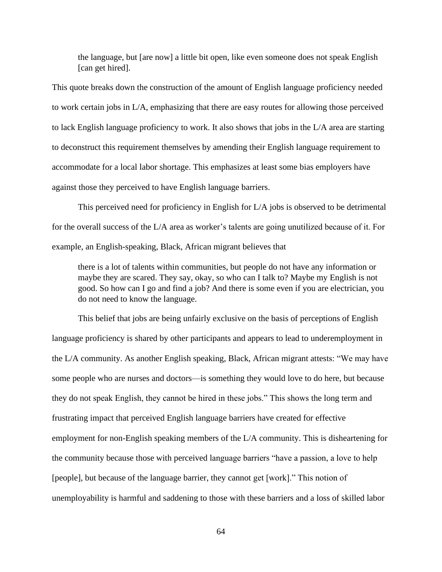the language, but [are now] a little bit open, like even someone does not speak English [can get hired].

This quote breaks down the construction of the amount of English language proficiency needed to work certain jobs in L/A, emphasizing that there are easy routes for allowing those perceived to lack English language proficiency to work. It also shows that jobs in the L/A area are starting to deconstruct this requirement themselves by amending their English language requirement to accommodate for a local labor shortage. This emphasizes at least some bias employers have against those they perceived to have English language barriers.

This perceived need for proficiency in English for L/A jobs is observed to be detrimental for the overall success of the L/A area as worker's talents are going unutilized because of it. For example, an English-speaking, Black, African migrant believes that

there is a lot of talents within communities, but people do not have any information or maybe they are scared. They say, okay, so who can I talk to? Maybe my English is not good. So how can I go and find a job? And there is some even if you are electrician, you do not need to know the language.

This belief that jobs are being unfairly exclusive on the basis of perceptions of English language proficiency is shared by other participants and appears to lead to underemployment in the L/A community. As another English speaking, Black, African migrant attests: "We may have some people who are nurses and doctors—is something they would love to do here, but because they do not speak English, they cannot be hired in these jobs." This shows the long term and frustrating impact that perceived English language barriers have created for effective employment for non-English speaking members of the L/A community. This is disheartening for the community because those with perceived language barriers "have a passion, a love to help [people], but because of the language barrier, they cannot get [work]." This notion of unemployability is harmful and saddening to those with these barriers and a loss of skilled labor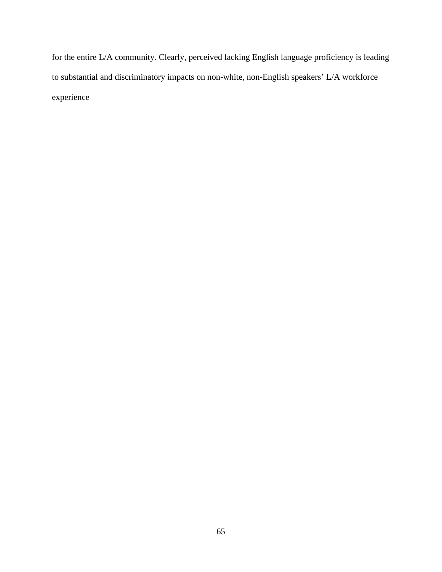for the entire L/A community. Clearly, perceived lacking English language proficiency is leading to substantial and discriminatory impacts on non-white, non-English speakers' L/A workforce experience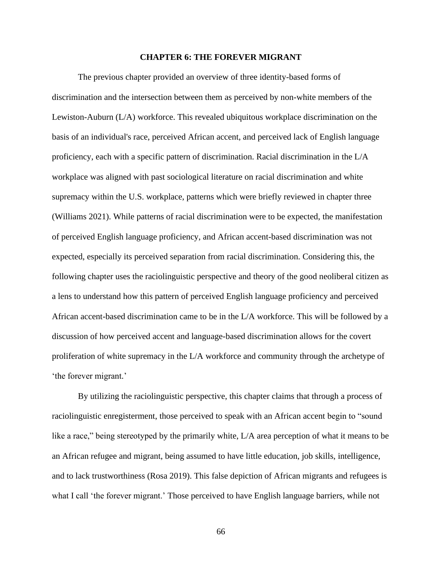## **CHAPTER 6: THE FOREVER MIGRANT**

The previous chapter provided an overview of three identity-based forms of discrimination and the intersection between them as perceived by non-white members of the Lewiston-Auburn (L/A) workforce. This revealed ubiquitous workplace discrimination on the basis of an individual's race, perceived African accent, and perceived lack of English language proficiency, each with a specific pattern of discrimination. Racial discrimination in the L/A workplace was aligned with past sociological literature on racial discrimination and white supremacy within the U.S. workplace, patterns which were briefly reviewed in chapter three (Williams 2021). While patterns of racial discrimination were to be expected, the manifestation of perceived English language proficiency, and African accent-based discrimination was not expected, especially its perceived separation from racial discrimination. Considering this, the following chapter uses the raciolinguistic perspective and theory of the good neoliberal citizen as a lens to understand how this pattern of perceived English language proficiency and perceived African accent-based discrimination came to be in the L/A workforce. This will be followed by a discussion of how perceived accent and language-based discrimination allows for the covert proliferation of white supremacy in the L/A workforce and community through the archetype of 'the forever migrant.'

By utilizing the raciolinguistic perspective, this chapter claims that through a process of raciolinguistic enregisterment, those perceived to speak with an African accent begin to "sound like a race," being stereotyped by the primarily white, L/A area perception of what it means to be an African refugee and migrant, being assumed to have little education, job skills, intelligence, and to lack trustworthiness (Rosa 2019). This false depiction of African migrants and refugees is what I call 'the forever migrant.' Those perceived to have English language barriers, while not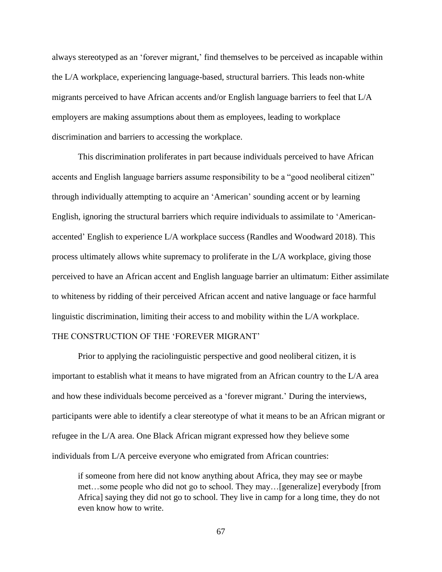always stereotyped as an 'forever migrant,' find themselves to be perceived as incapable within the L/A workplace, experiencing language-based, structural barriers. This leads non-white migrants perceived to have African accents and/or English language barriers to feel that L/A employers are making assumptions about them as employees, leading to workplace discrimination and barriers to accessing the workplace.

This discrimination proliferates in part because individuals perceived to have African accents and English language barriers assume responsibility to be a "good neoliberal citizen" through individually attempting to acquire an 'American' sounding accent or by learning English, ignoring the structural barriers which require individuals to assimilate to 'Americanaccented' English to experience L/A workplace success (Randles and Woodward 2018). This process ultimately allows white supremacy to proliferate in the L/A workplace, giving those perceived to have an African accent and English language barrier an ultimatum: Either assimilate to whiteness by ridding of their perceived African accent and native language or face harmful linguistic discrimination, limiting their access to and mobility within the L/A workplace. THE CONSTRUCTION OF THE 'FOREVER MIGRANT'

# Prior to applying the raciolinguistic perspective and good neoliberal citizen, it is important to establish what it means to have migrated from an African country to the L/A area and how these individuals become perceived as a 'forever migrant.' During the interviews, participants were able to identify a clear stereotype of what it means to be an African migrant or refugee in the L/A area. One Black African migrant expressed how they believe some individuals from L/A perceive everyone who emigrated from African countries:

if someone from here did not know anything about Africa, they may see or maybe met…some people who did not go to school. They may…[generalize] everybody [from Africa] saying they did not go to school. They live in camp for a long time, they do not even know how to write.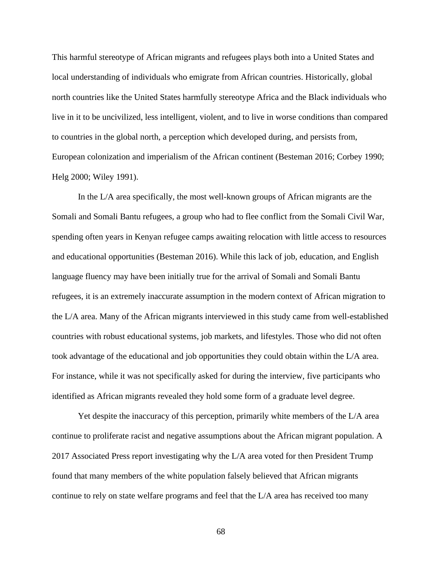This harmful stereotype of African migrants and refugees plays both into a United States and local understanding of individuals who emigrate from African countries. Historically, global north countries like the United States harmfully stereotype Africa and the Black individuals who live in it to be uncivilized, less intelligent, violent, and to live in worse conditions than compared to countries in the global north, a perception which developed during, and persists from, European colonization and imperialism of the African continent (Besteman 2016; Corbey 1990; Helg 2000; Wiley 1991).

In the L/A area specifically, the most well-known groups of African migrants are the Somali and Somali Bantu refugees, a group who had to flee conflict from the Somali Civil War, spending often years in Kenyan refugee camps awaiting relocation with little access to resources and educational opportunities (Besteman 2016). While this lack of job, education, and English language fluency may have been initially true for the arrival of Somali and Somali Bantu refugees, it is an extremely inaccurate assumption in the modern context of African migration to the L/A area. Many of the African migrants interviewed in this study came from well-established countries with robust educational systems, job markets, and lifestyles. Those who did not often took advantage of the educational and job opportunities they could obtain within the L/A area. For instance, while it was not specifically asked for during the interview, five participants who identified as African migrants revealed they hold some form of a graduate level degree.

Yet despite the inaccuracy of this perception, primarily white members of the L/A area continue to proliferate racist and negative assumptions about the African migrant population. A 2017 Associated Press report investigating why the L/A area voted for then President Trump found that many members of the white population falsely believed that African migrants continue to rely on state welfare programs and feel that the L/A area has received too many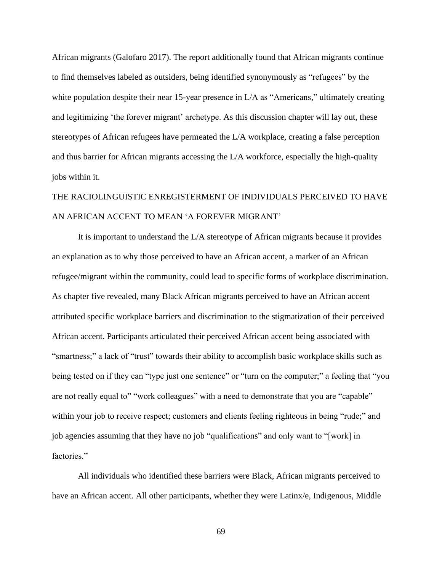African migrants (Galofaro 2017). The report additionally found that African migrants continue to find themselves labeled as outsiders, being identified synonymously as "refugees" by the white population despite their near 15-year presence in L/A as "Americans," ultimately creating and legitimizing 'the forever migrant' archetype. As this discussion chapter will lay out, these stereotypes of African refugees have permeated the L/A workplace, creating a false perception and thus barrier for African migrants accessing the L/A workforce, especially the high-quality jobs within it.

# THE RACIOLINGUISTIC ENREGISTERMENT OF INDIVIDUALS PERCEIVED TO HAVE AN AFRICAN ACCENT TO MEAN 'A FOREVER MIGRANT'

It is important to understand the L/A stereotype of African migrants because it provides an explanation as to why those perceived to have an African accent, a marker of an African refugee/migrant within the community, could lead to specific forms of workplace discrimination. As chapter five revealed, many Black African migrants perceived to have an African accent attributed specific workplace barriers and discrimination to the stigmatization of their perceived African accent. Participants articulated their perceived African accent being associated with "smartness;" a lack of "trust" towards their ability to accomplish basic workplace skills such as being tested on if they can "type just one sentence" or "turn on the computer;" a feeling that "you are not really equal to" "work colleagues" with a need to demonstrate that you are "capable" within your job to receive respect; customers and clients feeling righteous in being "rude;" and job agencies assuming that they have no job "qualifications" and only want to "[work] in factories."

All individuals who identified these barriers were Black, African migrants perceived to have an African accent. All other participants, whether they were Latinx/e, Indigenous, Middle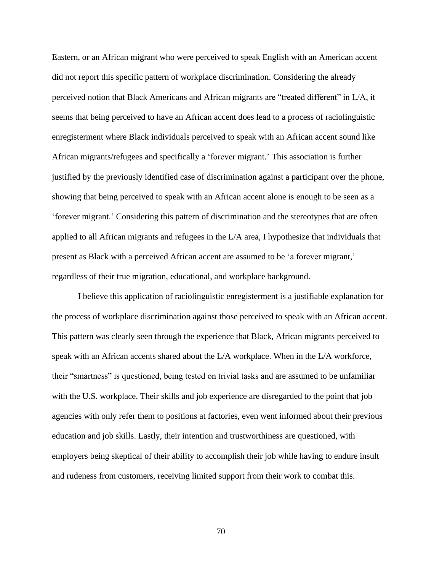Eastern, or an African migrant who were perceived to speak English with an American accent did not report this specific pattern of workplace discrimination. Considering the already perceived notion that Black Americans and African migrants are "treated different" in L/A, it seems that being perceived to have an African accent does lead to a process of raciolinguistic enregisterment where Black individuals perceived to speak with an African accent sound like African migrants/refugees and specifically a 'forever migrant.' This association is further justified by the previously identified case of discrimination against a participant over the phone, showing that being perceived to speak with an African accent alone is enough to be seen as a 'forever migrant.' Considering this pattern of discrimination and the stereotypes that are often applied to all African migrants and refugees in the L/A area, I hypothesize that individuals that present as Black with a perceived African accent are assumed to be 'a forever migrant,' regardless of their true migration, educational, and workplace background.

I believe this application of raciolinguistic enregisterment is a justifiable explanation for the process of workplace discrimination against those perceived to speak with an African accent. This pattern was clearly seen through the experience that Black, African migrants perceived to speak with an African accents shared about the L/A workplace. When in the L/A workforce, their "smartness" is questioned, being tested on trivial tasks and are assumed to be unfamiliar with the U.S. workplace. Their skills and job experience are disregarded to the point that job agencies with only refer them to positions at factories, even went informed about their previous education and job skills. Lastly, their intention and trustworthiness are questioned, with employers being skeptical of their ability to accomplish their job while having to endure insult and rudeness from customers, receiving limited support from their work to combat this.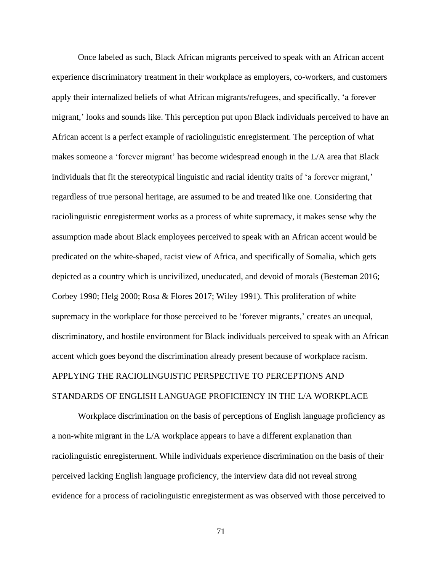Once labeled as such, Black African migrants perceived to speak with an African accent experience discriminatory treatment in their workplace as employers, co-workers, and customers apply their internalized beliefs of what African migrants/refugees, and specifically, 'a forever migrant,' looks and sounds like. This perception put upon Black individuals perceived to have an African accent is a perfect example of raciolinguistic enregisterment. The perception of what makes someone a 'forever migrant' has become widespread enough in the L/A area that Black individuals that fit the stereotypical linguistic and racial identity traits of 'a forever migrant,' regardless of true personal heritage, are assumed to be and treated like one. Considering that raciolinguistic enregisterment works as a process of white supremacy, it makes sense why the assumption made about Black employees perceived to speak with an African accent would be predicated on the white-shaped, racist view of Africa, and specifically of Somalia, which gets depicted as a country which is uncivilized, uneducated, and devoid of morals (Besteman 2016; Corbey 1990; Helg 2000; Rosa & Flores 2017; Wiley 1991). This proliferation of white supremacy in the workplace for those perceived to be 'forever migrants,' creates an unequal, discriminatory, and hostile environment for Black individuals perceived to speak with an African accent which goes beyond the discrimination already present because of workplace racism. APPLYING THE RACIOLINGUISTIC PERSPECTIVE TO PERCEPTIONS AND STANDARDS OF ENGLISH LANGUAGE PROFICIENCY IN THE L/A WORKPLACE

Workplace discrimination on the basis of perceptions of English language proficiency as a non-white migrant in the L/A workplace appears to have a different explanation than raciolinguistic enregisterment. While individuals experience discrimination on the basis of their perceived lacking English language proficiency, the interview data did not reveal strong evidence for a process of raciolinguistic enregisterment as was observed with those perceived to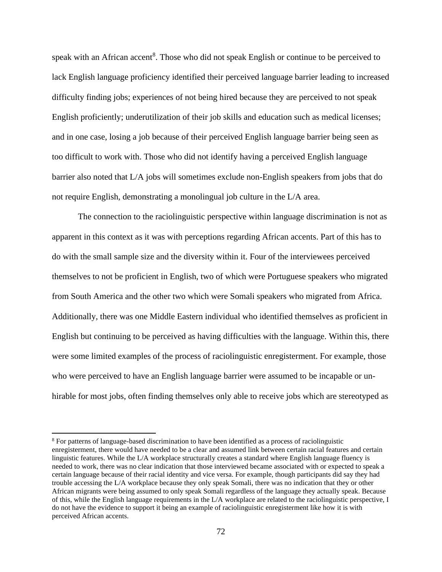speak with an African accent<sup>8</sup>. Those who did not speak English or continue to be perceived to lack English language proficiency identified their perceived language barrier leading to increased difficulty finding jobs; experiences of not being hired because they are perceived to not speak English proficiently; underutilization of their job skills and education such as medical licenses; and in one case, losing a job because of their perceived English language barrier being seen as too difficult to work with. Those who did not identify having a perceived English language barrier also noted that L/A jobs will sometimes exclude non-English speakers from jobs that do not require English, demonstrating a monolingual job culture in the L/A area.

The connection to the raciolinguistic perspective within language discrimination is not as apparent in this context as it was with perceptions regarding African accents. Part of this has to do with the small sample size and the diversity within it. Four of the interviewees perceived themselves to not be proficient in English, two of which were Portuguese speakers who migrated from South America and the other two which were Somali speakers who migrated from Africa. Additionally, there was one Middle Eastern individual who identified themselves as proficient in English but continuing to be perceived as having difficulties with the language. Within this, there were some limited examples of the process of raciolinguistic enregisterment. For example, those who were perceived to have an English language barrier were assumed to be incapable or unhirable for most jobs, often finding themselves only able to receive jobs which are stereotyped as

<sup>8</sup> For patterns of language-based discrimination to have been identified as a process of raciolinguistic enregisterment, there would have needed to be a clear and assumed link between certain racial features and certain linguistic features. While the L/A workplace structurally creates a standard where English language fluency is needed to work, there was no clear indication that those interviewed became associated with or expected to speak a certain language because of their racial identity and vice versa. For example, though participants did say they had trouble accessing the L/A workplace because they only speak Somali, there was no indication that they or other African migrants were being assumed to only speak Somali regardless of the language they actually speak. Because of this, while the English language requirements in the L/A workplace are related to the raciolinguistic perspective, I do not have the evidence to support it being an example of raciolinguistic enregisterment like how it is with perceived African accents.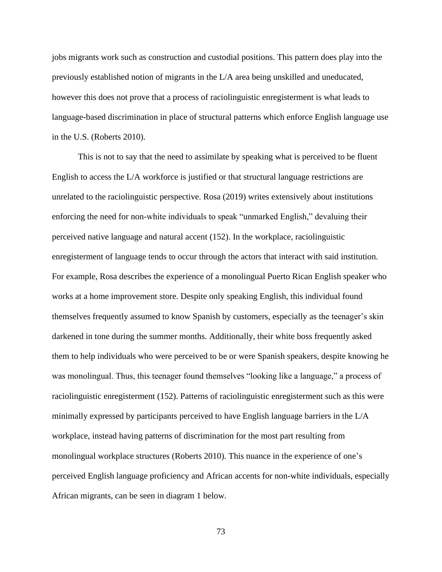jobs migrants work such as construction and custodial positions. This pattern does play into the previously established notion of migrants in the L/A area being unskilled and uneducated, however this does not prove that a process of raciolinguistic enregisterment is what leads to language-based discrimination in place of structural patterns which enforce English language use in the U.S. (Roberts 2010).

This is not to say that the need to assimilate by speaking what is perceived to be fluent English to access the L/A workforce is justified or that structural language restrictions are unrelated to the raciolinguistic perspective. Rosa (2019) writes extensively about institutions enforcing the need for non-white individuals to speak "unmarked English," devaluing their perceived native language and natural accent (152). In the workplace, raciolinguistic enregisterment of language tends to occur through the actors that interact with said institution. For example, Rosa describes the experience of a monolingual Puerto Rican English speaker who works at a home improvement store. Despite only speaking English, this individual found themselves frequently assumed to know Spanish by customers, especially as the teenager's skin darkened in tone during the summer months. Additionally, their white boss frequently asked them to help individuals who were perceived to be or were Spanish speakers, despite knowing he was monolingual. Thus, this teenager found themselves "looking like a language," a process of raciolinguistic enregisterment (152). Patterns of raciolinguistic enregisterment such as this were minimally expressed by participants perceived to have English language barriers in the L/A workplace, instead having patterns of discrimination for the most part resulting from monolingual workplace structures (Roberts 2010). This nuance in the experience of one's perceived English language proficiency and African accents for non-white individuals, especially African migrants, can be seen in diagram 1 below.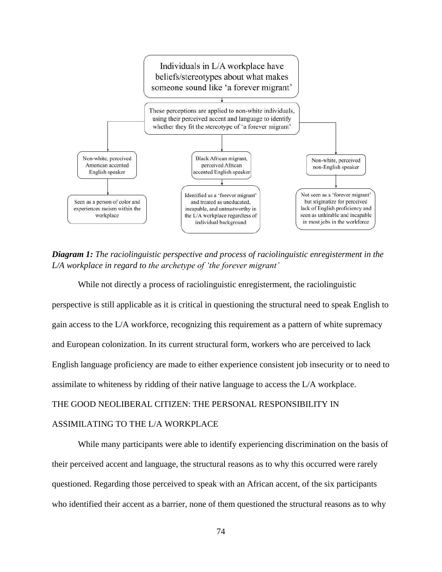

*Diagram 1: The raciolinguistic perspective and process of raciolinguistic enregisterment in the L/A workplace in regard to the archetype of 'the forever migrant'*

While not directly a process of raciolinguistic enregisterment, the raciolinguistic perspective is still applicable as it is critical in questioning the structural need to speak English to gain access to the L/A workforce, recognizing this requirement as a pattern of white supremacy and European colonization. In its current structural form, workers who are perceived to lack English language proficiency are made to either experience consistent job insecurity or to need to assimilate to whiteness by ridding of their native language to access the L/A workplace. THE GOOD NEOLIBERAL CITIZEN: THE PERSONAL RESPONSIBILITY IN ASSIMILATING TO THE L/A WORKPLACE

While many participants were able to identify experiencing discrimination on the basis of their perceived accent and language, the structural reasons as to why this occurred were rarely questioned. Regarding those perceived to speak with an African accent, of the six participants who identified their accent as a barrier, none of them questioned the structural reasons as to why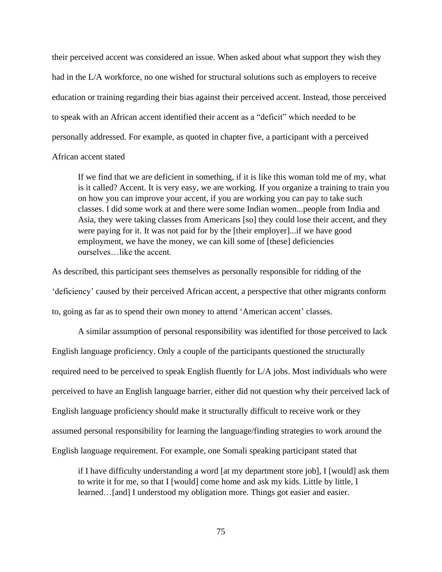their perceived accent was considered an issue. When asked about what support they wish they had in the L/A workforce, no one wished for structural solutions such as employers to receive education or training regarding their bias against their perceived accent. Instead, those perceived to speak with an African accent identified their accent as a "deficit" which needed to be personally addressed. For example, as quoted in chapter five, a participant with a perceived

# African accent stated

If we find that we are deficient in something, if it is like this woman told me of my, what is it called? Accent. It is very easy, we are working. If you organize a training to train you on how you can improve your accent, if you are working you can pay to take such classes. I did some work at and there were some Indian women...people from India and Asia, they were taking classes from Americans [so] they could lose their accent, and they were paying for it. It was not paid for by the [their employer]...if we have good employment, we have the money, we can kill some of [these] deficiencies ourselves…like the accent.

As described, this participant sees themselves as personally responsible for ridding of the 'deficiency' caused by their perceived African accent, a perspective that other migrants conform to, going as far as to spend their own money to attend 'American accent' classes.

A similar assumption of personal responsibility was identified for those perceived to lack English language proficiency. Only a couple of the participants questioned the structurally required need to be perceived to speak English fluently for L/A jobs. Most individuals who were perceived to have an English language barrier, either did not question why their perceived lack of English language proficiency should make it structurally difficult to receive work or they assumed personal responsibility for learning the language/finding strategies to work around the English language requirement. For example, one Somali speaking participant stated that

if I have difficulty understanding a word [at my department store job], I [would] ask them to write it for me, so that I [would] come home and ask my kids. Little by little, I learned...[and] I understood my obligation more. Things got easier and easier.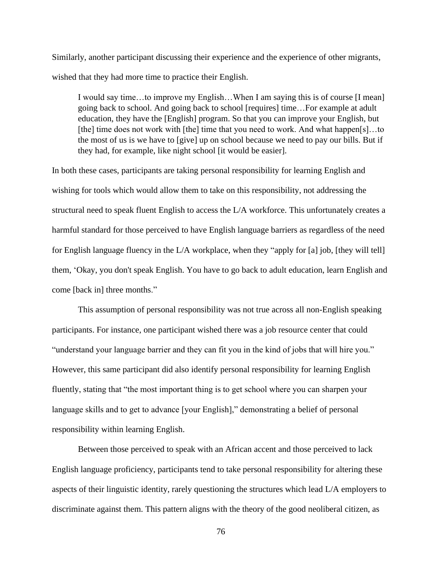Similarly, another participant discussing their experience and the experience of other migrants, wished that they had more time to practice their English.

I would say time…to improve my English…When I am saying this is of course [I mean] going back to school. And going back to school [requires] time…For example at adult education, they have the [English] program. So that you can improve your English, but [the] time does not work with [the] time that you need to work. And what happen[s]...to the most of us is we have to [give] up on school because we need to pay our bills. But if they had, for example, like night school [it would be easier].

In both these cases, participants are taking personal responsibility for learning English and wishing for tools which would allow them to take on this responsibility, not addressing the structural need to speak fluent English to access the L/A workforce. This unfortunately creates a harmful standard for those perceived to have English language barriers as regardless of the need for English language fluency in the L/A workplace, when they "apply for [a] job, [they will tell] them, 'Okay, you don't speak English. You have to go back to adult education, learn English and come [back in] three months."

This assumption of personal responsibility was not true across all non-English speaking participants. For instance, one participant wished there was a job resource center that could "understand your language barrier and they can fit you in the kind of jobs that will hire you." However, this same participant did also identify personal responsibility for learning English fluently, stating that "the most important thing is to get school where you can sharpen your language skills and to get to advance [your English]," demonstrating a belief of personal responsibility within learning English.

Between those perceived to speak with an African accent and those perceived to lack English language proficiency, participants tend to take personal responsibility for altering these aspects of their linguistic identity, rarely questioning the structures which lead L/A employers to discriminate against them. This pattern aligns with the theory of the good neoliberal citizen, as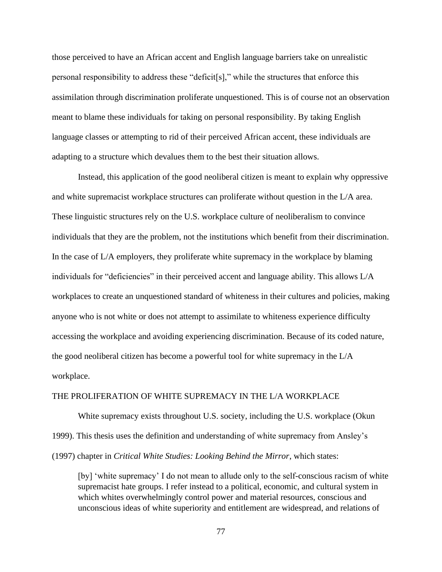those perceived to have an African accent and English language barriers take on unrealistic personal responsibility to address these "deficit[s]," while the structures that enforce this assimilation through discrimination proliferate unquestioned. This is of course not an observation meant to blame these individuals for taking on personal responsibility. By taking English language classes or attempting to rid of their perceived African accent, these individuals are adapting to a structure which devalues them to the best their situation allows.

Instead, this application of the good neoliberal citizen is meant to explain why oppressive and white supremacist workplace structures can proliferate without question in the L/A area. These linguistic structures rely on the U.S. workplace culture of neoliberalism to convince individuals that they are the problem, not the institutions which benefit from their discrimination. In the case of L/A employers, they proliferate white supremacy in the workplace by blaming individuals for "deficiencies" in their perceived accent and language ability. This allows L/A workplaces to create an unquestioned standard of whiteness in their cultures and policies, making anyone who is not white or does not attempt to assimilate to whiteness experience difficulty accessing the workplace and avoiding experiencing discrimination. Because of its coded nature, the good neoliberal citizen has become a powerful tool for white supremacy in the L/A workplace.

## THE PROLIFERATION OF WHITE SUPREMACY IN THE L/A WORKPLACE

White supremacy exists throughout U.S. society, including the U.S. workplace (Okun 1999). This thesis uses the definition and understanding of white supremacy from Ansley's (1997) chapter in *Critical White Studies: Looking Behind the Mirror*, which states:

[by] 'white supremacy' I do not mean to allude only to the self-conscious racism of white supremacist hate groups. I refer instead to a political, economic, and cultural system in which whites overwhelmingly control power and material resources, conscious and unconscious ideas of white superiority and entitlement are widespread, and relations of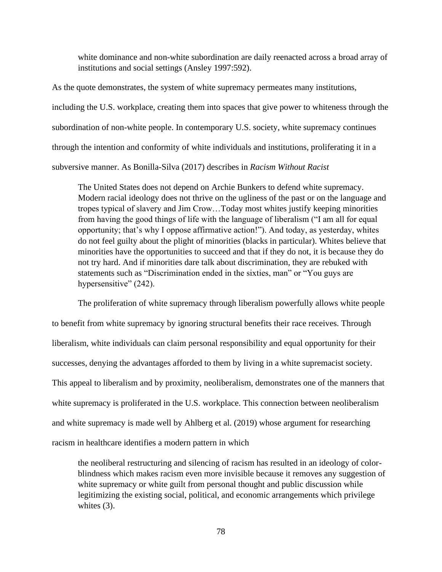white dominance and non-white subordination are daily reenacted across a broad array of institutions and social settings (Ansley 1997:592).

As the quote demonstrates, the system of white supremacy permeates many institutions, including the U.S. workplace, creating them into spaces that give power to whiteness through the subordination of non-white people. In contemporary U.S. society, white supremacy continues through the intention and conformity of white individuals and institutions, proliferating it in a subversive manner. As Bonilla-Silva (2017) describes in *Racism Without Racist*

The United States does not depend on Archie Bunkers to defend white supremacy. Modern racial ideology does not thrive on the ugliness of the past or on the language and tropes typical of slavery and Jim Crow…Today most whites justify keeping minorities from having the good things of life with the language of liberalism ("I am all for equal opportunity; that's why I oppose affirmative action!"). And today, as yesterday, whites do not feel guilty about the plight of minorities (blacks in particular). Whites believe that minorities have the opportunities to succeed and that if they do not, it is because they do not try hard. And if minorities dare talk about discrimination, they are rebuked with statements such as "Discrimination ended in the sixties, man" or "You guys are hypersensitive" (242).

The proliferation of white supremacy through liberalism powerfully allows white people to benefit from white supremacy by ignoring structural benefits their race receives. Through liberalism, white individuals can claim personal responsibility and equal opportunity for their successes, denying the advantages afforded to them by living in a white supremacist society. This appeal to liberalism and by proximity, neoliberalism, demonstrates one of the manners that white supremacy is proliferated in the U.S. workplace. This connection between neoliberalism and white supremacy is made well by Ahlberg et al. (2019) whose argument for researching racism in healthcare identifies a modern pattern in which

the neoliberal restructuring and silencing of racism has resulted in an ideology of colorblindness which makes racism even more invisible because it removes any suggestion of white supremacy or white guilt from personal thought and public discussion while legitimizing the existing social, political, and economic arrangements which privilege whites  $(3)$ .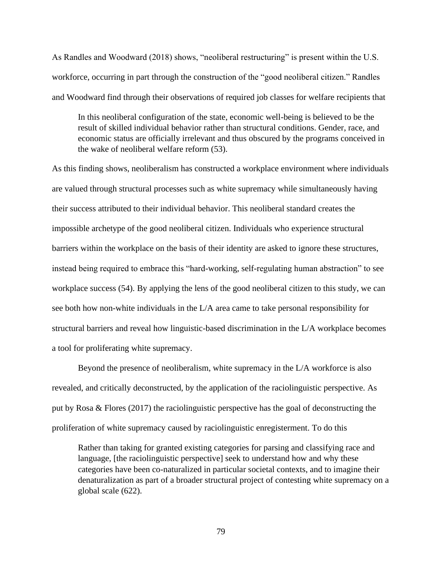As Randles and Woodward (2018) shows, "neoliberal restructuring" is present within the U.S. workforce, occurring in part through the construction of the "good neoliberal citizen." Randles and Woodward find through their observations of required job classes for welfare recipients that

In this neoliberal configuration of the state, economic well-being is believed to be the result of skilled individual behavior rather than structural conditions. Gender, race, and economic status are officially irrelevant and thus obscured by the programs conceived in the wake of neoliberal welfare reform (53).

As this finding shows, neoliberalism has constructed a workplace environment where individuals are valued through structural processes such as white supremacy while simultaneously having their success attributed to their individual behavior. This neoliberal standard creates the impossible archetype of the good neoliberal citizen. Individuals who experience structural barriers within the workplace on the basis of their identity are asked to ignore these structures, instead being required to embrace this "hard-working, self-regulating human abstraction" to see workplace success (54). By applying the lens of the good neoliberal citizen to this study, we can see both how non-white individuals in the L/A area came to take personal responsibility for structural barriers and reveal how linguistic-based discrimination in the L/A workplace becomes a tool for proliferating white supremacy.

Beyond the presence of neoliberalism, white supremacy in the L/A workforce is also revealed, and critically deconstructed, by the application of the raciolinguistic perspective. As put by Rosa & Flores (2017) the raciolinguistic perspective has the goal of deconstructing the proliferation of white supremacy caused by raciolinguistic enregisterment. To do this

Rather than taking for granted existing categories for parsing and classifying race and language, [the raciolinguistic perspective] seek to understand how and why these categories have been co-naturalized in particular societal contexts, and to imagine their denaturalization as part of a broader structural project of contesting white supremacy on a global scale (622).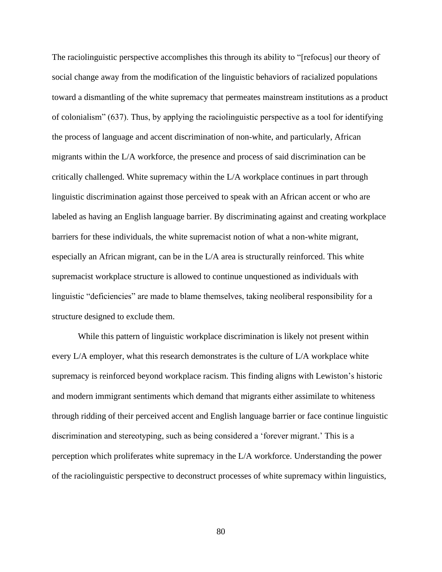The raciolinguistic perspective accomplishes this through its ability to "[refocus] our theory of social change away from the modification of the linguistic behaviors of racialized populations toward a dismantling of the white supremacy that permeates mainstream institutions as a product of colonialism" (637). Thus, by applying the raciolinguistic perspective as a tool for identifying the process of language and accent discrimination of non-white, and particularly, African migrants within the L/A workforce, the presence and process of said discrimination can be critically challenged. White supremacy within the L/A workplace continues in part through linguistic discrimination against those perceived to speak with an African accent or who are labeled as having an English language barrier. By discriminating against and creating workplace barriers for these individuals, the white supremacist notion of what a non-white migrant, especially an African migrant, can be in the L/A area is structurally reinforced. This white supremacist workplace structure is allowed to continue unquestioned as individuals with linguistic "deficiencies" are made to blame themselves, taking neoliberal responsibility for a structure designed to exclude them.

While this pattern of linguistic workplace discrimination is likely not present within every L/A employer, what this research demonstrates is the culture of L/A workplace white supremacy is reinforced beyond workplace racism. This finding aligns with Lewiston's historic and modern immigrant sentiments which demand that migrants either assimilate to whiteness through ridding of their perceived accent and English language barrier or face continue linguistic discrimination and stereotyping, such as being considered a 'forever migrant.' This is a perception which proliferates white supremacy in the L/A workforce. Understanding the power of the raciolinguistic perspective to deconstruct processes of white supremacy within linguistics,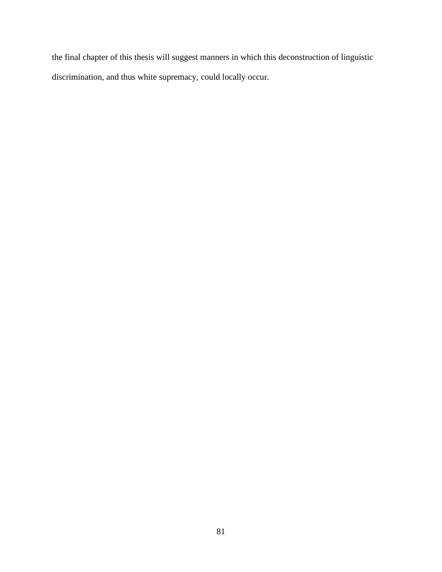the final chapter of this thesis will suggest manners in which this deconstruction of linguistic discrimination, and thus white supremacy, could locally occur.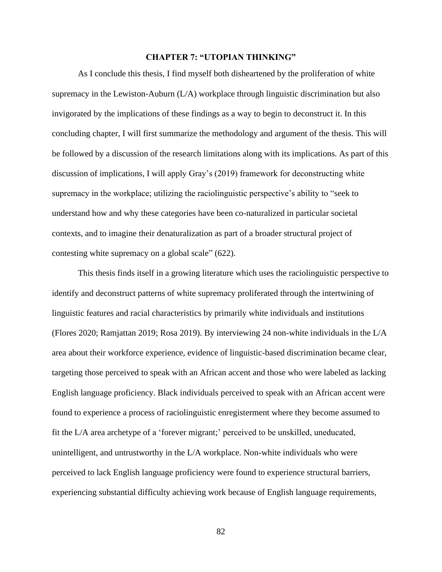## **CHAPTER 7: "UTOPIAN THINKING"**

As I conclude this thesis, I find myself both disheartened by the proliferation of white supremacy in the Lewiston-Auburn (L/A) workplace through linguistic discrimination but also invigorated by the implications of these findings as a way to begin to deconstruct it. In this concluding chapter, I will first summarize the methodology and argument of the thesis. This will be followed by a discussion of the research limitations along with its implications. As part of this discussion of implications, I will apply Gray's (2019) framework for deconstructing white supremacy in the workplace; utilizing the raciolinguistic perspective's ability to "seek to understand how and why these categories have been co-naturalized in particular societal contexts, and to imagine their denaturalization as part of a broader structural project of contesting white supremacy on a global scale" (622).

This thesis finds itself in a growing literature which uses the raciolinguistic perspective to identify and deconstruct patterns of white supremacy proliferated through the intertwining of linguistic features and racial characteristics by primarily white individuals and institutions (Flores 2020; Ramjattan 2019; Rosa 2019). By interviewing 24 non-white individuals in the L/A area about their workforce experience, evidence of linguistic-based discrimination became clear, targeting those perceived to speak with an African accent and those who were labeled as lacking English language proficiency. Black individuals perceived to speak with an African accent were found to experience a process of raciolinguistic enregisterment where they become assumed to fit the L/A area archetype of a 'forever migrant;' perceived to be unskilled, uneducated, unintelligent, and untrustworthy in the L/A workplace. Non-white individuals who were perceived to lack English language proficiency were found to experience structural barriers, experiencing substantial difficulty achieving work because of English language requirements,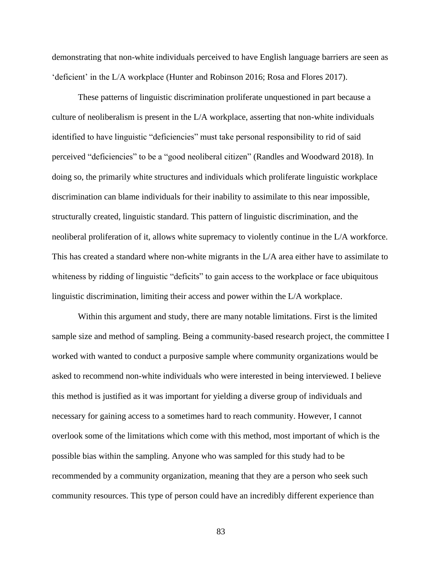demonstrating that non-white individuals perceived to have English language barriers are seen as 'deficient' in the L/A workplace (Hunter and Robinson 2016; Rosa and Flores 2017).

These patterns of linguistic discrimination proliferate unquestioned in part because a culture of neoliberalism is present in the L/A workplace, asserting that non-white individuals identified to have linguistic "deficiencies" must take personal responsibility to rid of said perceived "deficiencies" to be a "good neoliberal citizen" (Randles and Woodward 2018). In doing so, the primarily white structures and individuals which proliferate linguistic workplace discrimination can blame individuals for their inability to assimilate to this near impossible, structurally created, linguistic standard. This pattern of linguistic discrimination, and the neoliberal proliferation of it, allows white supremacy to violently continue in the L/A workforce. This has created a standard where non-white migrants in the L/A area either have to assimilate to whiteness by ridding of linguistic "deficits" to gain access to the workplace or face ubiquitous linguistic discrimination, limiting their access and power within the L/A workplace.

Within this argument and study, there are many notable limitations. First is the limited sample size and method of sampling. Being a community-based research project, the committee I worked with wanted to conduct a purposive sample where community organizations would be asked to recommend non-white individuals who were interested in being interviewed. I believe this method is justified as it was important for yielding a diverse group of individuals and necessary for gaining access to a sometimes hard to reach community. However, I cannot overlook some of the limitations which come with this method, most important of which is the possible bias within the sampling. Anyone who was sampled for this study had to be recommended by a community organization, meaning that they are a person who seek such community resources. This type of person could have an incredibly different experience than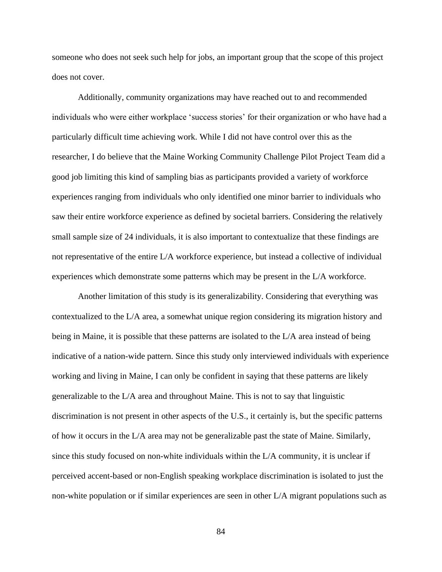someone who does not seek such help for jobs, an important group that the scope of this project does not cover.

Additionally, community organizations may have reached out to and recommended individuals who were either workplace 'success stories' for their organization or who have had a particularly difficult time achieving work. While I did not have control over this as the researcher, I do believe that the Maine Working Community Challenge Pilot Project Team did a good job limiting this kind of sampling bias as participants provided a variety of workforce experiences ranging from individuals who only identified one minor barrier to individuals who saw their entire workforce experience as defined by societal barriers. Considering the relatively small sample size of 24 individuals, it is also important to contextualize that these findings are not representative of the entire L/A workforce experience, but instead a collective of individual experiences which demonstrate some patterns which may be present in the L/A workforce.

Another limitation of this study is its generalizability. Considering that everything was contextualized to the L/A area, a somewhat unique region considering its migration history and being in Maine, it is possible that these patterns are isolated to the L/A area instead of being indicative of a nation-wide pattern. Since this study only interviewed individuals with experience working and living in Maine, I can only be confident in saying that these patterns are likely generalizable to the L/A area and throughout Maine. This is not to say that linguistic discrimination is not present in other aspects of the U.S., it certainly is, but the specific patterns of how it occurs in the L/A area may not be generalizable past the state of Maine. Similarly, since this study focused on non-white individuals within the L/A community, it is unclear if perceived accent-based or non-English speaking workplace discrimination is isolated to just the non-white population or if similar experiences are seen in other L/A migrant populations such as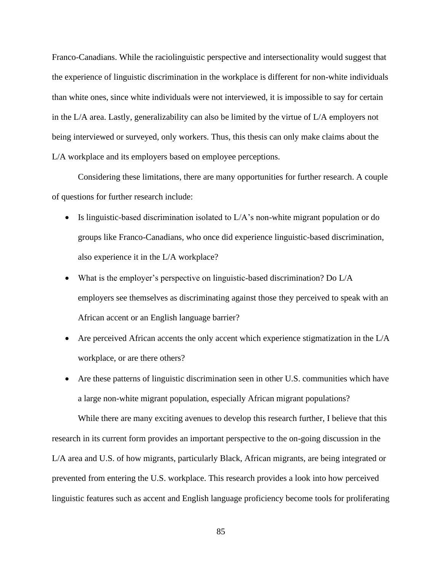Franco-Canadians. While the raciolinguistic perspective and intersectionality would suggest that the experience of linguistic discrimination in the workplace is different for non-white individuals than white ones, since white individuals were not interviewed, it is impossible to say for certain in the L/A area. Lastly, generalizability can also be limited by the virtue of L/A employers not being interviewed or surveyed, only workers. Thus, this thesis can only make claims about the L/A workplace and its employers based on employee perceptions.

Considering these limitations, there are many opportunities for further research. A couple of questions for further research include:

- Is linguistic-based discrimination isolated to L/A's non-white migrant population or do groups like Franco-Canadians, who once did experience linguistic-based discrimination, also experience it in the L/A workplace?
- What is the employer's perspective on linguistic-based discrimination? Do L/A employers see themselves as discriminating against those they perceived to speak with an African accent or an English language barrier?
- Are perceived African accents the only accent which experience stigmatization in the L/A workplace, or are there others?
- Are these patterns of linguistic discrimination seen in other U.S. communities which have a large non-white migrant population, especially African migrant populations?

While there are many exciting avenues to develop this research further, I believe that this research in its current form provides an important perspective to the on-going discussion in the L/A area and U.S. of how migrants, particularly Black, African migrants, are being integrated or prevented from entering the U.S. workplace. This research provides a look into how perceived linguistic features such as accent and English language proficiency become tools for proliferating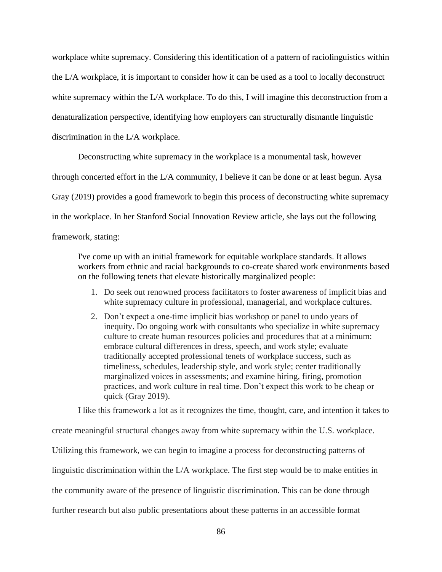workplace white supremacy. Considering this identification of a pattern of raciolinguistics within the L/A workplace, it is important to consider how it can be used as a tool to locally deconstruct white supremacy within the L/A workplace. To do this, I will imagine this deconstruction from a denaturalization perspective, identifying how employers can structurally dismantle linguistic discrimination in the L/A workplace.

Deconstructing white supremacy in the workplace is a monumental task, however through concerted effort in the L/A community, I believe it can be done or at least begun. Aysa Gray (2019) provides a good framework to begin this process of deconstructing white supremacy in the workplace. In her Stanford Social Innovation Review article, she lays out the following framework, stating:

I've come up with an initial framework for equitable workplace standards. It allows workers from ethnic and racial backgrounds to co-create shared work environments based on the following tenets that elevate historically marginalized people:

- 1. Do seek out renowned process facilitators to foster awareness of implicit bias and white supremacy culture in professional, managerial, and workplace cultures.
- 2. Don't expect a one-time implicit bias workshop or panel to undo years of inequity. Do ongoing work with consultants who specialize in white supremacy culture to create human resources policies and procedures that at a minimum: embrace cultural differences in dress, speech, and work style; evaluate traditionally accepted professional tenets of workplace success, such as timeliness, schedules, leadership style, and work style; center traditionally marginalized voices in assessments; and examine hiring, firing, promotion practices, and work culture in real time. Don't expect this work to be cheap or quick (Gray 2019).

I like this framework a lot as it recognizes the time, thought, care, and intention it takes to

create meaningful structural changes away from white supremacy within the U.S. workplace.

Utilizing this framework, we can begin to imagine a process for deconstructing patterns of

linguistic discrimination within the L/A workplace. The first step would be to make entities in

the community aware of the presence of linguistic discrimination. This can be done through

further research but also public presentations about these patterns in an accessible format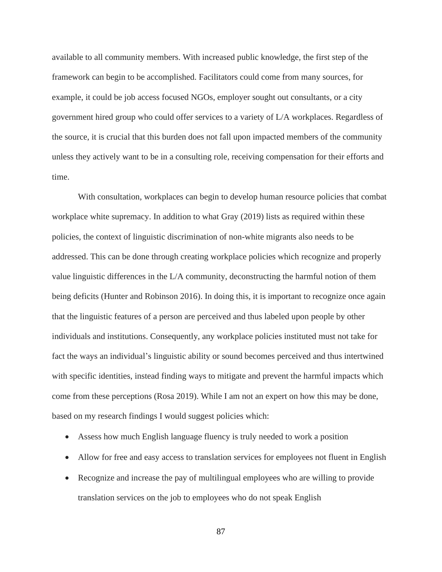available to all community members. With increased public knowledge, the first step of the framework can begin to be accomplished. Facilitators could come from many sources, for example, it could be job access focused NGOs, employer sought out consultants, or a city government hired group who could offer services to a variety of L/A workplaces. Regardless of the source, it is crucial that this burden does not fall upon impacted members of the community unless they actively want to be in a consulting role, receiving compensation for their efforts and time.

With consultation, workplaces can begin to develop human resource policies that combat workplace white supremacy. In addition to what Gray (2019) lists as required within these policies, the context of linguistic discrimination of non-white migrants also needs to be addressed. This can be done through creating workplace policies which recognize and properly value linguistic differences in the L/A community, deconstructing the harmful notion of them being deficits (Hunter and Robinson 2016). In doing this, it is important to recognize once again that the linguistic features of a person are perceived and thus labeled upon people by other individuals and institutions. Consequently, any workplace policies instituted must not take for fact the ways an individual's linguistic ability or sound becomes perceived and thus intertwined with specific identities, instead finding ways to mitigate and prevent the harmful impacts which come from these perceptions (Rosa 2019). While I am not an expert on how this may be done, based on my research findings I would suggest policies which:

- Assess how much English language fluency is truly needed to work a position
- Allow for free and easy access to translation services for employees not fluent in English
- Recognize and increase the pay of multilingual employees who are willing to provide translation services on the job to employees who do not speak English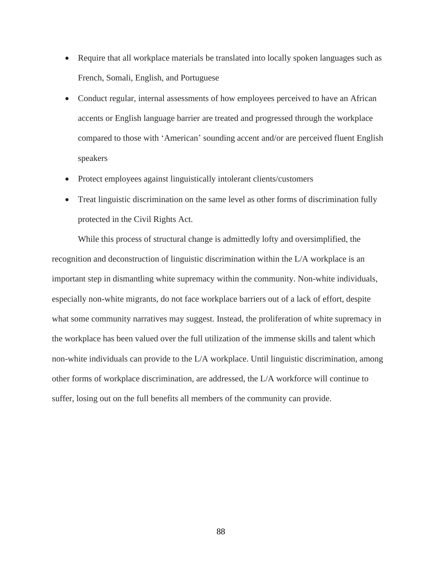- Require that all workplace materials be translated into locally spoken languages such as French, Somali, English, and Portuguese
- Conduct regular, internal assessments of how employees perceived to have an African accents or English language barrier are treated and progressed through the workplace compared to those with 'American' sounding accent and/or are perceived fluent English speakers
- Protect employees against linguistically intolerant clients/customers
- Treat linguistic discrimination on the same level as other forms of discrimination fully protected in the Civil Rights Act.

While this process of structural change is admittedly lofty and oversimplified, the recognition and deconstruction of linguistic discrimination within the L/A workplace is an important step in dismantling white supremacy within the community. Non-white individuals, especially non-white migrants, do not face workplace barriers out of a lack of effort, despite what some community narratives may suggest. Instead, the proliferation of white supremacy in the workplace has been valued over the full utilization of the immense skills and talent which non-white individuals can provide to the L/A workplace. Until linguistic discrimination, among other forms of workplace discrimination, are addressed, the L/A workforce will continue to suffer, losing out on the full benefits all members of the community can provide.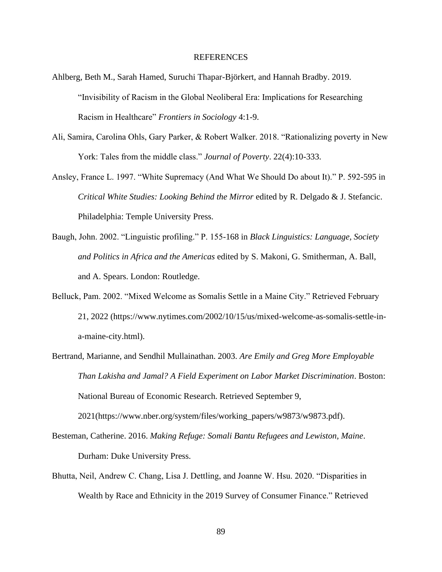### REFERENCES

- Ahlberg, Beth M., Sarah Hamed, Suruchi Thapar-Björkert, and Hannah Bradby. 2019. "Invisibility of Racism in the Global Neoliberal Era: Implications for Researching Racism in Healthcare" *Frontiers in Sociology* 4:1-9.
- Ali, Samira, Carolina Ohls, Gary Parker, & Robert Walker. 2018. "Rationalizing poverty in New York: Tales from the middle class." *Journal of Poverty*. 22(4):10-333.
- Ansley, France L. 1997. "White Supremacy (And What We Should Do about It)." P. 592-595 in *Critical White Studies: Looking Behind the Mirror* edited by R. Delgado & J. Stefancic. Philadelphia: Temple University Press.
- Baugh, John. 2002. "Linguistic profiling." P. 155-168 in *Black Linguistics: Language, Society and Politics in Africa and the Americas* edited by S. Makoni, G. Smitherman, A. Ball, and A. Spears. London: Routledge.
- Belluck, Pam. 2002. "Mixed Welcome as Somalis Settle in a Maine City." Retrieved February 21, 2022 (https://www.nytimes.com/2002/10/15/us/mixed-welcome-as-somalis-settle-ina-maine-city.html).
- Bertrand, Marianne, and Sendhil Mullainathan. 2003. *Are Emily and Greg More Employable Than Lakisha and Jamal? A Field Experiment on Labor Market Discrimination*. Boston: National Bureau of Economic Research. Retrieved September 9,

2021(https://www.nber.org/system/files/working\_papers/w9873/w9873.pdf).

- Besteman, Catherine. 2016. *Making Refuge: Somali Bantu Refugees and Lewiston, Maine*. Durham: Duke University Press.
- Bhutta, Neil, Andrew C. Chang, Lisa J. Dettling, and Joanne W. Hsu. 2020. "Disparities in Wealth by Race and Ethnicity in the 2019 Survey of Consumer Finance." Retrieved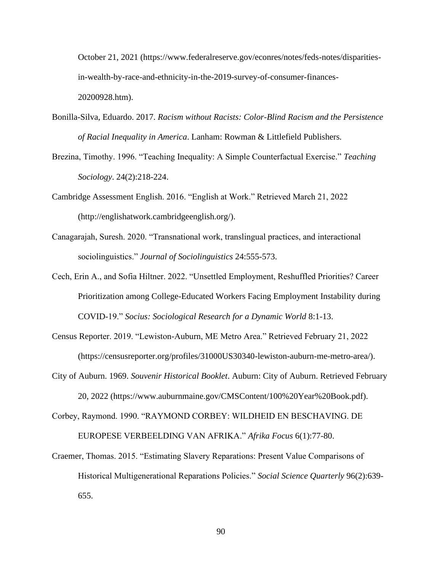October 21, 2021 (https://www.federalreserve.gov/econres/notes/feds-notes/disparitiesin-wealth-by-race-and-ethnicity-in-the-2019-survey-of-consumer-finances-20200928.htm).

- Bonilla-Silva, Eduardo. 2017. *Racism without Racists: Color-Blind Racism and the Persistence of Racial Inequality in America*. Lanham: Rowman & Littlefield Publishers.
- Brezina, Timothy. 1996. "Teaching Inequality: A Simple Counterfactual Exercise." *Teaching Sociology*. 24(2):218-224.
- Cambridge Assessment English. 2016. "English at Work." Retrieved March 21, 2022 (http://englishatwork.cambridgeenglish.org/).
- Canagarajah, Suresh. 2020. "Transnational work, translingual practices, and interactional sociolinguistics." *Journal of Sociolinguistics* 24:555-573.
- Cech, Erin A., and Sofia Hiltner. 2022. "Unsettled Employment, Reshuffled Priorities? Career Prioritization among College-Educated Workers Facing Employment Instability during COVID-19." *Socius: Sociological Research for a Dynamic World* 8:1-13.
- Census Reporter. 2019. "Lewiston-Auburn, ME Metro Area." Retrieved February 21, 2022 (https://censusreporter.org/profiles/31000US30340-lewiston-auburn-me-metro-area/).
- City of Auburn. 1969. *Souvenir Historical Booklet*. Auburn: City of Auburn. Retrieved February 20, 2022 (https://www.auburnmaine.gov/CMSContent/100%20Year%20Book.pdf).

Corbey, Raymond. 1990. "RAYMOND CORBEY: WILDHEID EN BESCHAVING. DE EUROPESE VERBEELDING VAN AFRIKA." *Afrika Focus* 6(1):77-80.

Craemer, Thomas. 2015. "Estimating Slavery Reparations: Present Value Comparisons of Historical Multigenerational Reparations Policies." *Social Science Quarterly* 96(2):639- 655.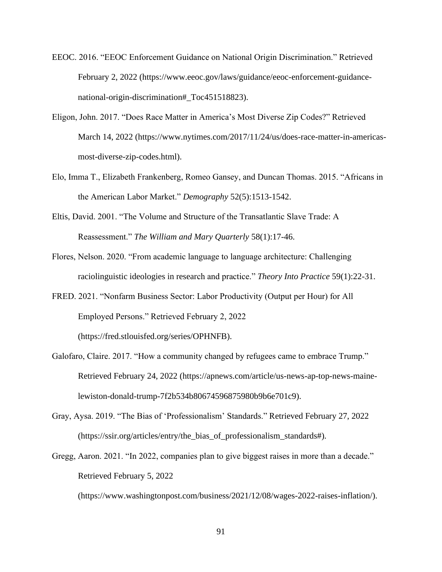- EEOC. 2016. "EEOC Enforcement Guidance on National Origin Discrimination." Retrieved February 2, 2022 (https://www.eeoc.gov/laws/guidance/eeoc-enforcement-guidancenational-origin-discrimination#\_Toc451518823).
- Eligon, John. 2017. "Does Race Matter in America's Most Diverse Zip Codes?" Retrieved March 14, 2022 (https://www.nytimes.com/2017/11/24/us/does-race-matter-in-americasmost-diverse-zip-codes.html).
- Elo, Imma T., Elizabeth Frankenberg, Romeo Gansey, and Duncan Thomas. 2015. "Africans in the American Labor Market." *Demography* 52(5):1513-1542.
- Eltis, David. 2001. "The Volume and Structure of the Transatlantic Slave Trade: A Reassessment." *The William and Mary Quarterly* 58(1):17-46.
- Flores, Nelson. 2020. "From academic language to language architecture: Challenging raciolinguistic ideologies in research and practice." *Theory Into Practice* 59(1):22-31.
- FRED. 2021. "Nonfarm Business Sector: Labor Productivity (Output per Hour) for All Employed Persons." Retrieved February 2, 2022 (https://fred.stlouisfed.org/series/OPHNFB).
- Galofaro, Claire. 2017. "How a community changed by refugees came to embrace Trump." Retrieved February 24, 2022 (https://apnews.com/article/us-news-ap-top-news-mainelewiston-donald-trump-7f2b534b80674596875980b9b6e701c9).
- Gray, Aysa. 2019. "The Bias of 'Professionalism' Standards." Retrieved February 27, 2022 (https://ssir.org/articles/entry/the\_bias\_of\_professionalism\_standards#).
- Gregg, Aaron. 2021. "In 2022, companies plan to give biggest raises in more than a decade." Retrieved February 5, 2022

(https://www.washingtonpost.com/business/2021/12/08/wages-2022-raises-inflation/).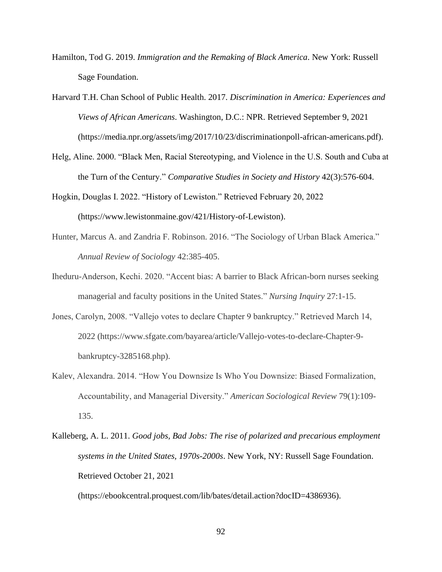- Hamilton, Tod G. 2019. *Immigration and the Remaking of Black America*. New York: Russell Sage Foundation.
- Harvard T.H. Chan School of Public Health. 2017. *Discrimination in America: Experiences and Views of African Americans*. Washington, D.C.: NPR. Retrieved September 9, 2021 (https://media.npr.org/assets/img/2017/10/23/discriminationpoll-african-americans.pdf).
- Helg, Aline. 2000. "Black Men, Racial Stereotyping, and Violence in the U.S. South and Cuba at the Turn of the Century." *Comparative Studies in Society and History* 42(3):576-604.
- Hogkin, Douglas I. 2022. "History of Lewiston." Retrieved February 20, 2022 (https://www.lewistonmaine.gov/421/History-of-Lewiston).
- Hunter, Marcus A. and Zandria F. Robinson. 2016. "The Sociology of Urban Black America." *Annual Review of Sociology* 42:385-405.
- Iheduru-Anderson, Kechi. 2020. "Accent bias: A barrier to Black African-born nurses seeking managerial and faculty positions in the United States." *Nursing Inquiry* 27:1-15.
- Jones, Carolyn, 2008. "Vallejo votes to declare Chapter 9 bankruptcy." Retrieved March 14, 2022 (https://www.sfgate.com/bayarea/article/Vallejo-votes-to-declare-Chapter-9 bankruptcy-3285168.php).
- Kalev, Alexandra. 2014. "How You Downsize Is Who You Downsize: Biased Formalization, Accountability, and Managerial Diversity." *American Sociological Review* 79(1):109- 135.
- Kalleberg, A. L. 2011. *Good jobs, Bad Jobs: The rise of polarized and precarious employment systems in the United States, 1970s-2000s*. New York, NY: Russell Sage Foundation. Retrieved October 21, 2021

(https://ebookcentral.proquest.com/lib/bates/detail.action?docID=4386936).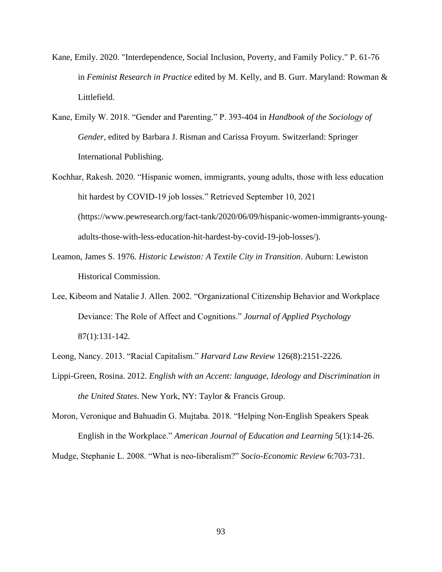- Kane, Emily. 2020. "Interdependence, Social Inclusion, Poverty, and Family Policy." P. 61-76 in *Feminist Research in Practice* edited by M. Kelly, and B. Gurr. Maryland: Rowman & Littlefield.
- Kane, Emily W. 2018. "Gender and Parenting." P. 393-404 in *Handbook of the Sociology of Gender*, edited by Barbara J. Risman and Carissa Froyum. Switzerland: Springer International Publishing.
- Kochhar, Rakesh. 2020. "Hispanic women, immigrants, young adults, those with less education hit hardest by COVID-19 job losses." Retrieved September 10, 2021 (https://www.pewresearch.org/fact-tank/2020/06/09/hispanic-women-immigrants-youngadults-those-with-less-education-hit-hardest-by-covid-19-job-losses/).
- Leamon, James S. 1976. *Historic Lewiston: A Textile City in Transition*. Auburn: Lewiston Historical Commission.
- Lee, Kibeom and Natalie J. Allen. 2002. "Organizational Citizenship Behavior and Workplace Deviance: The Role of Affect and Cognitions." *Journal of Applied Psychology*  87(1):131-142.
- Leong, Nancy. 2013. "Racial Capitalism." *Harvard Law Review* 126(8):2151-2226.
- Lippi-Green, Rosina. 2012. *English with an Accent: language, Ideology and Discrimination in the United States*. New York, NY: Taylor & Francis Group.
- Moron, Veronique and Bahuadin G. Mujtaba. 2018. "Helping Non-English Speakers Speak English in the Workplace." *American Journal of Education and Learning* 5(1):14-26.

Mudge, Stephanie L. 2008. "What is neo-liberalism?" *Socio-Economic Review* 6:703-731.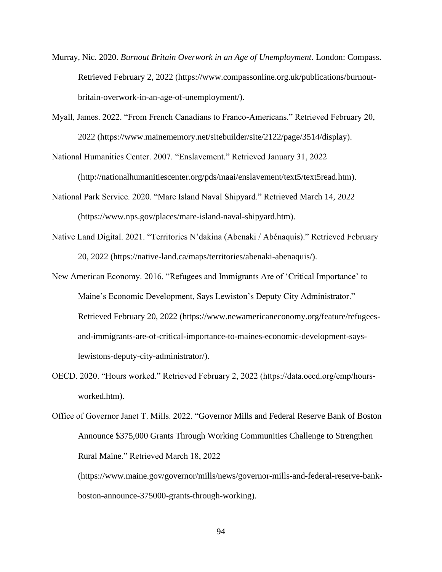- Murray, Nic. 2020. *Burnout Britain Overwork in an Age of Unemployment*. London: Compass. Retrieved February 2, 2022 (https://www.compassonline.org.uk/publications/burnoutbritain-overwork-in-an-age-of-unemployment/).
- Myall, James. 2022. "From French Canadians to Franco-Americans." Retrieved February 20, 2022 (https://www.mainememory.net/sitebuilder/site/2122/page/3514/display).

National Humanities Center. 2007. "Enslavement." Retrieved January 31, 2022

(http://nationalhumanitiescenter.org/pds/maai/enslavement/text5/text5read.htm).

- National Park Service. 2020. "Mare Island Naval Shipyard." Retrieved March 14, 2022 (https://www.nps.gov/places/mare-island-naval-shipyard.htm).
- Native Land Digital. 2021. "Territories N'dakina (Abenaki / Abénaquis)." Retrieved February 20, 2022 (https://native-land.ca/maps/territories/abenaki-abenaquis/).
- New American Economy. 2016. "Refugees and Immigrants Are of 'Critical Importance' to Maine's Economic Development, Says Lewiston's Deputy City Administrator." Retrieved February 20, 2022 (https://www.newamericaneconomy.org/feature/refugeesand-immigrants-are-of-critical-importance-to-maines-economic-development-sayslewistons-deputy-city-administrator/).
- OECD. 2020. "Hours worked." Retrieved February 2, 2022 (https://data.oecd.org/emp/hoursworked.htm).

(https://www.maine.gov/governor/mills/news/governor-mills-and-federal-reserve-bankboston-announce-375000-grants-through-working).

Office of Governor Janet T. Mills. 2022. "Governor Mills and Federal Reserve Bank of Boston Announce \$375,000 Grants Through Working Communities Challenge to Strengthen Rural Maine." Retrieved March 18, 2022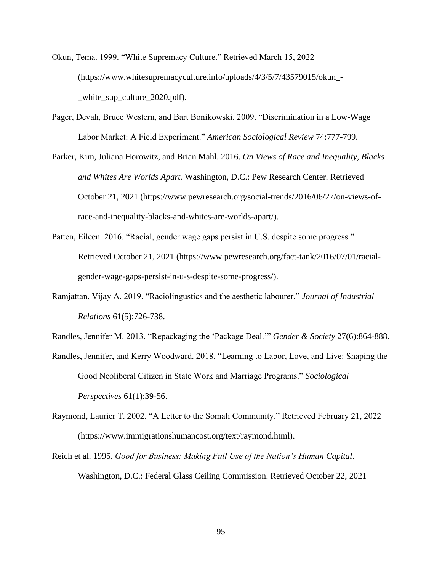Okun, Tema. 1999. "White Supremacy Culture." Retrieved March 15, 2022 (https://www.whitesupremacyculture.info/uploads/4/3/5/7/43579015/okun\_- \_white\_sup\_culture\_2020.pdf).

- Pager, Devah, Bruce Western, and Bart Bonikowski. 2009. "Discrimination in a Low-Wage Labor Market: A Field Experiment." *American Sociological Review* 74:777-799.
- Parker, Kim, Juliana Horowitz, and Brian Mahl. 2016. *On Views of Race and Inequality, Blacks and Whites Are Worlds Apart.* Washington, D.C.: Pew Research Center. Retrieved October 21, 2021 (https://www.pewresearch.org/social-trends/2016/06/27/on-views-ofrace-and-inequality-blacks-and-whites-are-worlds-apart/).
- Patten, Eileen. 2016. "Racial, gender wage gaps persist in U.S. despite some progress." Retrieved October 21, 2021 (https://www.pewresearch.org/fact-tank/2016/07/01/racialgender-wage-gaps-persist-in-u-s-despite-some-progress/).
- Ramjattan, Vijay A. 2019. "Raciolingustics and the aesthetic labourer." *Journal of Industrial Relations* 61(5):726-738.
- Randles, Jennifer M. 2013. "Repackaging the 'Package Deal.'" *Gender & Society* 27(6):864-888.
- Randles, Jennifer, and Kerry Woodward. 2018. "Learning to Labor, Love, and Live: Shaping the Good Neoliberal Citizen in State Work and Marriage Programs." *Sociological Perspectives* 61(1):39-56.
- Raymond, Laurier T. 2002. "A Letter to the Somali Community." Retrieved February 21, 2022 (https://www.immigrationshumancost.org/text/raymond.html).
- Reich et al. 1995. *Good for Business: Making Full Use of the Nation's Human Capital*. Washington, D.C.: Federal Glass Ceiling Commission. Retrieved October 22, 2021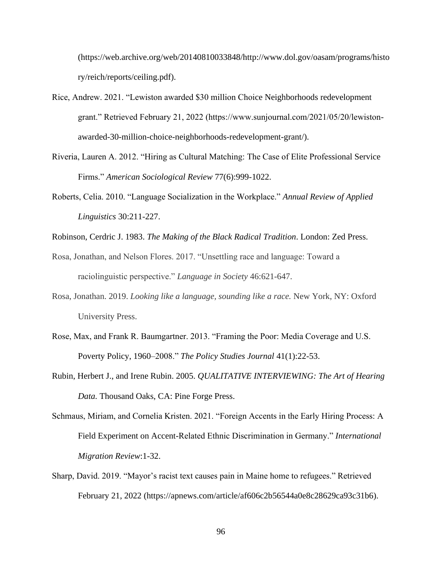(https://web.archive.org/web/20140810033848/http://www.dol.gov/oasam/programs/histo ry/reich/reports/ceiling.pdf).

- Rice, Andrew. 2021. "Lewiston awarded \$30 million Choice Neighborhoods redevelopment grant." Retrieved February 21, 2022 (https://www.sunjournal.com/2021/05/20/lewistonawarded-30-million-choice-neighborhoods-redevelopment-grant/).
- Riveria, Lauren A. 2012. "Hiring as Cultural Matching: The Case of Elite Professional Service Firms." *American Sociological Review* 77(6):999-1022.
- Roberts, Celia. 2010. "Language Socialization in the Workplace." *Annual Review of Applied Linguistics* 30:211-227.

Robinson, Cerdric J. 1983. *The Making of the Black Radical Tradition*. London: Zed Press.

- Rosa, Jonathan, and Nelson Flores. 2017. "Unsettling race and language: Toward a raciolinguistic perspective." *Language in Society* 46:621-647.
- Rosa, Jonathan. 2019. *Looking like a language, sounding like a race.* New York, NY: Oxford University Press.
- Rose, Max, and Frank R. Baumgartner. 2013. "Framing the Poor: Media Coverage and U.S. Poverty Policy, 1960–2008." *The Policy Studies Journal* 41(1):22-53.
- Rubin, Herbert J., and Irene Rubin. 2005. *QUALITATIVE INTERVIEWING: The Art of Hearing Data.* Thousand Oaks, CA: Pine Forge Press.
- Schmaus, Miriam, and Cornelia Kristen. 2021. "Foreign Accents in the Early Hiring Process: A Field Experiment on Accent-Related Ethnic Discrimination in Germany." *International Migration Review*:1-32.
- Sharp, David. 2019. "Mayor's racist text causes pain in Maine home to refugees." Retrieved February 21, 2022 (https://apnews.com/article/af606c2b56544a0e8c28629ca93c31b6).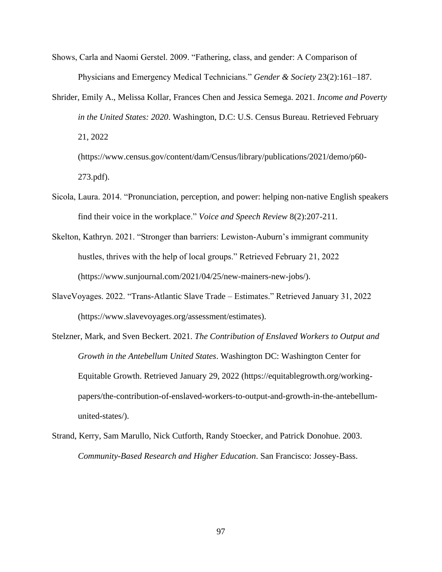- Shows, Carla and Naomi Gerstel. 2009. "Fathering, class, and gender: A Comparison of Physicians and Emergency Medical Technicians." *Gender & Society* 23(2):161–187.
- Shrider, Emily A., Melissa Kollar, Frances Chen and Jessica Semega. 2021. *Income and Poverty in the United States: 2020*. Washington, D.C: U.S. Census Bureau. Retrieved February 21, 2022 (https://www.census.gov/content/dam/Census/library/publications/2021/demo/p60-

273.pdf).

- Sicola, Laura. 2014. "Pronunciation, perception, and power: helping non-native English speakers find their voice in the workplace." *Voice and Speech Review* 8(2):207-211.
- Skelton, Kathryn. 2021. "Stronger than barriers: Lewiston-Auburn's immigrant community hustles, thrives with the help of local groups." Retrieved February 21, 2022 (https://www.sunjournal.com/2021/04/25/new-mainers-new-jobs/).
- SlaveVoyages. 2022. "Trans-Atlantic Slave Trade Estimates." Retrieved January 31, 2022 (https://www.slavevoyages.org/assessment/estimates).
- Stelzner, Mark, and Sven Beckert. 2021. *The Contribution of Enslaved Workers to Output and Growth in the Antebellum United States*. Washington DC: Washington Center for Equitable Growth. Retrieved January 29, 2022 (https://equitablegrowth.org/workingpapers/the-contribution-of-enslaved-workers-to-output-and-growth-in-the-antebellumunited-states/).
- Strand, Kerry, Sam Marullo, Nick Cutforth, Randy Stoecker, and Patrick Donohue. 2003. *Community-Based Research and Higher Education*. San Francisco: Jossey-Bass.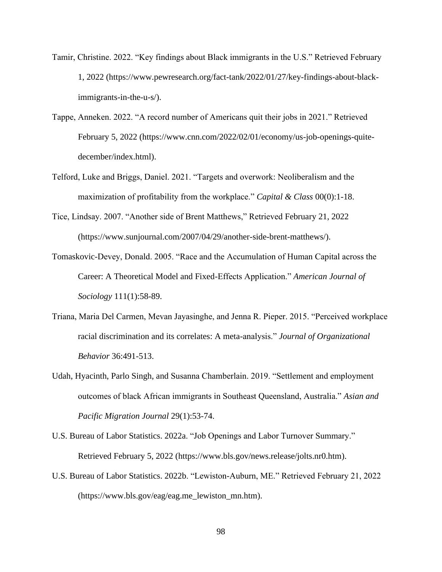- Tamir, Christine. 2022. "Key findings about Black immigrants in the U.S." Retrieved February 1, 2022 (https://www.pewresearch.org/fact-tank/2022/01/27/key-findings-about-blackimmigrants-in-the-u-s/).
- Tappe, Anneken. 2022. "A record number of Americans quit their jobs in 2021." Retrieved February 5, 2022 (https://www.cnn.com/2022/02/01/economy/us-job-openings-quitedecember/index.html).
- Telford, Luke and Briggs, Daniel. 2021. "Targets and overwork: Neoliberalism and the maximization of profitability from the workplace." *Capital & Class* 00(0):1-18.
- Tice, Lindsay. 2007. "Another side of Brent Matthews," Retrieved February 21, 2022 (https://www.sunjournal.com/2007/04/29/another-side-brent-matthews/).
- Tomaskovic-Devey, Donald. 2005. "Race and the Accumulation of Human Capital across the Career: A Theoretical Model and Fixed-Effects Application." *American Journal of Sociology* 111(1):58-89.
- Triana, Maria Del Carmen, Mevan Jayasinghe, and Jenna R. Pieper. 2015. "Perceived workplace racial discrimination and its correlates: A meta-analysis." *Journal of Organizational Behavior* 36:491-513.
- Udah, Hyacinth, Parlo Singh, and Susanna Chamberlain. 2019. "Settlement and employment outcomes of black African immigrants in Southeast Queensland, Australia." *Asian and Pacific Migration Journal* 29(1):53-74.
- U.S. Bureau of Labor Statistics. 2022a. "Job Openings and Labor Turnover Summary." Retrieved February 5, 2022 (https://www.bls.gov/news.release/jolts.nr0.htm).
- U.S. Bureau of Labor Statistics. 2022b. "Lewiston-Auburn, ME." Retrieved February 21, 2022 (https://www.bls.gov/eag/eag.me\_lewiston\_mn.htm).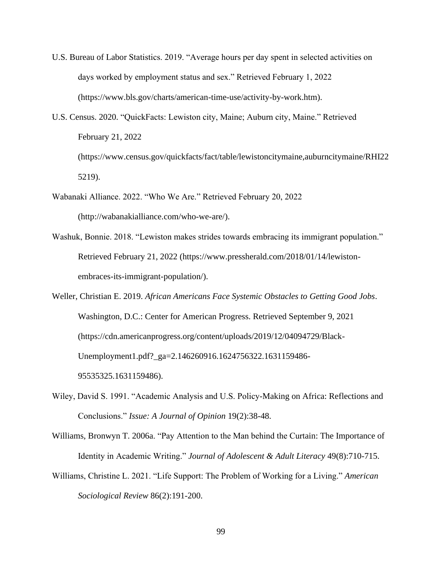- U.S. Bureau of Labor Statistics. 2019. "Average hours per day spent in selected activities on days worked by employment status and sex." Retrieved February 1, 2022 (https://www.bls.gov/charts/american-time-use/activity-by-work.htm).
- U.S. Census. 2020. "QuickFacts: Lewiston city, Maine; Auburn city, Maine." Retrieved February 21, 2022 (https://www.census.gov/quickfacts/fact/table/lewistoncitymaine,auburncitymaine/RHI22 5219).
- Wabanaki Alliance. 2022. "Who We Are." Retrieved February 20, 2022 (http://wabanakialliance.com/who-we-are/).
- Washuk, Bonnie. 2018. "Lewiston makes strides towards embracing its immigrant population." Retrieved February 21, 2022 (https://www.pressherald.com/2018/01/14/lewistonembraces-its-immigrant-population/).

Weller, Christian E. 2019. *African Americans Face Systemic Obstacles to Getting Good Jobs*. Washington, D.C.: Center for American Progress. Retrieved September 9, 2021 (https://cdn.americanprogress.org/content/uploads/2019/12/04094729/Black-Unemployment1.pdf?\_ga=2.146260916.1624756322.1631159486- 95535325.1631159486).

- Wiley, David S. 1991. "Academic Analysis and U.S. Policy-Making on Africa: Reflections and Conclusions." *Issue: A Journal of Opinion* 19(2):38-48.
- Williams, Bronwyn T. 2006a. "Pay Attention to the Man behind the Curtain: The Importance of Identity in Academic Writing." *Journal of Adolescent & Adult Literacy* 49(8):710-715.
- Williams, Christine L. 2021. "Life Support: The Problem of Working for a Living." *American Sociological Review* 86(2):191-200.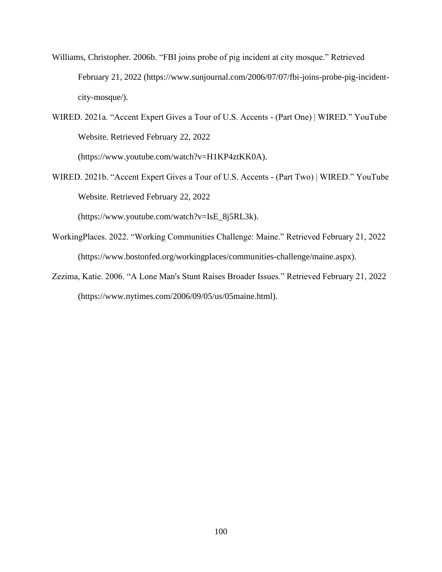- Williams, Christopher. 2006b. "FBI joins probe of pig incident at city mosque." Retrieved February 21, 2022 (https://www.sunjournal.com/2006/07/07/fbi-joins-probe-pig-incidentcity-mosque/).
- WIRED. 2021a. "Accent Expert Gives a Tour of U.S. Accents (Part One) | WIRED." YouTube Website. Retrieved February 22, 2022

(https://www.youtube.com/watch?v=H1KP4ztKK0A).

WIRED. 2021b. "Accent Expert Gives a Tour of U.S. Accents - (Part Two) | WIRED." YouTube Website. Retrieved February 22, 2022

(https://www.youtube.com/watch?v=IsE\_8j5RL3k).

- WorkingPlaces. 2022. "Working Communities Challenge: Maine." Retrieved February 21, 2022 (https://www.bostonfed.org/workingplaces/communities-challenge/maine.aspx).
- Zezima, Katie. 2006. "A Lone Man's Stunt Raises Broader Issues." Retrieved February 21, 2022 (https://www.nytimes.com/2006/09/05/us/05maine.html).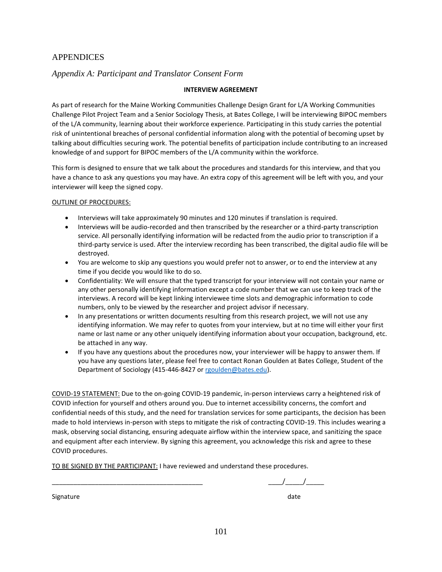# APPENDICES

# *Appendix A: Participant and Translator Consent Form*

### **INTERVIEW AGREEMENT**

As part of research for the Maine Working Communities Challenge Design Grant for L/A Working Communities Challenge Pilot Project Team and a Senior Sociology Thesis, at Bates College, I will be interviewing BIPOC members of the L/A community, learning about their workforce experience. Participating in this study carries the potential risk of unintentional breaches of personal confidential information along with the potential of becoming upset by talking about difficulties securing work. The potential benefits of participation include contributing to an increased knowledge of and support for BIPOC members of the L/A community within the workforce.

This form is designed to ensure that we talk about the procedures and standards for this interview, and that you have a chance to ask any questions you may have. An extra copy of this agreement will be left with you, and your interviewer will keep the signed copy.

#### OUTLINE OF PROCEDURES:

- Interviews will take approximately 90 minutes and 120 minutes if translation is required.
- Interviews will be audio-recorded and then transcribed by the researcher or a third-party transcription service. All personally identifying information will be redacted from the audio prior to transcription if a third-party service is used. After the interview recording has been transcribed, the digital audio file will be destroyed.
- You are welcome to skip any questions you would prefer not to answer, or to end the interview at any time if you decide you would like to do so.
- Confidentiality: We will ensure that the typed transcript for your interview will not contain your name or any other personally identifying information except a code number that we can use to keep track of the interviews. A record will be kept linking interviewee time slots and demographic information to code numbers, only to be viewed by the researcher and project advisor if necessary.
- In any presentations or written documents resulting from this research project, we will not use any identifying information. We may refer to quotes from your interview, but at no time will either your first name or last name or any other uniquely identifying information about your occupation, background, etc. be attached in any way.
- If you have any questions about the procedures now, your interviewer will be happy to answer them. If you have any questions later, please feel free to contact Ronan Goulden at Bates College, Student of the Department of Sociology (415-446-8427 o[r rgoulden@bates.edu\)](mailto:rgoulden@bates.edu).

COVID-19 STATEMENT: Due to the on-going COVID-19 pandemic, in-person interviews carry a heightened risk of COVID infection for yourself and others around you. Due to internet accessibility concerns, the comfort and confidential needs of this study, and the need for translation services for some participants, the decision has been made to hold interviews in-person with steps to mitigate the risk of contracting COVID-19. This includes wearing a mask, observing social distancing, ensuring adequate airflow within the interview space, and sanitizing the space and equipment after each interview. By signing this agreement, you acknowledge this risk and agree to these COVID procedures.

TO BE SIGNED BY THE PARTICIPANT: I have reviewed and understand these procedures.

 $\frac{1}{\sqrt{2\pi}}$ 

Signature date date date of the state date of the state date of the state date of the state date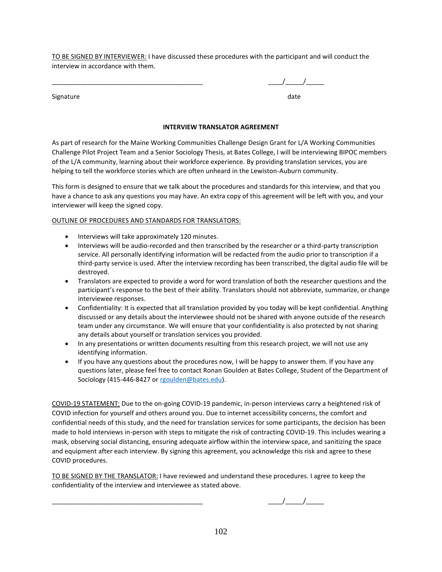TO BE SIGNED BY INTERVIEWER: I have discussed these procedures with the participant and will conduct the interview in accordance with them.

Signature date date and the set of the set of the set of the set of the set of the set of the set of the set o

# $\frac{1}{2}$   $\frac{1}{2}$   $\frac{1}{2}$

**INTERVIEW TRANSLATOR AGREEMENT**

As part of research for the Maine Working Communities Challenge Design Grant for L/A Working Communities Challenge Pilot Project Team and a Senior Sociology Thesis, at Bates College, I will be interviewing BIPOC members of the L/A community, learning about their workforce experience. By providing translation services, you are helping to tell the workforce stories which are often unheard in the Lewiston-Auburn community.

This form is designed to ensure that we talk about the procedures and standards for this interview, and that you have a chance to ask any questions you may have. An extra copy of this agreement will be left with you, and your interviewer will keep the signed copy.

### OUTLINE OF PROCEDURES AND STANDARDS FOR TRANSLATORS:

- Interviews will take approximately 120 minutes.
- Interviews will be audio-recorded and then transcribed by the researcher or a third-party transcription service. All personally identifying information will be redacted from the audio prior to transcription if a third-party service is used. After the interview recording has been transcribed, the digital audio file will be destroyed.
- Translators are expected to provide a word for word translation of both the researcher questions and the participant's response to the best of their ability. Translators should not abbreviate, summarize, or change interviewee responses.
- Confidentiality: It is expected that all translation provided by you today will be kept confidential. Anything discussed or any details about the interviewee should not be shared with anyone outside of the research team under any circumstance. We will ensure that your confidentiality is also protected by not sharing any details about yourself or translation services you provided.
- In any presentations or written documents resulting from this research project, we will not use any identifying information.
- If you have any questions about the procedures now, I will be happy to answer them. If you have any questions later, please feel free to contact Ronan Goulden at Bates College, Student of the Department of Sociology (415-446-8427 or [rgoulden@bates.edu\)](mailto:rgoulden@bates.edu).

COVID-19 STATEMENT: Due to the on-going COVID-19 pandemic, in-person interviews carry a heightened risk of COVID infection for yourself and others around you. Due to internet accessibility concerns, the comfort and confidential needs of this study, and the need for translation services for some participants, the decision has been made to hold interviews in-person with steps to mitigate the risk of contracting COVID-19. This includes wearing a mask, observing social distancing, ensuring adequate airflow within the interview space, and sanitizing the space and equipment after each interview. By signing this agreement, you acknowledge this risk and agree to these COVID procedures.

TO BE SIGNED BY THE TRANSLATOR: I have reviewed and understand these procedures. I agree to keep the confidentiality of the interview and interviewee as stated above.

 $\frac{1}{2}$  ,  $\frac{1}{2}$  ,  $\frac{1}{2}$  ,  $\frac{1}{2}$  ,  $\frac{1}{2}$  ,  $\frac{1}{2}$  ,  $\frac{1}{2}$  ,  $\frac{1}{2}$  ,  $\frac{1}{2}$  ,  $\frac{1}{2}$  ,  $\frac{1}{2}$  ,  $\frac{1}{2}$  ,  $\frac{1}{2}$  ,  $\frac{1}{2}$  ,  $\frac{1}{2}$  ,  $\frac{1}{2}$  ,  $\frac{1}{2}$  ,  $\frac{1}{2}$  ,  $\frac{1$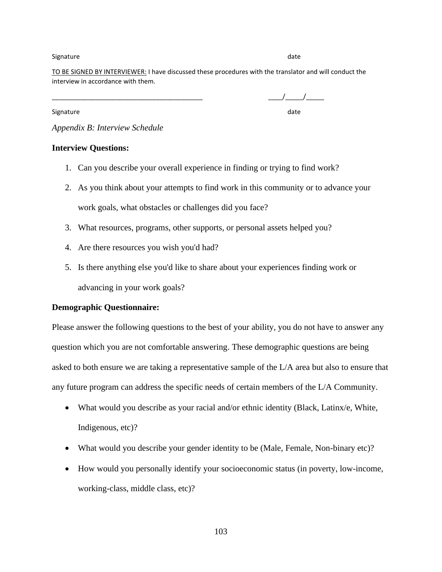### Signature date date of the control of the control of the control of the control of the control of the control of the control of the control of the control of the control of the control of the control of the control of the

TO BE SIGNED BY INTERVIEWER: I have discussed these procedures with the translator and will conduct the interview in accordance with them.

Signature date date of the control of the control of the control of the control of the control of the control of the control of the control of the control of the control of the control of the control of the control of the

 $\frac{1}{2}$ 

*Appendix B: Interview Schedule*

## **Interview Questions:**

- 1. Can you describe your overall experience in finding or trying to find work?
- 2. As you think about your attempts to find work in this community or to advance your work goals, what obstacles or challenges did you face?
- 3. What resources, programs, other supports, or personal assets helped you?
- 4. Are there resources you wish you'd had?
- 5. Is there anything else you'd like to share about your experiences finding work or advancing in your work goals?

## **Demographic Questionnaire:**

Please answer the following questions to the best of your ability, you do not have to answer any question which you are not comfortable answering. These demographic questions are being asked to both ensure we are taking a representative sample of the L/A area but also to ensure that any future program can address the specific needs of certain members of the L/A Community.

- What would you describe as your racial and/or ethnic identity (Black, Latinx/e, White, Indigenous, etc)?
- What would you describe your gender identity to be (Male, Female, Non-binary etc)?
- How would you personally identify your socioeconomic status (in poverty, low-income, working-class, middle class, etc)?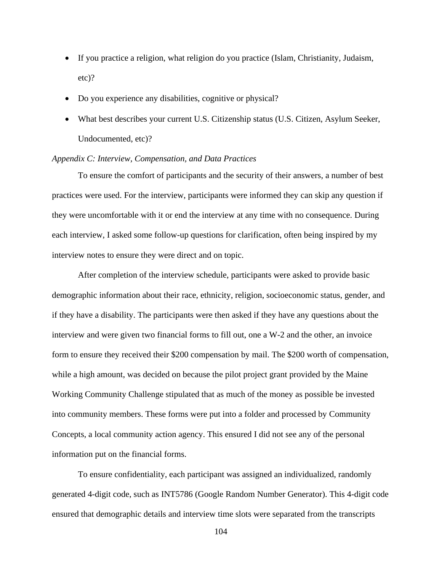- If you practice a religion, what religion do you practice (Islam, Christianity, Judaism, etc)?
- Do you experience any disabilities, cognitive or physical?
- What best describes your current U.S. Citizenship status (U.S. Citizen, Asylum Seeker, Undocumented, etc)?

## *Appendix C: Interview, Compensation, and Data Practices*

To ensure the comfort of participants and the security of their answers, a number of best practices were used. For the interview, participants were informed they can skip any question if they were uncomfortable with it or end the interview at any time with no consequence. During each interview, I asked some follow-up questions for clarification, often being inspired by my interview notes to ensure they were direct and on topic.

After completion of the interview schedule, participants were asked to provide basic demographic information about their race, ethnicity, religion, socioeconomic status, gender, and if they have a disability. The participants were then asked if they have any questions about the interview and were given two financial forms to fill out, one a W-2 and the other, an invoice form to ensure they received their \$200 compensation by mail. The \$200 worth of compensation, while a high amount, was decided on because the pilot project grant provided by the Maine Working Community Challenge stipulated that as much of the money as possible be invested into community members. These forms were put into a folder and processed by Community Concepts, a local community action agency. This ensured I did not see any of the personal information put on the financial forms.

To ensure confidentiality, each participant was assigned an individualized, randomly generated 4-digit code, such as INT5786 (Google Random Number Generator). This 4-digit code ensured that demographic details and interview time slots were separated from the transcripts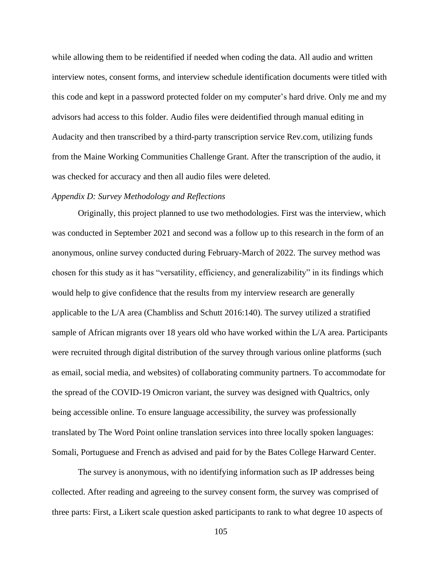while allowing them to be reidentified if needed when coding the data. All audio and written interview notes, consent forms, and interview schedule identification documents were titled with this code and kept in a password protected folder on my computer's hard drive. Only me and my advisors had access to this folder. Audio files were deidentified through manual editing in Audacity and then transcribed by a third-party transcription service Rev.com, utilizing funds from the Maine Working Communities Challenge Grant. After the transcription of the audio, it was checked for accuracy and then all audio files were deleted.

## *Appendix D: Survey Methodology and Reflections*

Originally, this project planned to use two methodologies. First was the interview, which was conducted in September 2021 and second was a follow up to this research in the form of an anonymous, online survey conducted during February-March of 2022. The survey method was chosen for this study as it has "versatility, efficiency, and generalizability" in its findings which would help to give confidence that the results from my interview research are generally applicable to the L/A area (Chambliss and Schutt 2016:140). The survey utilized a stratified sample of African migrants over 18 years old who have worked within the L/A area. Participants were recruited through digital distribution of the survey through various online platforms (such as email, social media, and websites) of collaborating community partners. To accommodate for the spread of the COVID-19 Omicron variant, the survey was designed with Qualtrics, only being accessible online. To ensure language accessibility, the survey was professionally translated by The Word Point online translation services into three locally spoken languages: Somali, Portuguese and French as advised and paid for by the Bates College Harward Center.

The survey is anonymous, with no identifying information such as IP addresses being collected. After reading and agreeing to the survey consent form, the survey was comprised of three parts: First, a Likert scale question asked participants to rank to what degree 10 aspects of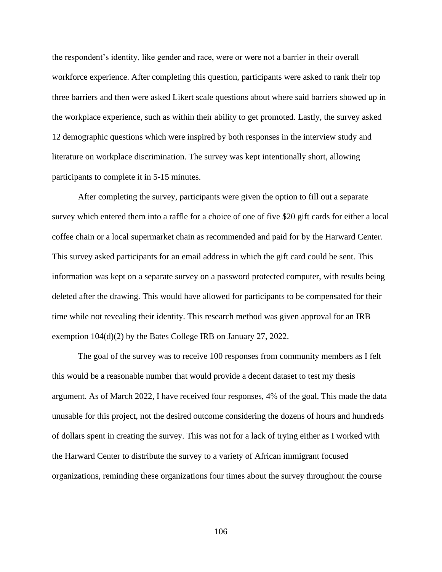the respondent's identity, like gender and race, were or were not a barrier in their overall workforce experience. After completing this question, participants were asked to rank their top three barriers and then were asked Likert scale questions about where said barriers showed up in the workplace experience, such as within their ability to get promoted. Lastly, the survey asked 12 demographic questions which were inspired by both responses in the interview study and literature on workplace discrimination. The survey was kept intentionally short, allowing participants to complete it in 5-15 minutes.

After completing the survey, participants were given the option to fill out a separate survey which entered them into a raffle for a choice of one of five \$20 gift cards for either a local coffee chain or a local supermarket chain as recommended and paid for by the Harward Center. This survey asked participants for an email address in which the gift card could be sent. This information was kept on a separate survey on a password protected computer, with results being deleted after the drawing. This would have allowed for participants to be compensated for their time while not revealing their identity. This research method was given approval for an IRB exemption 104(d)(2) by the Bates College IRB on January 27, 2022.

The goal of the survey was to receive 100 responses from community members as I felt this would be a reasonable number that would provide a decent dataset to test my thesis argument. As of March 2022, I have received four responses, 4% of the goal. This made the data unusable for this project, not the desired outcome considering the dozens of hours and hundreds of dollars spent in creating the survey. This was not for a lack of trying either as I worked with the Harward Center to distribute the survey to a variety of African immigrant focused organizations, reminding these organizations four times about the survey throughout the course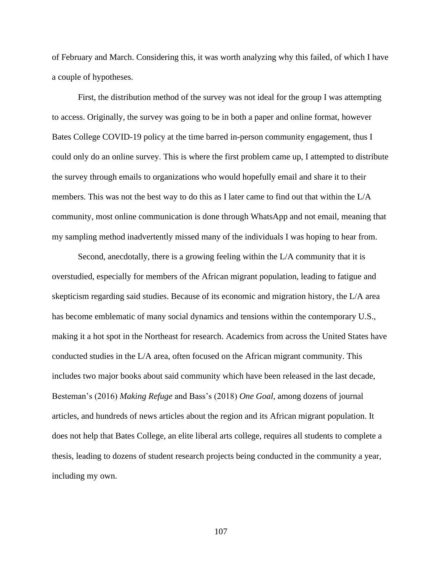of February and March. Considering this, it was worth analyzing why this failed, of which I have a couple of hypotheses.

First, the distribution method of the survey was not ideal for the group I was attempting to access. Originally, the survey was going to be in both a paper and online format, however Bates College COVID-19 policy at the time barred in-person community engagement, thus I could only do an online survey. This is where the first problem came up, I attempted to distribute the survey through emails to organizations who would hopefully email and share it to their members. This was not the best way to do this as I later came to find out that within the L/A community, most online communication is done through WhatsApp and not email, meaning that my sampling method inadvertently missed many of the individuals I was hoping to hear from.

Second, anecdotally, there is a growing feeling within the L/A community that it is overstudied, especially for members of the African migrant population, leading to fatigue and skepticism regarding said studies. Because of its economic and migration history, the L/A area has become emblematic of many social dynamics and tensions within the contemporary U.S., making it a hot spot in the Northeast for research. Academics from across the United States have conducted studies in the L/A area, often focused on the African migrant community. This includes two major books about said community which have been released in the last decade, Besteman's (2016) *Making Refuge* and Bass's (2018) *One Goal*, among dozens of journal articles, and hundreds of news articles about the region and its African migrant population. It does not help that Bates College, an elite liberal arts college, requires all students to complete a thesis, leading to dozens of student research projects being conducted in the community a year, including my own.